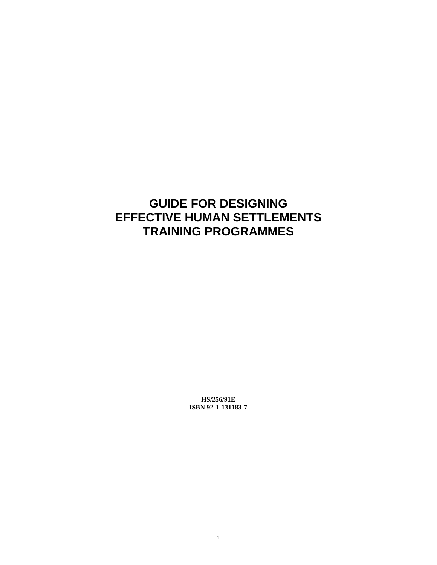# **GUIDE FOR DESIGNING EFFECTIVE HUMAN SETTLEMENTS TRAINING PROGRAMMES**

**HS/256/91E ISBN 92-1-131183-7**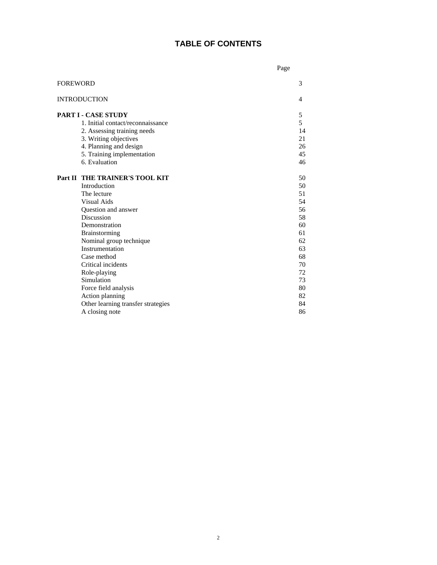## **TABLE OF CONTENTS**

|                                    | Page |
|------------------------------------|------|
| <b>FOREWORD</b>                    | 3    |
| <b>INTRODUCTION</b>                | 4    |
| <b>PART I - CASE STUDY</b>         | 5    |
| 1. Initial contact/reconnaissance  | 5    |
| 2. Assessing training needs        | 14   |
| 3. Writing objectives              | 21   |
| 4. Planning and design             | 26   |
| 5. Training implementation         | 45   |
| 6. Evaluation                      | 46   |
|                                    |      |
| Part II THE TRAINER'S TOOL KIT     | 50   |
| Introduction                       | 50   |
| The lecture                        | 51   |
| Visual Aids                        | 54   |
| Question and answer                | 56   |
| <b>Discussion</b>                  | 58   |
| Demonstration                      | 60   |
| Brainstorming                      | 61   |
| Nominal group technique            | 62   |
| Instrumentation                    | 63   |
| Case method                        | 68   |
| Critical incidents                 | 70   |
| Role-playing                       | 72   |
| Simulation                         | 73   |
| Force field analysis               | 80   |
| Action planning                    | 82   |
| Other learning transfer strategies | 84   |
| A closing note                     | 86   |
|                                    |      |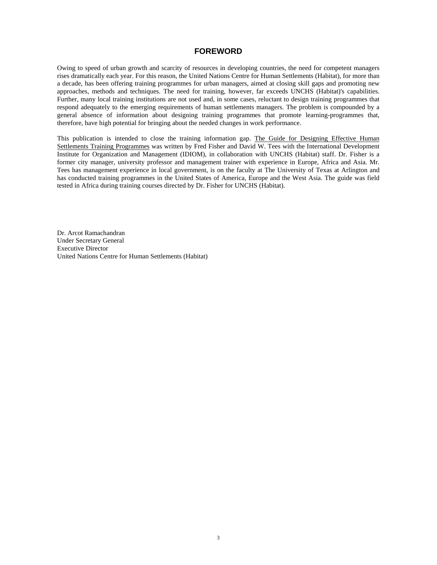### **FOREWORD**

Owing to speed of urban growth and scarcity of resources in developing countries, the need for competent managers rises dramatically each year. For this reason, the United Nations Centre for Human Settlements (Habitat), for more than a decade, has been offering training programmes for urban managers, aimed at closing skill gaps and promoting new approaches, methods and techniques. The need for training, however, far exceeds UNCHS (Habitat)'s capabilities. Further, many local training institutions are not used and, in some cases, reluctant to design training programmes that respond adequately to the emerging requirements of human settlements managers. The problem is compounded by a general absence of information about designing training programmes that promote learning-programmes that, therefore, have high potential for bringing about the needed changes in work performance.

This publication is intended to close the training information gap. The Guide for Designing Effective Human Settlements Training Programmes was written by Fred Fisher and David W. Tees with the International Development Institute for Organization and Management (IDIOM), in collaboration with UNCHS (Habitat) staff. Dr. Fisher is a former city manager, university professor and management trainer with experience in Europe, Africa and Asia. Mr. Tees has management experience in local government, is on the faculty at The University of Texas at Arlington and has conducted training programmes in the United States of America, Europe and the West Asia. The guide was field tested in Africa during training courses directed by Dr. Fisher for UNCHS (Habitat).

Dr. Arcot Ramachandran Under Secretary General Executive Director United Nations Centre for Human Settlements (Habitat)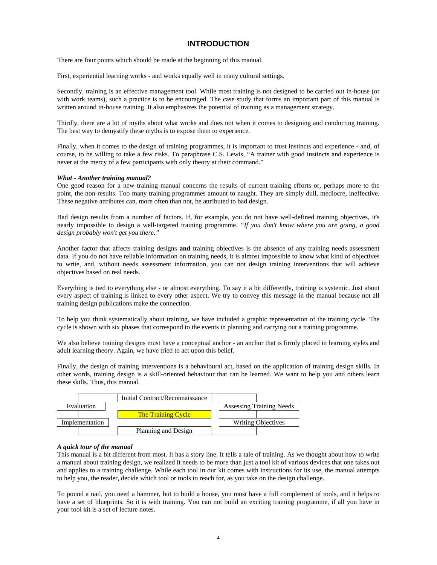## **INTRODUCTION**

There are four points which should be made at the beginning of this manual.

First, experiential learning works - and works equally well in many cultural settings.

Secondly, training is an effective management tool. While most training is not designed to be carried out in-house (or with work teams), such a practice is to be encouraged. The case study that forms an important part of this manual is written around in-house training. It also emphasizes the potential of training as a management strategy.

Thirdly, there are a lot of myths about what works and does not when it comes to designing and conducting training. The best way to demystify these myths is to expose them to experience.

Finally, when it comes to the design of training programmes, it is important to trust instincts and experience - and, of course, to be willing to take a few risks. To paraphrase C.S. Lewis, "A trainer with good instincts and experience is never at the mercy of a few participants with only theory at their command."

#### *What - Another training manual?*

One good reason for a new training manual concerns the results of current training efforts or, perhaps more to the point, the non-results. Too many training programmes amount to naught. They are simply dull, mediocre, ineffective. These negative attributes can, more often than not, be attributed to bad design.

Bad design results from a number of factors. If, for example, you do not have well-defined training objectives, it's nearly impossible to design a well-targeted training programme. *"If you don't know where you are going, a good design probably won't get you there."*

Another factor that affects training designs **and** training objectives is the absence of any training needs assessment data. If you do not have reliable information on training needs, it is almost impossible to know what kind of objectives to write, and, without needs assessment information, you can not design training interventions that will achieve objectives based on real needs.

Everything is tied to everything else - or almost everything. To say it a bit differently, training is systemic. Just about every aspect of training is linked to every other aspect. We try to convey this message in the manual because not all training design publications make the connection.

To help you think systematically about training, we have included a graphic representation of the training cycle. The cycle is shown with six phases that correspond to the events in planning and carrying out a training programme.

We also believe training designs must have a conceptual anchor - an anchor that is firmly placed in learning styles and adult learning theory. Again, we have tried to act upon this belief.

Finally, the design of training interventions is a behavioural act, based on the application of training design skills. In other words, training design is a skill-oriented behaviour that can be learned. We want to help you and others learn these skills. Thus, this manual.



#### *A quick tour of the manual*

This manual is a bit different from most. It has a story line. It tells a tale of training. As we thought about how to write a manual about training design, we realized it needs to be more than just a tool kit of various devices that one takes out and applies to a training challenge. While each tool in our kit comes with instructions for its use, the manual attempts to help you, the reader, decide which tool or tools to reach for, as you take on the design challenge.

To pound a nail, you need a hammer, but to build a house, you must have a full complement of tools, and it helps to have a set of blueprints. So it is with training. You can not build an exciting training programme, if all you have in your tool kit is a set of lecture notes.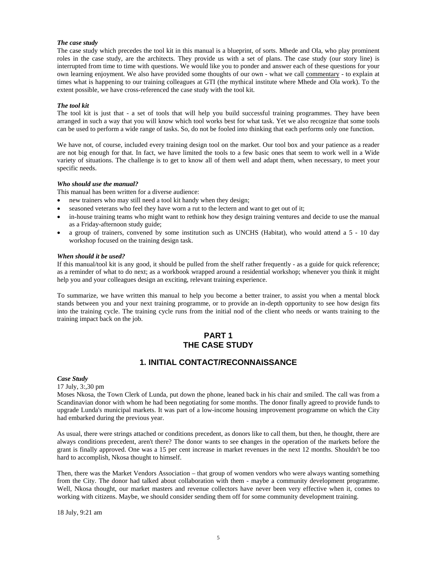#### *The case study*

The case study which precedes the tool kit in this manual is a blueprint, of sorts. Mhede and Ola, who play prominent roles in the case study, are the architects. They provide us with a set of plans. The case study (our story line) is interrupted from time to time with questions. We would like you to ponder and answer each of these questions for your own learning enjoyment. We also have provided some thoughts of our own - what we call commentary - to explain at times what is happening to our training colleagues at GTI (the mythical institute where Mhede and Ola work). To the extent possible, we have cross-referenced the case study with the tool kit.

#### *The tool kit*

The tool kit is just that - a set of tools that will help you build successful training programmes. They have been arranged in such a way that you will know which tool works best for what task. Yet we also recognize that some tools can be used to perform a wide range of tasks. So, do not be fooled into thinking that each performs only one function.

We have not, of course, included every training design tool on the market. Our tool box and your patience as a reader are not big enough for that. In fact, we have limited the tools to a few basic ones that seem to work well in a Wide variety of situations. The challenge is to get to know all of them well and adapt them, when necessary, to meet your specific needs.

#### *Who should use the manual?*

This manual has been written for a diverse audience:

- new trainers who may still need a tool kit handy when they design;
- seasoned veterans who feel they have worn a rut to the lectern and want to get out of it;
- in-house training teams who might want to rethink how they design training ventures and decide to use the manual as a Friday-afternoon study guide;
- a group of trainers, convened by some institution such as UNCHS (Habitat), who would attend a 5 10 day workshop focused on the training design task.

#### *When should it be used?*

If this manual/tool kit is any good, it should be pulled from the shelf rather frequently - as a guide for quick reference; as a reminder of what to do next; as a workbook wrapped around a residential workshop; whenever you think it might help you and your colleagues design an exciting, relevant training experience.

To summarize, we have written this manual to help you become a better trainer, to assist you when a mental block stands between you and your next training programme, or to provide an in-depth opportunity to see how design fits into the training cycle. The training cycle runs from the initial nod of the client who needs or wants training to the training impact back on the job.

## **PART 1 THE CASE STUDY**

## **1. INITIAL CONTACT/RECONNAISSANCE**

#### *Case Study*

17 July, 3:,30 pm

Moses Nkosa, the Town Clerk of Lunda, put down the phone, leaned back in his chair and smiled. The call was from a Scandinavian donor with whom he had been negotiating for some months. The donor finally agreed to provide funds to upgrade Lunda's municipal markets. It was part of a low-income housing improvement programme on which the City had embarked during the previous year.

As usual, there were strings attached or conditions precedent, as donors like to call them, but then, he thought, there are always conditions precedent, aren't there? The donor wants to see **c**hanges in the operation of the markets before the grant is finally approved. One was a 15 per cent increase in market revenues in the next 12 months. Shouldn't be too hard to accomplish, Nkosa thought to himself.

Then, there was the Market Vendors Association – that group of women vendors who were always wanting something from the City. The donor had talked about collaboration with them - maybe a community development programme. Well, Nkosa thought, our market masters and revenue collectors have never been very effective when it, comes to working with citizens. Maybe, we should consider sending them off for some community development training.

18 July, 9:21 am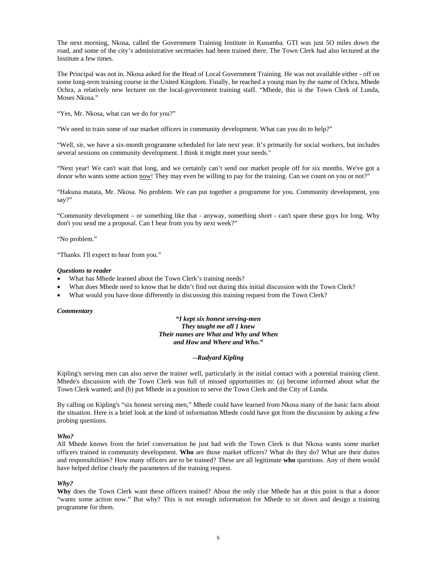The next morning, Nkosa, called the Government Training Institute in Kusumba. GTI was just 5O miles down the road, and some of the city's administrative secretaries had been trained there. The Town Clerk had also lectured at the Institute a few times.

The Principal was not in. Nkosa asked for the Head of Local Government Training. He was not available either - off on some long-term training course in the United Kingdom. Finally, he reached a young man by the name of Ochra, Mhede Ochra, a relatively new lecturer on the local-government training staff. "Mhede, this is the Town Clerk of Lunda, Moses Nkosa."

"Yes, Mr. Nkosa, what can we do for you?"

"We need to train some of our market officers in community development. What can you do to help?"

"Well, sir, we have a six-month programme scheduled for late next year. It's primarily for social workers, but includes several sessions on community development. I think it might meet your needs."

"Next year! We can't wait that long, and we certainly can't send our market people off for six months. We've got a donor who wants some action now! They may even be willing to pay for the training. Can we count on you or not?"

"Hakuna matata, Mr. Nkosa. No problem. We can put together a programme for you. Community development, you say?"

"Community development – or something like that - anyway, something short - can't spare these guys for long. Why don't you send me a proposal. Can I hear from you by next week?"

"No problem."

"Thanks. I'll expect to hear from you."

#### *Questions to reader*

- What has Mhede learned about the Town Clerk's training needs?
- What does Mhede need to know that he didn't find out during this initial discussion with the Town Clerk?
- What would you have done differently in discussing this training request from the Town Clerk?

#### *Commentary*

#### *"I kept six honest serving-men They taught me all 1 knew Their names are What and Why and When and How and Where and Who."*

#### *--Rudyard Kipling*

Kipling's serving men can also serve the trainer well, particularly in the initial contact with a potential training client. Mhede's discussion with the Town Clerk was full of missed opportunities to: (a) become informed about what the Town Clerk wanted; and (b) put Mhede in a position to serve the Town Clerk and the City of Lunda.

By calling on Kipling's "six honest serving men," Mhede could have learned from Nkosa many of the basic facts about the situation. Here is a brief look at the kind of information Mhede could have got from the discussion by asking a few probing questions.

#### *Who?*

All Mhede knows from the brief conversation he just had with the Town Clerk is that Nkosa wants some market officers trained in community development. **Who** are those market officers? What do they do? What are their duties and responsibilities? How many officers are to be trained? These are all legitimate **who** questions. Any of them would have helped define clearly the parameters of the training request.

#### *Why?*

**Why** does the Town Clerk want these officers trained? About the only clue Mhede has at this point is that a donor "wants some action now." But why? This is not enough information for Mhede to sit down and design a training programme for them.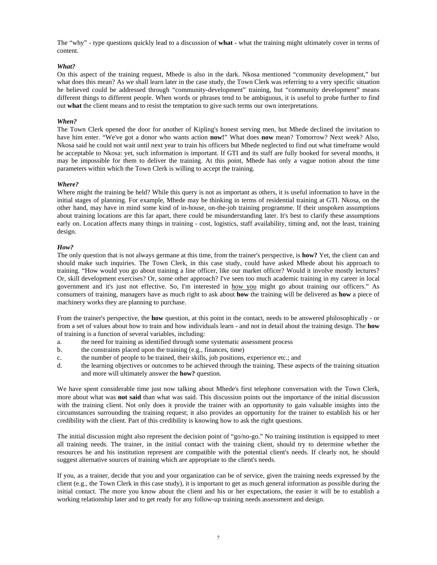The "why" - type questions quickly lead to a discussion of **what -** what the training might ultimately cover in terms of content.

#### *What?*

On this aspect of the training request, Mhede is also in the dark. Nkosa mentioned "community development," but what does this mean? As we shall learn later in the case study, the Town Clerk was referring to a very specific situation he believed could be addressed through "community-development" training, but "community development" means different things to different people. When words or phrases tend to be ambiguous, it is useful to probe further to find out **what** the client means and to resist the temptation to give such terms our own interpretations.

#### *When?*

The Town Clerk opened the door for another of Kipling's honest serving men, but Mhede declined the invitation to have him enter. "We've got a donor who wants action **now!**" What does **now** mean? Tomorrow? Next week? Also, Nkosa said he could not wait until next year to train his officers but Mhede neglected to find out what timeframe would be acceptable to Nkosa: yet, such information is important. If GTI and its staff are fully booked for several months, it may be impossible for them to deliver the training. At this point, Mhede has only a vague notion about the time parameters within which the Town Clerk is willing to accept the training.

#### *Where?*

Where might the training be held? While this query is not as important as others, it is useful information to have in the initial stages of planning. For example, Mhede may be thinking in terms of residential training at GTI. Nkosa, on the other hand, may have in mind some kind of in-house, on-the-job training programme. If their unspoken assumptions about training locations are this far apart, there could be misunderstanding later. It's best to clarify these assumptions early on. Location affects many things in training - cost, logistics, staff availability, timing and, not the least, training design.

#### *How?*

The only question that is not always germane at this time, from the trainer's perspective, is **how?** Yet, the client can and should make such inquiries. The Town Clerk, in this case study, could have asked Mhede about his approach to training. "How would you go about training a line officer, like our market officer? Would it involve mostly lectures? Or, skill development exercises? Or, some other approach? I've seen too much academic training in my career in local government and it's just not effective. So, I'm interested in how you might go about training our officers." As consumers of training, managers have as much right to ask about **how** the training will be delivered as **how** a piece of machinery works they are planning to purchase.

From the trainer's perspective, the **how** question, at this point in the contact, needs to be answered philosophically - or from a set of values about how to train and how individuals learn - and not in detail about the training design. The **how**  of training is a function of several variables, including:

- a. the need for training as identified through some systematic assessment process
- b. the constraints placed upon the training (e.g., finances, time)
- c. the number of people to be trained, their skills, job positions, experience etc.; and
- d. the learning objectives or outcomes to be achieved through the training. These aspects of the training situation and more will ultimately answer the **how?** question.

We have spent considerable time just now talking about Mhede's first telephone conversation with the Town Clerk, more about what was **not said** than what was said. This discussion points out the importance of the initial discussion with the training client. Not only does it provide the trainer with an opportunity to gain valuable insights into the circumstances surrounding the training request; it also provides an opportunity for the trainer to establish his or her credibility with the client. Part of this credibility is knowing how to ask the right questions.

The initial discussion might also represent the decision point of "go/no-go." No training institution is equipped to meet all training needs. The trainer, in the initial contact with the training client, should try to determine whether the resources he and his institution represent are compatible with the potential client's needs. If clearly not, he should suggest alternative sources of training which are appropriate to the client's needs.

If you, as a trainer, decide that you and your organization can be of service, given the training needs expressed by the client (e.g., the Town Clerk in this case study), it is important to get as much general information as possible during the initial contact. The more you know about the client and his or her expectations, the easier it will be to establish a working relationship later and to get ready for any follow-up training needs assessment and design.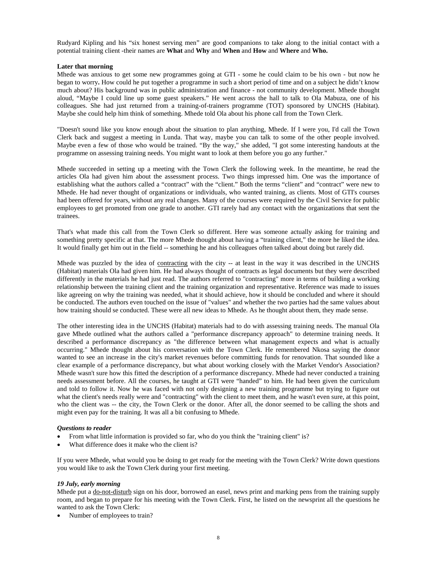Rudyard Kipling and his "six honest serving men" are good companions to take along to the initial contact with a potential training client -their names are **What** and **Why** and **When** and **How** and **Where** and **Who.**

#### **Later that morning**

Mhede was anxious to get some new programmes going at GTI - some he could claim to be his own - but now he began to worry**.** How could he put together a programme in such a short period of time and on a subject he didn't know much about? His background was in public administration and finance - not community development. Mhede thought aloud, "Maybe I could line up some guest speakers." He went across the hall to talk to Ola Mabuza, one of his colleagues. She had just returned from a training-of-trainers programme (TOT) sponsored by UNCHS (Habitat). Maybe she could help him think of something. Mhede told Ola about his phone call from the Town Clerk.

"Doesn't sound like you know enough about the situation to plan anything, Mhede. If I were you, I'd call the Town Clerk back and suggest a meeting in Lunda. That way, maybe you can talk to some of the other people involved. Maybe even a few of those who would be trained. "By the way," she added, "I got some interesting handouts at the programme on assessing training needs. You might want to look at them before you go any further."

Mhede succeeded in setting up a meeting with the Town Clerk the following week. In the meantime, he read the articles Ola had given him about the assessment process. Two things impressed him. One was the importance of establishing what the authors called a "contract" with the "client." Both the terms "client" and "contract" were new to Mhede. He had never thought of organizations or individuals, who wanted training, as clients. Most of GTI's courses had been offered for years, without any real changes. Many of the courses were required by the Civil Service for public employees to get promoted from one grade to another. GTI rarely had any contact with the organizations that sent the trainees.

That's what made this call from the Town Clerk so different. Here was someone actually asking for training and something pretty specific at that. The more Mhede thought about having a "training client," the more he liked the idea. It would finally get him out in the field -- something he and his colleagues often talked about doing but rarely did.

Mhede was puzzled by the idea of contracting with the city -- at least in the way it was described in the UNCHS (Habitat) materials Ola had given him. He had always thought of contracts as legal documents but they were described differently in the materials he had just read. The authors referred to "contracting" more in terms of building a working relationship between the training client and the training organization and representative. Reference was made to issues like agreeing on why the training was needed, what it should achieve, how it should be concluded and where it should be conducted. The authors even touched on the issue of "values" and whether the two parties had the same values about how training should se conducted. These were all new ideas to Mhede. As he thought about them, they made sense.

The other interesting idea in the UNCHS (Habitat) materials had to do with assessing training needs. The manual Ola gave Mhede outlined what the authors called a "performance discrepancy approach" to determine training needs. It described a performance discrepancy as "the difference between what management expects and what is actually occurring." Mhede thought about his conversation with the Town Clerk. He remembered Nkosa saying the donor wanted to see an increase in the city's market revenues before committing funds for renovation. That sounded like a clear example of a performance discrepancy, but what about working closely with the Market Vendor's Association? Mhede wasn't sure how this fitted the description of a performance discrepancy. Mhede had never conducted a training needs assessment before. All the courses, he taught at GTI were "handed" to him. He had been given the curriculum and told to follow it. Now he was faced with not only designing a new training programme but trying to figure out what the client's needs really were and "contracting" with the client to meet them, and he wasn't even sure, at this point, who the client was -- the city, the Town Clerk or the donor. After all, the donor seemed to be calling the shots and might even pay for the training. It was all a bit confusing to Mhede.

#### *Questions to reader*

- From what little information is provided so far, who do you think the "training client" is?
- What difference does it make who the client is?

If you were Mhede, what would you be doing to get ready for the meeting with the Town Clerk? Write down questions you would like to ask the Town Clerk during your first meeting.

#### *19 July, early morning*

Mhede put a do-not-disturb sign on his door, borrowed an easel, news print and marking pens from the training supply room, and began to prepare for his meeting with the Town Clerk. First, he listed on the newsprint all the questions he wanted to ask the Town Clerk:

Number of employees to train?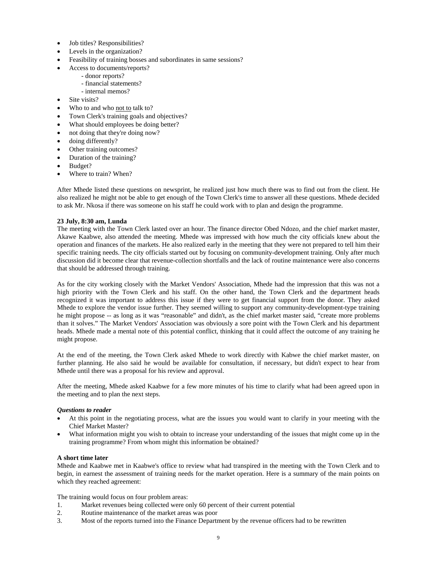- Job titles? Responsibilities?
- Levels in the organization?
- Feasibility of training bosses and subordinates in same sessions?
	- Access to documents/reports?
		- donor reports?
		- financial statements?
	- internal memos?
- Site visits?
- Who to and who not to talk to?
- Town Clerk's training goals and objectives?
- What should employees be doing better?
- not doing that they're doing now?
- doing differently?
- Other training outcomes?
- Duration of the training?
- Budget?
- Where to train? When?

After Mhede listed these questions on newsprint, he realized just how much there was to find out from the client. He also realized he might not be able to get enough of the Town Clerk's time to answer all these questions. Mhede decided to ask Mr. Nkosa if there was someone on his staff he could work with to plan and design the programme.

#### **23 July, 8:30 am, Lunda**

The meeting with the Town Clerk lasted over an hour. The finance director Obed Ndozo, and the chief market master, Akawe Kaabwe, also attended the meeting. Mhede was impressed with how much the city officials knew about the operation and finances of the markets. He also realized early in the meeting that they were not prepared to tell him their specific training needs. The city officials started out by focusing on community-development training. Only after much discussion did it become clear that revenue-collection shortfalls and the lack of routine maintenance were also concerns that should be addressed through training.

As for the city working closely with the Market Vendors' Association, Mhede had the impression that this was not a high priority with the Town Clerk and his staff. On the other hand, the Town Clerk and the department heads recognized it was important to address this issue if they were to get financial support from the donor. They asked Mhede to explore the vendor issue further. They seemed willing to support any community-development-type training he might propose -- as long as it was "reasonable" and didn't, as the chief market master said, "create more problems than it solves." The Market Vendors' Association was obviously a sore point with the Town Clerk and his department heads. Mhede made a mental note of this potential conflict, thinking that it could affect the outcome of any training he might propose.

At the end of the meeting, the Town Clerk asked Mhede to work directly with Kabwe the chief market master, on further planning. He also said he would be available for consultation, if necessary, but didn't expect to hear from Mhede until there was a proposal for his review and approval.

After the meeting, Mhede asked Kaabwe for a few more minutes of his time to clarify what had been agreed upon in the meeting and to plan the next steps.

#### *Questions to reader*

- At this point in the negotiating process, what are the issues you would want to clarify in your meeting with the Chief Market Master?
- What information might you wish to obtain to increase your understanding of the issues that might come up in the training programme? From whom might this information be obtained?

#### **A short time later**

Mhede and Kaabwe met in Kaabwe's office to review what had transpired in the meeting with the Town Clerk and to begin, in earnest the assessment of training needs for the market operation. Here is a summary of the main points on which they reached agreement:

The training would focus on four problem areas:

- 1. Market revenues being collected were only 60 percent of their current potential
- 2. Routine maintenance of the market areas was poor
- 3. Most of the reports turned into the Finance Department by the revenue officers had to be rewritten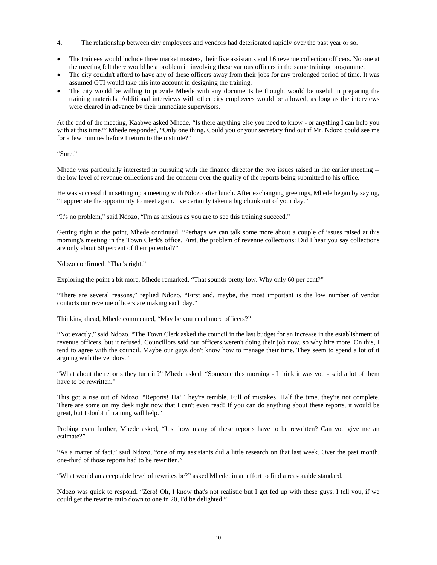- 4. The relationship between city employees and vendors had deteriorated rapidly over the past year or so.
- The trainees would include three market masters, their five assistants and 16 revenue collection officers. No one at the meeting felt there would be a problem in involving these various officers in the same training programme.
- The city couldn't afford to have any of these officers away from their jobs for any prolonged period of time. It was assumed GTI would take this into account in designing the training.
- The city would be willing to provide Mhede with any documents he thought would be useful in preparing the training materials. Additional interviews with other city employees would be allowed, as long as the interviews were cleared in advance by their immediate supervisors.

At the end of the meeting, Kaabwe asked Mhede, "Is there anything else you need to know - or anything I can help you with at this time?" Mhede responded, "Only one thing. Could you or your secretary find out if Mr. Ndozo could see me for a few minutes before I return to the institute?"

"Sure."

Mhede was particularly interested in pursuing with the finance director the two issues raised in the earlier meeting - the low level of revenue collections and the concern over the quality of the reports being submitted to his office.

He was successful in setting up a meeting with Ndozo after lunch. After exchanging greetings, Mhede began by saying, "I appreciate the opportunity to meet again. I've certainly taken a big chunk out of your day."

"It's no problem," said Ndozo, "I'm as anxious as you are to see this training succeed."

Getting right to the point, Mhede continued, "Perhaps we can talk some more about a couple of issues raised at this morning's meeting in the Town Clerk's office. First, the problem of revenue collections: Did I hear you say collections are only about 60 percent of their potential?"

Ndozo confirmed, "That's right."

Exploring the point a bit more, Mhede remarked, "That sounds pretty low. Why only 60 per cent?"

"There are several reasons," replied Ndozo. "First and, maybe, the most important is the low number of vendor contacts our revenue officers are making each day."

Thinking ahead, Mhede commented, "May be you need more officers?"

"Not exactly," said Ndozo. "The Town Clerk asked the council in the last budget for an increase in the establishment of revenue officers, but it refused. Councillors said our officers weren't doing their job now, so why hire more. On this, I tend to agree with the council. Maybe our guys don't know how to manage their time. They seem to spend a lot of it arguing with the vendors."

"What about the reports they turn in?" Mhede asked. "Someone this morning - I think it was you - said a lot of them have to be rewritten."

This got a rise out of Ndozo. "Reports! Ha! They're terrible. Full of mistakes. Half the time, they're not complete. There are some on my desk right now that I can't even read! If you can do anything about these reports, it would be great, but I doubt if training will help."

Probing even further, Mhede asked, "Just how many of these reports have to be rewritten? Can you give me an estimate?"

"As a matter of fact," said Ndozo, "one of my assistants did a little research on that last week. Over the past month, one-third of those reports had to be rewritten."

"What would an acceptable level of rewrites be?" asked Mhede, in an effort to find a reasonable standard.

Ndozo was quick to respond. "Zero! Oh, I know that's not realistic but I get fed up with these guys. I tell you, if we could get the rewrite ratio down to one in 20, I'd be delighted."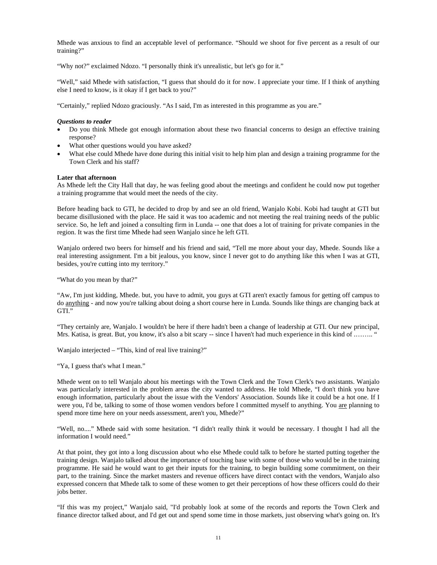Mhede was anxious to find an acceptable level of performance. "Should we shoot for five percent as a result of our training?"

"Why not?" exclaimed Ndozo. "I personally think it's unrealistic, but let's go for it."

"Well," said Mhede with satisfaction, "I guess that should do it for now. I appreciate your time. If I think of anything else I need to know, is it okay if I get back to you?"

"Certainly," replied Ndozo graciously. "As I said, I'm as interested in this programme as you are."

#### *Questions to reader*

- Do you think Mhede got enough information about these two financial concerns to design an effective training response?
- What other questions would you have asked?
- What else could Mhede have done during this initial visit to help him plan and design a training programme for the Town Clerk and his staff?

#### **Later that afternoon**

As Mhede left the City Hall that day, he was feeling good about the meetings and confident he could now put together a training programme that would meet the needs of the city.

Before heading back to GTI, he decided to drop by and see an old friend, Wanjalo Kobi. Kobi had taught at GTI but became disillusioned with the place. He said it was too academic and not meeting the real training needs of the public service. So, he left and joined a consulting firm in Lunda -- one that does a lot of training for private companies in the region. It was the first time Mhede had seen Wanjalo since he left GTI.

Wanjalo ordered two beers for himself and his friend and said, "Tell me more about your day, Mhede. Sounds like a real interesting assignment. I'm a bit jealous, you know, since I never got to do anything like this when I was at GTI, besides, you're cutting into my territory."

"What do you mean by that?"

"Aw, I'm just kidding, Mhede. but, you have to admit, you guys at GTI aren't exactly famous for getting off campus to do anything - and now you're talking about doing a short course here in Lunda. Sounds like things are changing back at GTI."

"They certainly are, Wanjalo. I wouldn't be here if there hadn't been a change of leadership at GTI. Our new principal, Mrs. Katisa, is great. But, you know, it's also a bit scary -- since I haven't had much experience in this kind of .........

Wanjalo interjected – "This, kind of real live training?"

"Ya, I guess that's what I mean."

Mhede went on to tell Wanjalo about his meetings with the Town Clerk and the Town Clerk's two assistants. Wanjalo was particularly interested in the problem areas the city wanted to address. He told Mhede, "I don't think you have enough information, particularly about the issue with the Vendors' Association. Sounds like it could be a hot one. If I were you, I'd be, talking to some of those women vendors before I committed myself to anything. You are planning to spend more time here on your needs assessment, aren't you, Mhede?"

"Well, no...." Mhede said with some hesitation. "I didn't really think it would be necessary. I thought I had all the information I would need."

At that point, they got into a long discussion about who else Mhede could talk to before he started putting together the training design. Wanjalo talked about the importance of touching base with some of those who would be in the training programme. He said he would want to get their inputs for the training, to begin building some commitment, on their part, to the training. Since the market masters and revenue officers have direct contact with the vendors, Wanjalo also expressed concern that Mhede talk to some of these women to get their perceptions of how these officers could do their jobs better.

"If this was my project," Wanjalo said, "I'd probably look at some of the records and reports the Town Clerk and finance director talked about, and I'd get out and spend some time in those markets, just observing what's going on. It's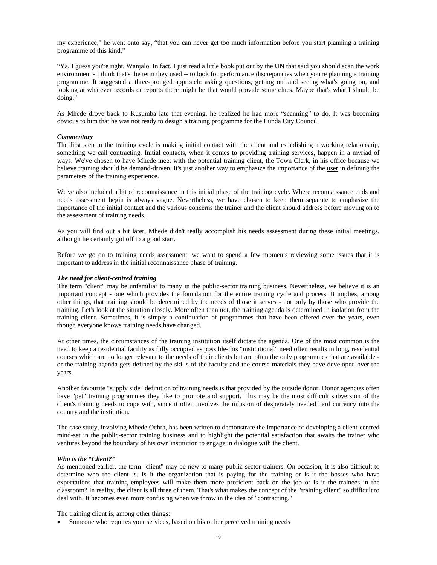my experience," he went onto say, "that you can never get too much information before you start planning a training programme of this kind."

"Ya, I guess you're right, Wanjalo. In fact, I just read a little book put out by the UN that said you should scan the work environment - I think that's the term they used -- to look for performance discrepancies when you're planning a training programme. It suggested a three-pronged approach: asking questions, getting out and seeing what's going on, and looking at whatever records or reports there might be that would provide some clues. Maybe that's what I should be doing."

As Mhede drove back to Kusumba late that evening, he realized he had more "scanning" to do. It was becoming obvious to him that he was not ready to design a training programme for the Lunda City Council.

#### *Commentary*

The first step in the training cycle is making initial contact with the client and establishing a working relationship, something we call contracting. Initial contacts, when it comes to providing training services, happen in a myriad of ways. We've chosen to have Mhede meet with the potential training client, the Town Clerk, in his office because we believe training should be demand-driven. It's just another way to emphasize the importance of the user in defining the parameters of the training experience.

We've also included a bit of reconnaissance in this initial phase of the training cycle. Where reconnaissance ends and needs assessment begin is always vague. Nevertheless, we have chosen to keep them separate to emphasize the importance of the initial contact and the various concerns the trainer and the client should address before moving on to the assessment of training needs.

As you will find out a bit later, Mhede didn't really accomplish his needs assessment during these initial meetings, although he certainly got off to a good start.

Before we go on to training needs assessment, we want to spend a few moments reviewing some issues that it is important to address in the initial reconnaissance phase of training.

#### *The need for client-centred training*

The term "client" may be unfamiliar to many in the public-sector training business. Nevertheless, we believe it is an important concept - one which provides the foundation for the entire training cycle and process. It implies, among other things, that training should be determined by the needs of those it serves - not only by those who provide the training. Let's look at the situation closely. More often than not, the training agenda is determined in isolation from the training client. Sometimes, it is simply a continuation of programmes that have been offered over the years, even though everyone knows training needs have changed.

At other times, the circumstances of the training institution itself dictate the agenda. One of the most common is the need to keep a residential facility as fully occupied as possible-this "institutional" need often results in long, residential courses which are no longer relevant to the needs of their clients but are often the only programmes that are available or the training agenda gets defined by the skills of the faculty and the course materials they have developed over the years.

Another favourite "supply side" definition of training needs is that provided by the outside donor. Donor agencies often have "pet" training programmes they like to promote and support. This may be the most difficult subversion of the client's training needs to cope with, since it often involves the infusion of desperately needed hard currency into the country and the institution.

The case study, involving Mhede Ochra, has been written to demonstrate the importance of developing a client-centred mind-set in the public-sector training business and to highlight the potential satisfaction that awaits the trainer who ventures beyond the boundary of his own institution to engage in dialogue with the client.

#### *Who is the "Client?"*

As mentioned earlier, the term "client" may be new to many public-sector trainers. On occasion, it is also difficult to determine who the client is. Is it the organization that is paying for the training or is it the bosses who have expectations that training employees will make them more proficient back on the job or is it the trainees in the classroom? In reality, the client is all three of them. That's what makes the concept of the "training client" so difficult to deal with. It becomes even more confusing when we throw in the idea of "contracting."

The training client is, among other things:

Someone who requires your services, based on his or her perceived training needs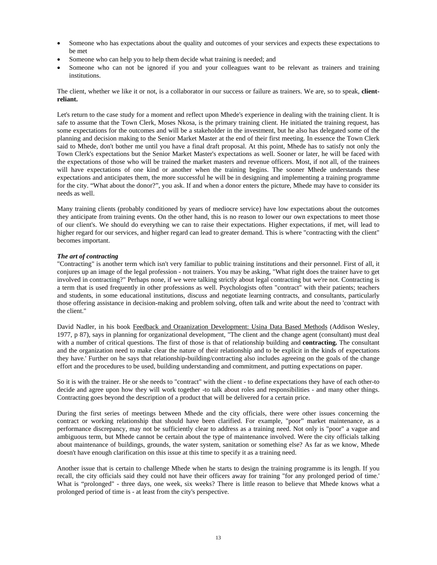- Someone who has expectations about the quality and outcomes of your services and expects these expectations to be met
- Someone who can help you to help them decide what training is needed; and
- Someone who can not be ignored if you and your colleagues want to be relevant as trainers and training institutions.

The client, whether we like it or not, is a collaborator in our success or failure as trainers. We are, so to speak, **clientreliant.**

Let's return to the case study for a moment and reflect upon Mhede's experience in dealing with the training client. It is safe to assume that the Town Clerk, Moses Nkosa, is the primary training client. He initiated the training request, has some expectations for the outcomes and will be a stakeholder in the investment, but he also has delegated some of the planning and decision making to the Senior Market Master at the end of their first meeting. In essence the Town Clerk said to Mhede, don't bother me until you have a final draft proposal. At this point, Mhede has to satisfy not only the Town Clerk's expectations but the Senior Market Master's expectations as well. Sooner or later, he will be faced with the expectations of those who will be trained the market masters and revenue officers. Most, if not all, of the trainees will have expectations of one kind or another when the training begins. The sooner Mhede understands these expectations and anticipates them, the more successful he will be in designing and implementing a training programme for the city. "What about the donor?", you ask. If and when a donor enters the picture, Mhede may have to consider its needs as well.

Many training clients (probably conditioned by years of mediocre service) have low expectations about the outcomes they anticipate from training events. On the other hand, this is no reason to lower our own expectations to meet those of our client's. We should do everything we can to raise their expectations. Higher expectations, if met, will lead to higher regard for our services, and higher regard can lead to greater demand. This is where "contracting with the client" becomes important.

#### *The art of contracting*

"Contracting" is another term which isn't very familiar to public training institutions and their personnel. First of all, it conjures up an image of the legal profession - not trainers. You may be asking, "What right does the trainer have to get involved in contracting?" Perhaps none, if we were talking strictly about legal contracting but we're not. Contracting is a term that is used frequently in other professions as well. Psychologists often "contract" with their patients; teachers and students, in some educational institutions, discuss and negotiate learning contracts, and consultants, particularly those offering assistance in decision-making and problem solving, often talk and write about the need to 'contract with the client."

David Nadler, in his book Feedback and Oraanization Development: Usina Data Based Methods (Addison Wesley, 1977, p 87), says in planning for organizational development, "The client and the change agent (consultant) must deal with a number of critical questions. The first of those is that of relationship building and **contracting.** The consultant and the organization need to make clear the nature of their relationship and to be explicit in the kinds of expectations they have.' Further on he says that relationship-building/contracting also includes agreeing on the goals of the change effort and the procedures to be used, building understanding and commitment, and putting expectations on paper.

So it is with the trainer. He or she needs to "contract" with the client - to define expectations they have of each other-to decide and agree upon how they will work together -to talk about roles and responsibilities - and many other things. Contracting goes beyond the description of a product that will be delivered for a certain price.

During the first series of meetings between Mhede and the city officials, there were other issues concerning the contract or working relationship that should have been clarified. For example, "poor" market maintenance, as a performance discrepancy, may not be sufficiently clear to address as a training need. Not only is "poor" a vague and ambiguous term, but Mhede cannot be certain about the type of maintenance involved. Were the city officials talking about maintenance of buildings, grounds, the water system, sanitation or something else? As far as we know, Mhede doesn't have enough clarification on this issue at this time to specify it as a training need.

Another issue that is certain to challenge Mhede when he starts to design the training programme is its length. If you recall, the city officials said they could not have their officers away for training "for any prolonged period of time.' What is "prolonged" - three days, one week, six weeks? There is little reason to believe that Mhede knows what a prolonged period of time is - at least from the city's perspective.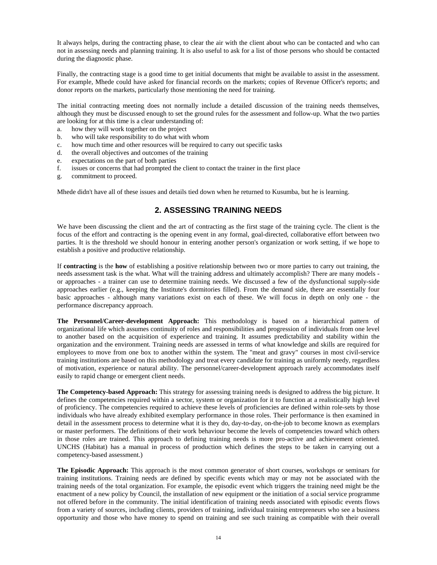It always helps, during the contracting phase, to clear the air with the client about who can be contacted and who can not in assessing needs and planning training. It is also useful to ask for a list of those persons who should be contacted during the diagnostic phase.

Finally, the contracting stage is a good time to get initial documents that might be available to assist in the assessment. For example, Mhede could have asked for financial records on the markets; copies of Revenue Officer's reports; and donor reports on the markets, particularly those mentioning the need for training.

The initial contracting meeting does not normally include a detailed discussion of the training needs themselves, although they must be discussed enough to set the ground rules for the assessment and follow-up. What the two parties are looking for at this time is a clear understanding of:

- a. how they will work together on the project
- b. who will take responsibility to do what with whom
- c. how much time and other resources will be required to carry out specific tasks
- d. the overall objectives and outcomes of the training
- e. expectations on the part of both parties
- f. issues or concerns that had prompted the client to contact the trainer in the first place
- g. commitment to proceed.

Mhede didn't have all of these issues and details tied down when he returned to Kusumba, but he is learning.

## **2. ASSESSING TRAINING NEEDS**

We have been discussing the client and the art of contracting as the first stage of the training cycle. The client is the focus of the effort and contracting is the opening event in any formal, goal-directed, collaborative effort between two parties. It is the threshold we should honour in entering another person's organization or work setting, if we hope to establish a positive and productive relationship.

If **contracting** is the **how** of establishing a positive relationship between two or more parties to carry out training, the needs assessment task is the what. What will the training address and ultimately accomplish? There are many models or approaches - a trainer can use to determine training needs. We discussed a few of the dysfunctional supply-side approaches earlier (e.g., keeping the Institute's dormitories filled). From the demand side, there are essentially four basic approaches - although many variations exist on each of these. We will focus in depth on only one - the performance discrepancy approach.

**The Personnel/Career-development Approach:** This methodology is based on a hierarchical pattern of organizational life which assumes continuity of roles and responsibilities and progression of individuals from one level to another based on the acquisition of experience and training. It assumes predictability and stability within the organization and the environment. Training needs are assessed in terms of what knowledge and skills are required for employees to move from one box to another within the system. The "meat and gravy" courses in most civil-service training institutions are based on this methodology and treat every candidate for training as uniformly needy, regardless of motivation, experience or natural ability. The personnel/career-development approach rarely accommodates itself easily to rapid change or emergent client needs.

**The Competency-based Approach:** This strategy for assessing training needs is designed to address the big picture. It defines the competencies required within a sector, system or organization for it to function at a realistically high level of proficiency. The competencies required to achieve these levels of proficiencies are defined within role-sets by those individuals who have already exhibited exemplary performance in those roles. Their performance is then examined in detail in the assessment process to determine what it is they do, day-to-day, on-the-job to become known as exemplars or master performers. The definitions of their work behaviour become the levels of competencies toward which others in those roles are trained. This approach to defining training needs is more pro-active and achievement oriented. UNCHS (Habitat) has a manual in process of production which defines the steps to be taken in carrying out a competency-based assessment.)

**The Episodic Approach:** This approach is the most common generator of short courses, workshops or seminars for training institutions. Training needs are defined by specific events which may or may not be associated with the training needs of the total organization. For example, the episodic event which triggers the training need might be the enactment of a new policy by Council, the installation of new equipment or the initiation of a social service programme not offered before in the community. The initial identification of training needs associated with episodic events flows from a variety of sources, including clients, providers of training, individual training entrepreneurs who see a business opportunity and those who have money to spend on training and see such training as compatible with their overall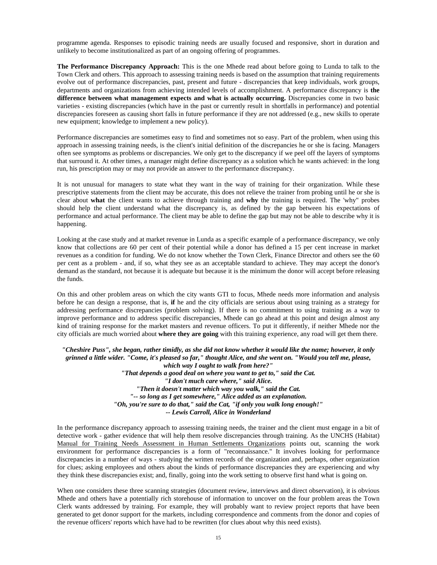programme agenda. Responses to episodic training needs are usually focused and responsive, short in duration and unlikely to become institutionalized as part of an ongoing offering of programmes.

**The Performance Discrepancy Approach:** This is the one Mhede read about before going to Lunda to talk to the Town Clerk and others. This approach to assessing training needs is based on the assumption that training requirements evolve out of performance discrepancies, past, present and future - discrepancies that keep individuals, work groups, departments and organizations from achieving intended levels of accomplishment. A performance discrepancy is **the difference between what management expects and what is actually occurring.** Discrepancies come in two basic varieties - existing discrepancies (which have in the past or currently result in shortfalls in performance) and potential discrepancies foreseen as causing short falls in future performance if they are not addressed (e.g., new skills to operate new equipment; knowledge to implement a new policy).

Performance discrepancies are sometimes easy to find and sometimes not so easy. Part of the problem, when using this approach in assessing training needs, is the client's initial definition of the discrepancies he or she is facing. Managers often see symptoms as problems or discrepancies. We only get to the discrepancy if we peel off the layers of symptoms that surround it. At other times, a manager might define discrepancy as a solution which he wants achieved: in the long run, his prescription may or may not provide an answer to the performance discrepancy.

It is not unusual for managers to state what they want in the way of training for their organization. While these prescriptive statements from the client may be accurate, this does not relieve the trainer from probing until he or she is clear about **what** the client wants to achieve through training and **why** the training is required. The 'why" probes should help the client understand what the discrepancy is, as defined by the gap between his expectations of performance and actual performance. The client may be able to define the gap but may not be able to describe why it is happening.

Looking at the case study and at market revenue in Lunda as a specific example of a performance discrepancy, we only know that collections are 60 per cent of their potential while a donor has defined a 15 per cent increase in market revenues as a condition for funding. We do not know whether the Town Clerk, Finance Director and others see the 60 per cent as a problem - and, if so, what they see as an acceptable standard to achieve. They may accept the donor's demand as the standard, not because it is adequate but because it is the minimum the donor will accept before releasing the funds.

On this and other problem areas on which the city wants GTI to focus, Mhede needs more information and analysis before he can design a response, that is, **if** he and the city officials are serious about using training as a strategy for addressing performance discrepancies (problem solving). If there is no commitment to using training as a way to improve performance and to address specific discrepancies, Mhede can go ahead at this point and design almost any kind of training response for the market masters and revenue officers. To put it differently, if neither Mhede nor the city officials are much worried about **where they are going** with this training experience, any road will get them there.

*"Cheshire Puss", she began, rather timidly, as she did not know whether it would like the name; however, it only grinned a little wider. "Come, it's pleased so far," thought Alice, and she went on. "Would you tell me, please, which way I ought to walk from here?" "That depends a good deal on where you want to get to," said the Cat. "I don't much care where," said Alice. "Then it doesn't matter which way you walk," said the Cat. "-- so long as I get somewhere," Alice added as an explanation. "Oh, you're sure to do that," said the Cat, "if only you walk long enough!" -- Lewis Carroll, Alice in Wonderland* 

In the performance discrepancy approach to assessing training needs, the trainer and the client must engage in a bit of detective work - gather evidence that will help them resolve discrepancies through training. As the UNCHS (Habitat) Manual for Training Needs Assessment in Human Settlements Organizations points out, scanning the work environment for performance discrepancies is a form of "reconnaissance." It involves looking for performance discrepancies in a number of ways - studying the written records of the organization and, perhaps, other organization for clues; asking employees and others about the kinds of performance discrepancies they are experiencing and why they think these discrepancies exist; and, finally, going into the work setting to observe first hand what is going on.

When one considers these three scanning strategies (document review, interviews and direct observation), it is obvious Mhede and others have a potentially rich storehouse of information to uncover on the four problem areas the Town Clerk wants addressed by training. For example, they will probably want to review project reports that have been generated to get donor support for the markets, including correspondence and comments from the donor and copies of the revenue officers' reports which have had to be rewritten (for clues about why this need exists).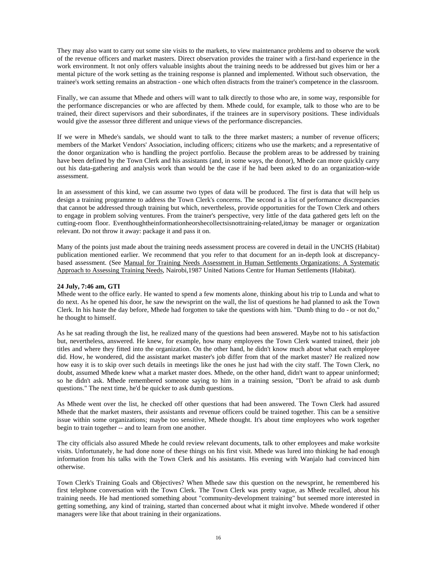They may also want to carry out some site visits to the markets, to view maintenance problems and to observe the work of the revenue officers and market masters. Direct observation provides the trainer with a first-hand experience in the work environment. It not only offers valuable insights about the training needs to be addressed but gives him or her a mental picture of the work setting as the training response is planned and implemented. Without such observation, the trainee's work setting remains an abstraction - one which often distracts from the trainer's competence in the classroom.

Finally, we can assume that Mhede and others will want to talk directly to those who are, in some way, responsible for the performance discrepancies or who are affected by them. Mhede could, for example, talk to those who are to be trained, their direct supervisors and their subordinates, if the trainees are in supervisory positions. These individuals would give the assessor three different and unique views of the performance discrepancies.

If we were in Mhede's sandals, we should want to talk to the three market masters; a number of revenue officers; members of the Market Vendors' Association, including officers; citizens who use the markets; and a representative of the donor organization who is handling the project portfolio. Because the problem areas to be addressed by training have been defined by the Town Clerk and his assistants (and, in some ways, the donor), Mhede can more quickly carry out his data-gathering and analysis work than would be the case if he had been asked to do an organization-wide assessment.

In an assessment of this kind, we can assume two types of data will be produced. The first is data that will help us design a training programme to address the Town Clerk's concerns. The second is a list of performance discrepancies that cannot be addressed through training but which, nevertheless, provide opportunities for the Town Clerk and others to engage in problem solving ventures. From the trainer's perspective, very little of the data gathered gets left on the cutting-room floor. Eventhoughtheinformationheorshecollectsisnottraining-related,itmay be manager or organization relevant. Do not throw it away: package it and pass it on.

Many of the points just made about the training needs assessment process are covered in detail in the UNCHS (Habitat) publication mentioned earlier. We recommend that you refer to that document for an in-depth look at discrepancybased assessment. (See Manual for Training Needs Assessment in Human Settlements Organizations: A Systematic Approach to Assessing Training Needs, Nairobi,1987 United Nations Centre for Human Settlements (Habitat).

#### **24 July, 7:46 am, GTI**

Mhede went to the office early. He wanted to spend a few moments alone, thinking about his trip to Lunda and what to do next. As he opened his door, he saw the newsprint on the wall, the list of questions he had planned to ask the Town Clerk. In his haste the day before, Mhede had forgotten to take the questions with him. "Dumb thing to do - or not do," he thought to himself.

As he sat reading through the list, he realized many of the questions had been answered. Maybe not to his satisfaction but, nevertheless, answered. He knew, for example, how many employees the Town Clerk wanted trained, their job titles and where they fitted into the organization. On the other hand, he didn't know much about what each employee did. How, he wondered, did the assistant market master's job differ from that of the market master? He realized now how easy it is to skip over such details in meetings like the ones he just had with the city staff. The Town Clerk, no doubt, assumed Mhede knew what a market master does. Mhede, on the other hand, didn't want to appear uninformed; so he didn't ask. Mhede remembered someone saying to him in a training session, "Don't be afraid to ask dumb questions." The next time, he'd be quicker to ask dumb questions.

As Mhede went over the list, he checked off other questions that had been answered. The Town Clerk had assured Mhede that the market masters, their assistants and revenue officers could be trained together. This can be a sensitive issue within some organizations; maybe too sensitive, Mhede thought. It's about time employees who work together begin to train together -- and to learn from one another.

The city officials also assured Mhede he could review relevant documents, talk to other employees and make worksite visits. Unfortunately, he had done none of these things on his first visit. Mhede was lured into thinking he had enough information from his talks with the Town Clerk and his assistants. His evening with Wanjalo had convinced him otherwise.

Town Clerk's Training Goals and Objectives? When Mhede saw this question on the newsprint, he remembered his first telephone conversation with the Town Clerk. The Town Clerk was pretty vague, as Mhede recalled, about his training needs. He had mentioned something about "community-development training" but seemed more interested in getting something, any kind of training, started than concerned about what it might involve. Mhede wondered if other managers were like that about training in their organizations.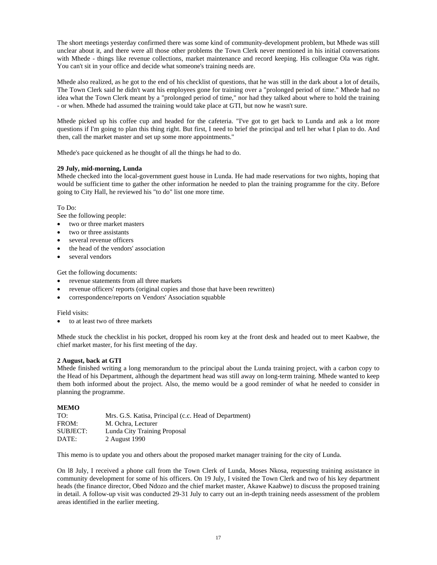The short meetings yesterday confirmed there was some kind of community-development problem, but Mhede was still unclear about it, and there were all those other problems the Town Clerk never mentioned in his initial conversations with Mhede - things like revenue collections, market maintenance and record keeping. His colleague Ola was right. You can't sit in your office and decide what someone's training needs are.

Mhede also realized, as he got to the end of his checklist of questions, that he was still in the dark about a lot of details, The Town Clerk said he didn't want his employees gone for training over a "prolonged period of time." Mhede had no idea what the Town Clerk meant by a "prolonged period of time," nor had they talked about where to hold the training - or when. Mhede had assumed the training would take place at GTI, but now he wasn't sure.

Mhede picked up his coffee cup and headed for the cafeteria. "I've got to get back to Lunda and ask a lot more questions if I'm going to plan this thing right. But first, I need to brief the principal and tell her what I plan to do. And then, call the market master and set up some more appointments."

Mhede's pace quickened as he thought of all the things he had to do.

#### **29 July, mid-morning, Lunda**

Mhede checked into the local-government guest house in Lunda. He had made reservations for two nights, hoping that would be sufficient time to gather the other information he needed to plan the training programme for the city. Before going to City Hall, he reviewed his "to do" list one more time.

#### To Do:

See the following people:

- two or three market masters
- two or three assistants
- several revenue officers
- the head of the vendors' association
- several vendors

Get the following documents:

- revenue statements from all three markets
- revenue officers' reports (original copies and those that have been rewritten)
- correspondence/reports on Vendors' Association squabble

Field visits:

• to at least two of three markets

Mhede stuck the checklist in his pocket, dropped his room key at the front desk and headed out to meet Kaabwe, the chief market master, for his first meeting of the day.

#### **2 August, back at GTI**

Mhede finished writing a long memorandum to the principal about the Lunda training project, with a carbon copy to the Head of his Department, although the department head was still away on long-term training. Mhede wanted to keep them both informed about the project. Also, the memo would be a good reminder of what he needed to consider in planning the programme.

#### **MEMO**

| TO:      | Mrs. G.S. Katisa, Principal (c.c. Head of Department) |
|----------|-------------------------------------------------------|
| FROM:    | M. Ochra. Lecturer                                    |
| SUBJECT: | Lunda City Training Proposal                          |
| DATE:    | 2 August 1990                                         |

This memo is to update you and others about the proposed market manager training for the city of Lunda.

On l8 July, I received a phone call from the Town Clerk of Lunda, Moses Nkosa, requesting training assistance in community development for some of his officers. On 19 July, I visited the Town Clerk and two of his key department heads (the finance director, Obed Ndozo and the chief market master, Akawe Kaabwe) to discuss the proposed training in detail. A follow-up visit was conducted 29-31 July to carry out an in-depth training needs assessment of the problem areas identified in the earlier meeting.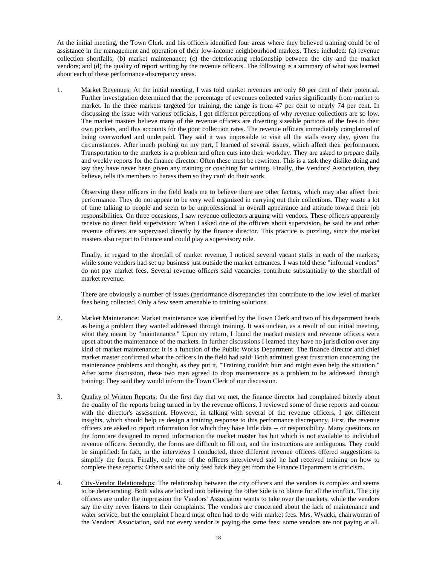At the initial meeting, the Town Clerk and his officers identified four areas where they believed training could be of assistance in the management and operation of their low-income neighbourhood markets. These included: (a) revenue collection shortfalls; (b) market maintenance; (c) the deteriorating relationship between the city and the market vendors; and (d) the quality of report writing by the revenue officers. The following is a summary of what was learned about each of these performance-discrepancy areas.

1. Market Revenues: At the initial meeting, I was told market revenues are only 60 per cent of their potential. Further investigation determined that the percentage of revenues collected varies significantly from market to market. In the three markets targeted for training, the range is from 47 per cent to nearly 74 per cent. In discussing the issue with various officials, I got different perceptions of why revenue collections are so low. The market masters believe many of the revenue officers are diverting sizeable portions of the fees to their own pockets, and this accounts for the poor collection rates. The revenue officers immediately complained of being overworked and underpaid. They said it was impossible to visit all the stalls every day, given the circumstances. After much probing on my part, I learned of several issues, which affect their performance. Transportation to the markets is a problem and often cuts into their workday. They are asked to prepare daily and weekly reports for the finance director: Often these must be rewritten. This is a task they dislike doing and say they have never been given any training or coaching for writing. Finally, the Vendors' Association, they believe, tells it's members to harass them so they can't do their work.

Observing these officers in the field leads me to believe there are other factors, which may also affect their performance. They do not appear to be very well organized in carrying out their collections. They waste a lot of time talking to people and seem to be unprofessional in overall appearance and attitude toward their job responsibilities. On three occasions, I saw revenue collectors arguing with vendors. These officers apparently receive no direct field supervision: When I asked one of the officers about supervision, he said he and other revenue officers are supervised directly by the finance director. This practice is puzzling, since the market masters also report to Finance and could play a supervisory role.

Finally, in regard to the shortfall of market revenue, I noticed several vacant stalls in each of the markets, while some vendors had set up business just outside the market entrances. I was told these "informal vendors" do not pay market fees. Several revenue officers said vacancies contribute substantially to the shortfall of market revenue.

There are obviously a number of issues (performance discrepancies that contribute to the low level of market fees being collected. Only a few seem amenable to training solutions.

- 2. Market Maintenance: Market maintenance was identified by the Town Clerk and two of his department heads as being a problem they wanted addressed through training. It was unclear, as a result of our initial meeting, what they meant by "maintenance." Upon my return, I found the market masters and revenue officers were upset about the maintenance of the markets. In further discussions I learned they have no jurisdiction over any kind of market maintenance: It is a function of the Public Works Department. The finance director and chief market master confirmed what the officers in the field had said: Both admitted great frustration concerning the maintenance problems and thought, as they put it, "Training couldn't hurt and might even help the situation." After some discussion, these two men agreed to drop maintenance as a problem to be addressed through training: They said they would inform the Town Clerk of our discussion.
- 3. Quality of Written Reports: On the first day that we met, the finance director had complained bitterly about the quality of the reports being turned in by the revenue officers. I reviewed some of these reports and concur with the director's assessment. However, in talking with several of the revenue officers, I got different insights, which should help us design a training response to this performance discrepancy. First, the revenue officers are asked to report information for which they have little data -- or responsibility. Many questions on the form are designed to record information the market master has but which is not available to individual revenue officers. Secondly, the forms are difficult to fill out, and the instructions are ambiguous. They could be simplified: In fact, in the interviews I conducted, three different revenue officers offered suggestions to simplify the forms. Finally, only one of the officers interviewed said he had received training on how to complete these reports: Others said the only feed back they get from the Finance Department is criticism.
- 4. City-Vendor Relationships: The relationship between the city officers and the vendors is complex and seems to be deteriorating. Both sides are locked into believing the other side is to blame for all the conflict. The city officers are under the impression the Vendors' Association wants to take over the markets, while the vendors say the city never listens to their complaints. The vendors are concerned about the lack of maintenance and water service, but the complaint I heard most often had to do with market fees. Mrs. Wyacki, chairwoman of the Vendors' Association, said not every vendor is paying the same fees: some vendors are not paying at all.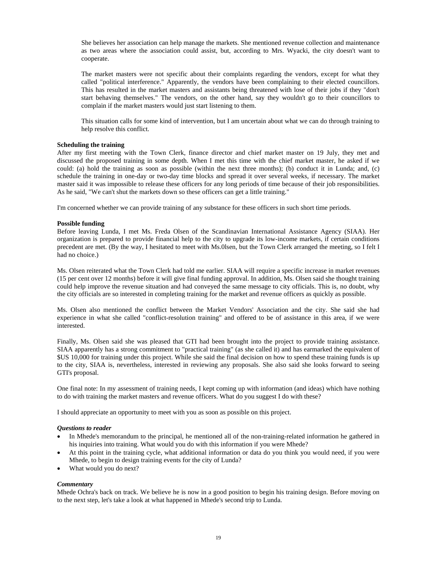She believes her association can help manage the markets. She mentioned revenue collection and maintenance as two areas where the association could assist, but, according to Mrs. Wyacki, the city doesn't want to cooperate.

The market masters were not specific about their complaints regarding the vendors, except for what they called "political interference." Apparently, the vendors have been complaining to their elected councillors. This has resulted in the market masters and assistants being threatened with lose of their jobs if they "don't start behaving themselves." The vendors, on the other hand, say they wouldn't go to their councillors to complain if the market masters would just start listening to them.

This situation calls for some kind of intervention, but I am uncertain about what we can do through training to help resolve this conflict.

#### **Scheduling the training**

After my first meeting with the Town Clerk, finance director and chief market master on 19 July, they met and discussed the proposed training in some depth. When I met this time with the chief market master, he asked if we could: (a) hold the training as soon as possible (within the next three months); (b) conduct it in Lunda; and, (c) schedule the training in one-day or two-day time blocks and spread it over several weeks, if necessary. The market master said it was impossible to release these officers for any long periods of time because of their job responsibilities. As he said, "We can't shut the markets down so these officers can get a little training."

I'm concerned whether we can provide training of any substance for these officers in such short time periods.

#### **Possible funding**

Before leaving Lunda, I met Ms. Freda Olsen of the Scandinavian International Assistance Agency (SIAA). Her organization is prepared to provide financial help to the city to upgrade its low-income markets, if certain conditions precedent are met. (By the way, I hesitated to meet with Ms.0lsen, but the Town Clerk arranged the meeting, so I felt I had no choice.)

Ms. Olsen reiterated what the Town Clerk had told me earlier. SIAA will require a specific increase in market revenues (15 per cent over 12 months) before it will give final funding approval. In addition, Ms. Olsen said she thought training could help improve the revenue situation and had conveyed the same message to city officials. This is, no doubt, why the city officials are so interested in completing training for the market and revenue officers as quickly as possible.

Ms. Olsen also mentioned the conflict between the Market Vendors' Association and the city. She said she had experience in what she called "conflict-resolution training" and offered to be of assistance in this area, if we were interested.

Finally, Ms. Olsen said she was pleased that GTI had been brought into the project to provide training assistance. SIAA apparently has a strong commitment to "practical training" (as she called it) and has earmarked the equivalent of \$US 10,000 for training under this project. While she said the final decision on how to spend these training funds is up to the city, SIAA is, nevertheless, interested in reviewing any proposals. She also said she looks forward to seeing GTI's proposal.

One final note: In my assessment of training needs, I kept coming up with information (and ideas) which have nothing to do with training the market masters and revenue officers. What do you suggest I do with these?

I should appreciate an opportunity to meet with you as soon as possible on this project.

#### *Questions to reader*

- In Mhede's memorandum to the principal, he mentioned all of the non-training-related information he gathered in his inquiries into training. What would you do with this information if you were Mhede?
- At this point in the training cycle, what additional information or data do you think you would need, if you were Mhede, to begin to design training events for the city of Lunda?
- What would you do next?

#### *Commentary*

Mhede Ochra's back on track. We believe he is now in a good position to begin his training design. Before moving on to the next step, let's take a look at what happened in Mhede's second trip to Lunda.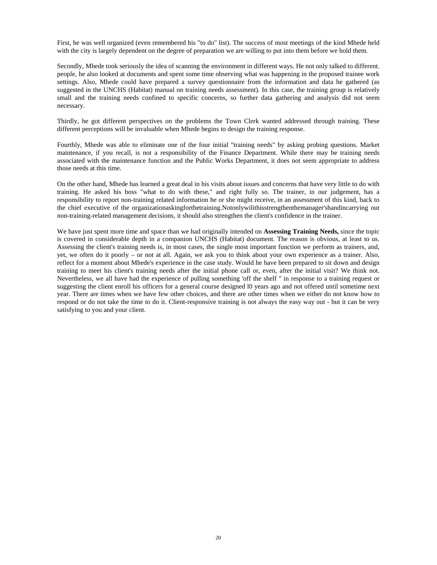First, he was well organized (even remembered his "to do" list). The success of most meetings of the kind Mhede held with the city is largely dependent on the degree of preparation we are willing to put into them before we hold them.

Secondly, Mhede took seriously the idea of scanning the environment in different ways. He not only talked to different. people, he also looked at documents and spent some time observing what was happening in the proposed trainee work settings. Also, Mhede could have prepared a survey questionnaire from the information and data he gathered (as suggested in the UNCHS (Habitat) manual on training needs assessment). In this case, the training group is relatively small and the training needs confined to specific concerns, so further data gathering and analysis did not seem necessary.

Thirdly, he got different perspectives on the problems the Town Clerk wanted addressed through training. These different perceptions will be invaluable when Mhede begins to design the training response.

Fourthly, Mhede was able to eliminate one of the four initial "training needs" by asking probing questions. Market maintenance, if you recall, is not a responsibility of the Finance Department. While there may be training needs associated with the maintenance function and the Public Works Department, it does not seem appropriate to address those needs at this time.

On the other hand, Mhede has learned a great deal in his visits about issues and concerns that have very little to do with training. He asked his boss "what to do with these," and right fully so. The trainer, in our judgement, has a responsibility to report non-training related information he or she might receive, in an assessment of this kind, back to the chief executive of the organizationaskingforthetraining.Notonlywilithisstrengthenthemanager'shandincarrying out non-training-related management decisions, it should also strengthen the client's confidence in the trainer.

We have just spent more time and space than we had originally intended on **Assessing Training Needs,** since the topic is covered in considerable depth in a companion UNCHS (Habitat) document. The reason is obvious, at least to us. Assessing the client's training needs is, in most cases, the single most important function we perform as trainers, and, yet, we often do it poorly – or not at all. Again, we ask you to think about your own experience as a trainer. Also, reflect for a moment about Mhede's experience in the case study. Would he have been prepared to sit down and design training to meet his client's training needs after the initial phone call or, even, after the initial visit? We think not. Nevertheless, we all have had the experience of pulling something 'off the shelf " in response to a training request or suggesting the client enroll his officers for a general course designed l0 years ago and not offered until sometime next year. There are times when we have few other choices, and there are other times when we either do not know how to respond or do not take the time to do it. Client-responsive training is not always the easy way out - but it can be very satisfying to you and your client.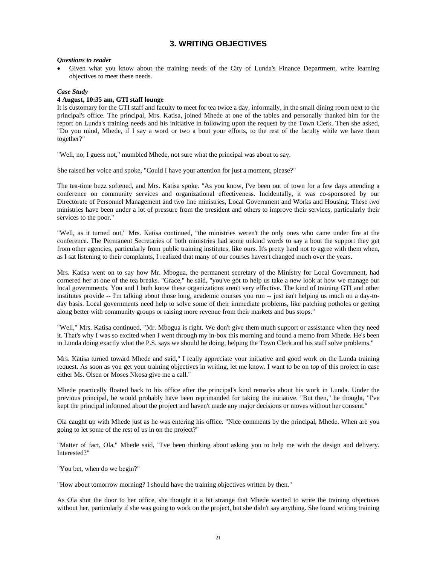## **3. WRITING OBJECTIVES**

#### *Questions to reader*

Given what you know about the training needs of the City of Lunda's Finance Department, write learning objectives to meet these needs.

#### *Case Study*

#### **4 August, 10:35 am, GTI staff lounge**

It is customary for the GTI staff and faculty to meet for tea twice a day, informally, in the small dining room next to the principal's office. The principal, Mrs. Katisa, joined Mhede at one of the tables and personally thanked him for the report on Lunda's training needs and his initiative in following upon the request by the Town Clerk. Then she asked, "Do you mind, Mhede, if I say a word or two a bout your efforts, to the rest of the faculty while we have them together?"

"Well, no, I guess not," mumbled Mhede, not sure what the principal was about to say.

She raised her voice and spoke, "Could I have your attention for just a moment, please?"

The tea-time buzz softened, and Mrs. Katisa spoke. "As you know, I've been out of town for a few days attending a conference on community services and organizational effectiveness. Incidentally, it was co-sponsored by our Directorate of Personnel Management and two line ministries, Local Government and Works and Housing. These two ministries have been under a lot of pressure from the president and others to improve their services, particularly their services to the poor."

"Well, as it turned out," Mrs. Katisa continued, "the ministries weren't the only ones who came under fire at the conference. The Permanent Secretaries of both ministries had some unkind words to say a bout the support they get from other agencies, particularly from public training institutes, like ours. It's pretty hard not to agree with them when, as I sat listening to their complaints, I realized that many of our courses haven't changed much over the years.

Mrs. Katisa went on to say how Mr. Mbogua, the permanent secretary of the Ministry for Local Government, had cornered her at one of the tea breaks. "Grace," he said, "you've got to help us take a new look at how we manage our local governments. You and I both know these organizations aren't very effective. The kind of training GTI and other institutes provide -- I'm talking about those long, academic courses you run -- just isn't helping us much on a day-today basis. Local governments need help to solve some of their immediate problems, like patching potholes or getting along better with community groups or raising more revenue from their markets and bus stops."

"Well," Mrs. Katisa continued, "Mr. Mbogua is right. We don't give them much support or assistance when they need it. That's why I was so excited when I went through my in-box this morning and found a memo from Mhede. He's been in Lunda doing exactly what the P.S. says we should be doing, helping the Town Clerk and his staff solve problems."

Mrs. Katisa turned toward Mhede and said," I really appreciate your initiative and good work on the Lunda training request. As soon as you get your training objectives in writing, let me know. I want to be on top of this project in case either Ms. Olsen or Moses Nkosa give me a call."

Mhede practically floated back to his office after the principal's kind remarks about his work in Lunda. Under the previous principal, he would probably have been reprimanded for taking the initiative. "But then," he thought, "I've kept the principal informed about the project and haven't made any major decisions or moves without her consent."

Ola caught up with Mhede just as he was entering his office. "Nice comments by the principal, Mhede. When are you going to let some of the rest of us in on the project?"

"Matter of fact, Ola," Mhede said, "I've been thinking about asking you to help me with the design and delivery. Interested?"

"You bet, when do we begin?"

"How about tomorrow morning? I should have the training objectives written by then."

As Ola shut the door to her office, she thought it a bit strange that Mhede wanted to write the training objectives without her, particularly if she was going to work on the project, but she didn't say anything. She found writing training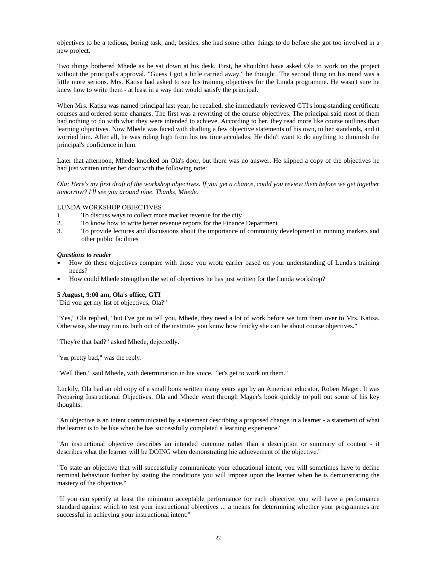objectives to be a tedious, boring task, and, besides, she had some other things to do before she got too involved in a new project.

Two things bothered Mhede as he sat down at his desk. First, he shouldn't have asked Ola to work on the project without the principal's approval. "Guess I got a little carried away," he thought. The second thing on his mind was a little more serious. Mrs. Katisa had asked to see his training objectives for the Lunda programme. He wasn't sure he knew how to write them - at least in a way that would satisfy the principal.

When Mrs. Katisa was named principal last year, he recalled, she immediately reviewed GTI's long-standing certificate courses and ordered some changes. The first was a rewriting of the course objectives. The principal said most of them had nothing to do with what they were intended to achieve. According to her, they read more like course outlines than learning objectives. Now Mhede was faced with drafting a few objective statements of his own, to her standards, and it worried him. After all, he was riding high from his tea time accolades: He didn't want to do anything to diminish the principal's confidence in him.

Later that afternoon, Mhede knocked on Ola's door, but there was no answer. He slipped a copy of the objectives he had just written under her door with the following note:

*Ola: Here's my first draft of the workshop objectives. If you get a chance, could you review them before we get together tomorrow? I'll see you around nine. Thanks, Mhede.* 

#### LUNDA WORKSHOP OBJECTIVES

- 1. To discuss ways to collect more market revenue for the city<br>2. To know how to write better revenue reports for the Finance
- 2. To know how to write better revenue reports for the Finance Department
- 3. To provide lectures and discussions about the importance of community development in running markets and other public facilities

#### *Questions to reader*

- How do these objectives compare with those you wrote earlier based on your understanding of Lunda's training needs?
- How could Mhede strengthen the set of objectives he has just written for the Lunda workshop?

#### **5 August, 9:00 am, Ola's office, GTI**

"Did you get my list of objectives, Ola?"

"Yes," Ola replied, "but I've got to tell you, Mhede, they need a lot of work before we turn them over to Mrs. Katisa. Otherwise, she may run us both out of the institute- you know how finicky she can be about course objectives."

"They're that bad?" asked Mhede, dejectedly.

"Yes, pretty bad," was the reply.

"Well then," said Mhede, with determination in hie voice, "let's get to work on them."

Luckily, Ola had an old copy of a small book written many years ago by an American educator, Robert Mager. It was Preparing Instructional Objectives. Ola and Mhede went through Mager's book quickly to pull out some of his key thoughts.

"An objective is an intent communicated by a statement describing a proposed change in a learner - a statement of what the learner is to be like when he has successfully completed a learning experience."

"An instructional objective describes an intended outcome rather than a description or summary of content - it describes what the learner will be DOING when demonstrating hie achievement of the objective."

"To state an objective that will successfully communicate your educational intent, you will sometimes have to define terminal behaviour further by stating the conditions you will impose upon the learner when he is demonstrating the mastery of the objective."

"If you can specify at least the minimum acceptable performance for each objective, you will have a performance standard against which to test your instructional objectives ... a means for determining whether your programmes are successful in achieving your instructional intent."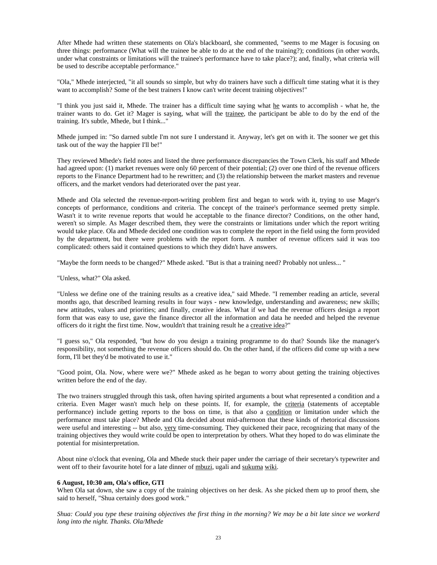After Mhede had written these statements on Ola's blackboard, she commented, "seems to me Mager is focusing on three things: performance (What will the trainee be able to do at the end of the training?); conditions (in other words, under what constraints or limitations will the trainee's performance have to take place?); and, finally, what criteria will be used to describe acceptable performance."

"Ola," Mhede interjected, "it all sounds so simple, but why do trainers have such a difficult time stating what it is they want to accomplish? Some of the best trainers I know can't write decent training objectives!"

"I think you just said it, Mhede. The trainer has a difficult time saying what he wants to accomplish - what he, the trainer wants to do. Get it? Mager is saying, what will the trainee, the participant be able to do by the end of the training. It's subtle, Mhede, but I think..."

Mhede jumped in: "So darned subtle I'm not sure I understand it. Anyway, let's get on with it. The sooner we get this task out of the way the happier I'll be!"

They reviewed Mhede's field notes and listed the three performance discrepancies the Town Clerk, his staff and Mhede had agreed upon: (1) market revenues were only 60 percent of their potential; (2) over one third of the revenue officers reports to the Finance Department had to he rewritten; and (3) the relationship between the market masters and revenue officers, and the market vendors had deteriorated over the past year.

Mhede and Ola selected the revenue-report-writing problem first and began to work with it, trying to use Mager's concepts of performance, conditions and criteria. The concept of the trainee's performance seemed pretty simple. Wasn't it to write revenue reports that would he acceptable to the finance director? Conditions, on the other hand, weren't so simple. As Mager described them, they were the constraints or limitations under which the report writing would take place. Ola and Mhede decided one condition was to complete the report in the field using the form provided by the department, but there were problems with the report form. A number of revenue officers said it was too complicated: others said it contained questions to which they didn't have answers.

"Maybe the form needs to be changed?" Mhede asked. "But is that a training need? Probably not unless... "

"Unless, what?" Ola asked.

"Unless we define one of the training results as a creative idea," said Mhede. "I remember reading an article, several months ago, that described learning results in four ways - new knowledge, understanding and awareness; new skills; new attitudes, values and priorities; and finally, creative ideas. What if we had the revenue officers design a report form that was easy to use, gave the finance director all the information and data he needed and helped the revenue officers do it right the first time. Now, wouldn't that training result he a creative idea?"

"I guess so," Ola responded, "but how do you design a training programme to do that? Sounds like the manager's responsibility, not something the revenue officers should do. On the other hand, if the officers did come up with a new form, I'll bet they'd be motivated to use it."

"Good point, Ola. Now, where were we?" Mhede asked as he began to worry about getting the training objectives written before the end of the day.

The two trainers struggled through this task, often having spirited arguments a bout what represented a condition and a criteria. Even Mager wasn't much help on these points. If, for example, the criteria (statements of acceptable performance) include getting reports to the boss on time, is that also a condition or limitation under which the performance must take place? Mhede and Ola decided about mid-afternoon that these kinds of rhetorical discussions were useful and interesting -- but also, <u>very</u> time-consuming. They quickened their pace, recognizing that many of the training objectives they would write could be open to interpretation by others. What they hoped to do was eliminate the potential for misinterpretation.

About nine o'clock that evening, Ola and Mhede stuck their paper under the carriage of their secretary's typewriter and went off to their favourite hotel for a late dinner of mbuzi, ugali and sukuma wiki.

#### **6 August, 10:30 am, Ola's office, GTI**

When Ola sat down, she saw a copy of the training objectives on her desk. As she picked them up to proof them, she said to herself, "Shua certainly does good work."

*Shua: Could you type these training objectives the first thing in the morning? We may be a bit late since we workerd long into the night. Thanks. Ola/Mhede*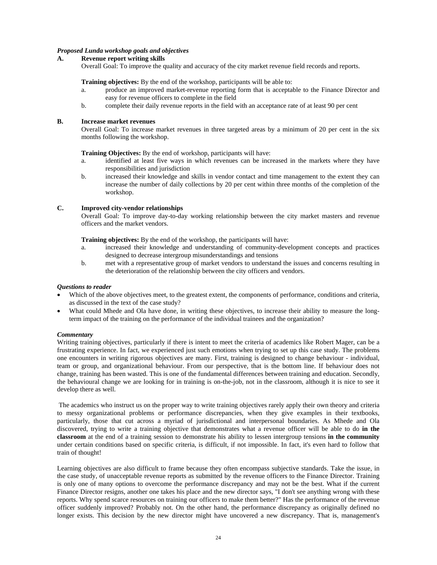#### *Proposed Lunda workshop goals and objectives*

#### **A. Revenue report writing skills**

Overall Goal: To improve the quality and accuracy of the city market revenue field records and reports.

#### **Training objectives:** By the end of the workshop, participants will be able to:

- a. produce an improved market-revenue reporting form that is acceptable to the Finance Director and easy for revenue officers to complete in the field
- b. complete their daily revenue reports in the field with an acceptance rate of at least 90 per cent

#### **B. Increase market revenues**

 Overall Goal: To increase market revenues in three targeted areas by a minimum of 20 per cent in the six months following the workshop.

 **Training Objectives:** By the end of workshop, participants will have:

- a. identified at least five ways in which revenues can be increased in the markets where they have responsibilities and jurisdiction
- b. increased their knowledge and skills in vendor contact and time management to the extent they can increase the number of daily collections by 20 per cent within three months of the completion of the workshop.

#### **C. Improved city-vendor relationships**

 Overall Goal: To improve day-to-day working relationship between the city market masters and revenue officers and the market vendors.

 **Training objectives:** By the end of the workshop, the participants will have:

- a. increased their knowledge and understanding of community-development concepts and practices designed to decrease intergroup misunderstandings and tensions
- b. met with a representative group of market vendors to understand the issues and concerns resulting in the deterioration of the relationship between the city officers and vendors.

#### *Questions to reader*

- Which of the above objectives meet, to the greatest extent, the components of performance, conditions and criteria, as discussed in the text of the case study?
- What could Mhede and Ola have done, in writing these objectives, to increase their ability to measure the longterm impact of the training on the performance of the individual trainees and the organization?

#### *Commentary*

Writing training objectives, particularly if there is intent to meet the criteria of academics like Robert Mager, can be a frustrating experience. In fact, we experienced just such emotions when trying to set up this case study. The problems one encounters in writing rigorous objectives are many. First, training is designed to change behaviour - individual, team or group, and organizational behaviour. From our perspective, that is the bottom line. If behaviour does not change, training has been wasted. This is one of the fundamental differences between training and education. Secondly, the behavioural change we are looking for in training is on-the-job, not in the classroom, although it is nice to see it develop there as well.

 The academics who instruct us on the proper way to write training objectives rarely apply their own theory and criteria to messy organizational problems or performance discrepancies, when they give examples in their textbooks, particularly, those that cut across a myriad of jurisdictional and interpersonal boundaries. As Mhede and Ola discovered, trying to write a training objective that demonstrates what a revenue officer will be able to do **in the classroom** at the end of a training session to demonstrate his ability to lessen intergroup tensions **in the community**  under certain conditions based on specific criteria, is difficult, if not impossible. In fact, it's even hard to follow that train of thought!

Learning objectives are also difficult to frame because they often encompass subjective standards. Take the issue, in the case study, of unacceptable revenue reports as submitted by the revenue officers to the Finance Director. Training is only one of many options to overcome the performance discrepancy and may not be the best. What if the current Finance Director resigns, another one takes his place and the new director says, "I don't see anything wrong with these reports. Why spend scarce resources on training our officers to make them better?" Has the performance of the revenue officer suddenly improved? Probably not. On the other hand, the performance discrepancy as originally defined no longer exists. This decision by the new director might have uncovered a new discrepancy. That is, management's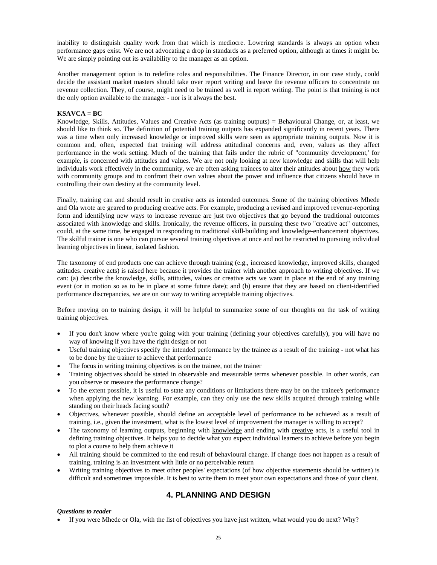inability to distinguish quality work from that which is mediocre. Lowering standards is always an option when performance gaps exist. We are not advocating a drop in standards as a preferred option, although at times it might be. We are simply pointing out its availability to the manager as an option.

Another management option is to redefine roles and responsibilities. The Finance Director, in our case study, could decide the assistant market masters should take over report writing and leave the revenue officers to concentrate on revenue collection. They, of course, might need to be trained as well in report writing. The point is that training is not the only option available to the manager - nor is it always the best.

#### **KSAVCA = BC**

Knowledge, Skills, Attitudes, Values and Creative Acts (as training outputs) = Behavioural Change, or, at least, we should like to think so. The definition of potential training outputs has expanded significantly in recent years. There was a time when only increased knowledge or improved skills were seen as appropriate training outputs. Now it is common and, often, expected that training will address attitudinal concerns and, even, values as they affect performance in the work setting. Much of the training that fails under the rubric of "community development,' for example, is concerned with attitudes and values. We are not only looking at new knowledge and skills that will help individuals work effectively in the community, we are often asking trainees to alter their attitudes about how they work with community groups and to confront their own values about the power and influence that citizens should have in controlling their own destiny at the community level.

Finally, training can and should result in creative acts as intended outcomes. Some of the training objectives Mhede and Ola wrote are geared to producing creative acts. For example, producing a revised and improved revenue-reporting form and identifying new ways to increase revenue are just two objectives that go beyond the traditional outcomes associated with knowledge and skills. Ironically, the revenue officers, in pursuing these two "creative act" outcomes, could, at the same time, be engaged in responding to traditional skill-building and knowledge-enhancement objectives. The skilful trainer is one who can pursue several training objectives at once and not be restricted to pursuing individual learning objectives in linear, isolated fashion.

The taxonomy of end products one can achieve through training (e.g., increased knowledge, improved skills, changed attitudes. creative acts) is raised here because it provides the trainer with another approach to writing objectives. If we can: (a) describe the knowledge, skills, attitudes, values or creative acts we want in place at the end of any training event (or in motion so as to be in place at some future date); and (b) ensure that they are based on client-identified performance discrepancies, we are on our way to writing acceptable training objectives.

Before moving on to training design, it will be helpful to summarize some of our thoughts on the task of writing training objectives.

- If you don't know where you're going with your training (defining your objectives carefully), you will have no way of knowing if you have the right design or not
- Useful training objectives specify the intended performance by the trainee as a result of the training not what has to be done by the trainer to achieve that performance
- The focus in writing training objectives is on the trainee, not the trainer
- Training objectives should be stated in observable and measurable terms whenever possible. In other words, can you observe or measure the performance change?
- To the extent possible, it is useful to state any conditions or limitations there may be on the trainee's performance when applying the new learning. For example, can they only use the new skills acquired through training while standing on their heads facing south?
- Objectives, whenever possible, should define an acceptable level of performance to be achieved as a result of training, i.e., given the investment, what is the lowest level of improvement the manager is willing to accept?
- The taxonomy of learning outputs, beginning with knowledge and ending with creative acts, is a useful tool in defining training objectives. It helps you to decide what you expect individual learners to achieve before you begin to plot a course to help them achieve it
- All training should be committed to the end result of behavioural change. If change does not happen as a result of training, training is an investment with little or no perceivable return
- Writing training objectives to meet other peoples' expectations (of how objective statements should be written) is difficult and sometimes impossible. It is best to write them to meet your own expectations and those of your client.

## **4. PLANNING AND DESIGN**

#### *Questions to reader*

• If you were Mhede or Ola, with the list of objectives you have just written, what would you do next? Why?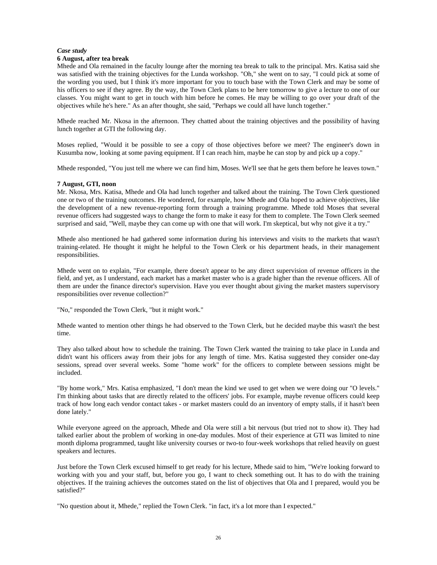#### *Case study*

#### **6 August, after tea break**

Mhede and Ola remained in the faculty lounge after the morning tea break to talk to the principal. Mrs. Katisa said she was satisfied with the training objectives for the Lunda workshop. "Oh," she went on to say, "I could pick at some of the wording you used, but I think it's more important for you to touch base with the Town Clerk and may be some of his officers to see if they agree. By the way, the Town Clerk plans to be here tomorrow to give a lecture to one of our classes. You might want to get in touch with him before he comes. He may be willing to go over your draft of the objectives while he's here." As an after thought, she said, "Perhaps we could all have lunch together."

Mhede reached Mr. Nkosa in the afternoon. They chatted about the training objectives and the possibility of having lunch together at GTI the following day.

Moses replied, "Would it be possible to see a copy of those objectives before we meet? The engineer's down in Kusumba now, looking at some paving equipment. If I can reach him, maybe he can stop by and pick up a copy."

Mhede responded, "You just tell me where we can find him, Moses. We'll see that he gets them before he leaves town."

#### **7 August, GTI, noon**

Mr. Nkosa, Mrs. Katisa, Mhede and Ola had lunch together and talked about the training. The Town Clerk questioned one or two of the training outcomes. He wondered, for example, how Mhede and Ola hoped to achieve objectives, like the development of a new revenue-reporting form through a training programme. Mhede told Moses that several revenue officers had suggested ways to change the form to make it easy for them to complete. The Town Clerk seemed surprised and said, "Well, maybe they can come up with one that will work. I'm skeptical, but why not give it a try."

Mhede also mentioned he had gathered some information during his interviews and visits to the markets that wasn't training-related. He thought it might he helpful to the Town Clerk or his department heads, in their management responsibilities.

Mhede went on to explain, "For example, there doesn't appear to be any direct supervision of revenue officers in the field, and yet, as I understand, each market has a market master who is a grade higher than the revenue officers. All of them are under the finance director's supervision. Have you ever thought about giving the market masters supervisory responsibilities over revenue collection?"

"No," responded the Town Clerk, "but it might work."

Mhede wanted to mention other things he had observed to the Town Clerk, but he decided maybe this wasn't the best time.

They also talked about how to schedule the training. The Town Clerk wanted the training to take place in Lunda and didn't want his officers away from their jobs for any length of time. Mrs. Katisa suggested they consider one-day sessions, spread over several weeks. Some "home work" for the officers to complete between sessions might be included.

"By home work," Mrs. Katisa emphasized, "I don't mean the kind we used to get when we were doing our "O levels." I'm thinking about tasks that are directly related to the officers' jobs. For example, maybe revenue officers could keep track of how long each vendor contact takes - or market masters could do an inventory of empty stalls, if it hasn't been done lately."

While everyone agreed on the approach, Mhede and Ola were still a bit nervous (but tried not to show it). They had talked earlier about the problem of working in one-day modules. Most of their experience at GTI was limited to nine month diploma programmed, taught like university courses or two-to four-week workshops that relied heavily on guest speakers and lectures.

Just before the Town Clerk excused himself to get ready for his lecture, Mhede said to him, "We're looking forward to working with you and your staff, but, before you go, I want to check something out. It has to do with the training objectives. If the training achieves the outcomes stated on the list of objectives that Ola and I prepared, would you be satisfied?"

"No question about it, Mhede," replied the Town Clerk. "in fact, it's a lot more than I expected."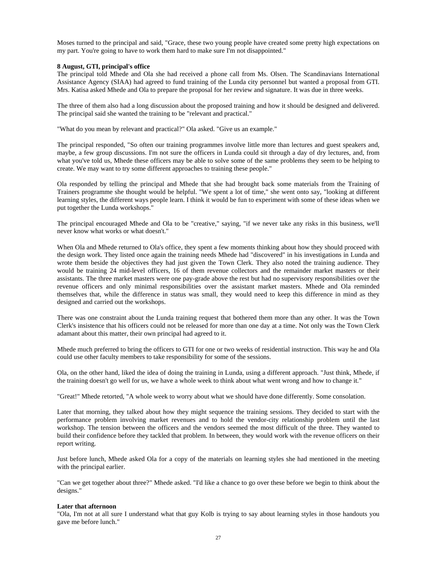Moses turned to the principal and said, "Grace, these two young people have created some pretty high expectations on my part. You're going to have to work them hard to make sure I'm not disappointed."

#### **8 August, GTI, principal's office**

The principal told Mhede and Ola she had received a phone call from Ms. Olsen. The Scandinavians International Assistance Agency (SIAA) had agreed to fund training of the Lunda city personnel but wanted a proposal from GTI. Mrs. Katisa asked Mhede and Ola to prepare the proposal for her review and signature. It was due in three weeks.

The three of them also had a long discussion about the proposed training and how it should be designed and delivered. The principal said she wanted the training to be "relevant and practical."

"What do you mean by relevant and practical?" Ola asked. "Give us an example."

The principal responded, "So often our training programmes involve little more than lectures and guest speakers and, maybe, a few group discussions. I'm not sure the officers in Lunda could sit through a day of dry lectures, and, from what you've told us, Mhede these officers may be able to solve some of the same problems they seem to be helping to create. We may want to try some different approaches to training these people."

Ola responded by telling the principal and Mhede that she had brought back some materials from the Training of Trainers programme she thought would be helpful. "We spent a lot of time," she went onto say, "looking at different learning styles, the different ways people learn. I think it would be fun to experiment with some of these ideas when we put together the Lunda workshops."

The principal encouraged Mhede and Ola to be "creative," saying, "if we never take any risks in this business, we'll never know what works or what doesn't."

When Ola and Mhede returned to Ola's office, they spent a few moments thinking about how they should proceed with the design work. They listed once again the training needs Mhede had "discovered" in his investigations in Lunda and wrote them beside the objectives they had just given the Town Clerk. They also noted the training audience. They would be training 24 mid-level officers, 16 of them revenue collectors and the remainder market masters or their assistants. The three market masters were one pay-grade above the rest but had no supervisory responsibilities over the revenue officers and only minimal responsibilities over the assistant market masters. Mhede and Ola reminded themselves that, while the difference in status was small, they would need to keep this difference in mind as they designed and carried out the workshops.

There was one constraint about the Lunda training request that bothered them more than any other. It was the Town Clerk's insistence that his officers could not be released for more than one day at a time. Not only was the Town Clerk adamant about this matter, their own principal had agreed to it.

Mhede much preferred to bring the officers to GTI for one or two weeks of residential instruction. This way he and Ola could use other faculty members to take responsibility for some of the sessions.

Ola, on the other hand, liked the idea of doing the training in Lunda, using a different approach. "Just think, Mhede, if the training doesn't go well for us, we have a whole week to think about what went wrong and how to change it."

"Great!" Mhede retorted, "A whole week to worry about what we should have done differently. Some consolation.

Later that morning, they talked about how they might sequence the training sessions. They decided to start with the performance problem involving market revenues and to hold the vendor-city relationship problem until the last workshop. The tension between the officers and the vendors seemed the most difficult of the three. They wanted to build their confidence before they tackled that problem. In between, they would work with the revenue officers on their report writing.

Just before lunch, Mhede asked Ola for a copy of the materials on learning styles she had mentioned in the meeting with the principal earlier.

"Can we get together about three?" Mhede asked. "I'd like a chance to go over these before we begin to think about the designs."

#### **Later that afternoon**

"Ola, I'm not at all sure I understand what that guy Kolb is trying to say about learning styles in those handouts you gave me before lunch."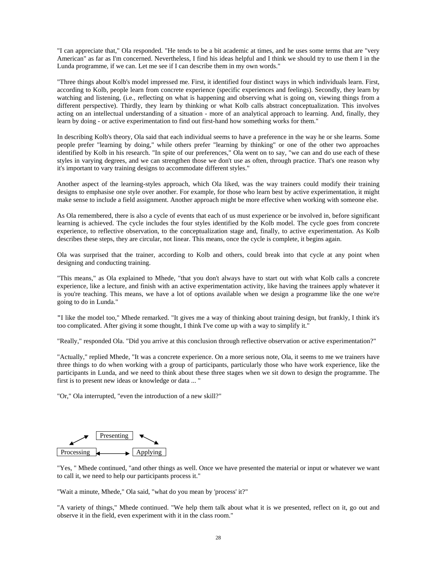"I can appreciate that," Ola responded. "He tends to be a bit academic at times, and he uses some terms that are "very American" as far as I'm concerned. Nevertheless, I find his ideas helpful and I think we should try to use them I in the Lunda programme, if we can. Let me see if I can describe them in my own words."

"Three things about Kolb's model impressed me. First, it identified four distinct ways in which individuals learn. First, according to Kolb, people learn from concrete experience (specific experiences and feelings). Secondly, they learn by watching and listening, (i.e., reflecting on what is happening and observing what is going on, viewing things from a different perspective). Thirdly, they learn by thinking or what Kolb calls abstract conceptualization. This involves acting on an intellectual understanding of a situation - more of an analytical approach to learning. And, finally, they learn by doing - or active experimentation to find out first-hand how something works for them."

In describing Kolb's theory, Ola said that each individual seems to have a preference in the way he or she learns. Some people prefer "learning by doing," while others prefer "learning by thinking" or one of the other two approaches identified by Kolb in his research. "In spite of our preferences," Ola went on to say, "we can and do use each of these styles in varying degrees, and we can strengthen those we don't use as often, through practice. That's one reason why it's important to vary training designs to accommodate different styles."

Another aspect of the learning-styles approach, which Ola liked, was the way trainers could modify their training designs to emphasise one style over another. For example, for those who learn best by active experimentation, it might make sense to include a field assignment. Another approach might be more effective when working with someone else.

As Ola remembered, there is also a cycle of events that each of us must experience or be involved in, before significant learning is achieved. The cycle includes the four styles identified by the Kolb model. The cycle goes from concrete experience, to reflective observation, to the conceptualization stage and, finally, to active experimentation. As Kolb describes these steps, they are circular, not linear. This means, once the cycle is complete, it begins again.

Ola was surprised that the trainer, according to Kolb and others, could break into that cycle at any point when designing and conducting training.

"This means," as Ola explained to Mhede, "that you don't always have to start out with what Kolb calls a concrete experience, like a lecture, and finish with an active experimentation activity, like having the trainees apply whatever it is you're teaching. This means, we have a lot of options available when we design a programme like the one we're going to do in Lunda."

**"**I like the model too," Mhede remarked. "It gives me a way of thinking about training design, but frankly, I think it's too complicated. After giving it some thought, I think I've come up with a way to simplify it."

"Really," responded Ola. "Did you arrive at this conclusion through reflective observation or active experimentation?"

"Actually," replied Mhede, "It was a concrete experience. On a more serious note, Ola, it seems to me we trainers have three things to do when working with a group of participants, particularly those who have work experience, like the participants in Lunda, and we need to think about these three stages when we sit down to design the programme. The first is to present new ideas or knowledge or data ... "

"Or," Ola interrupted, "even the introduction of a new skill?"



"Yes, " Mhede continued, "and other things as well. Once we have presented the material or input or whatever we want to call it, we need to help our participants process it."

"Wait a minute, Mhede," Ola said, "what do you mean by 'process' it?"

"A variety of things," Mhede continued. "We help them talk about what it is we presented, reflect on it, go out and observe it in the field, even experiment with it in the class room."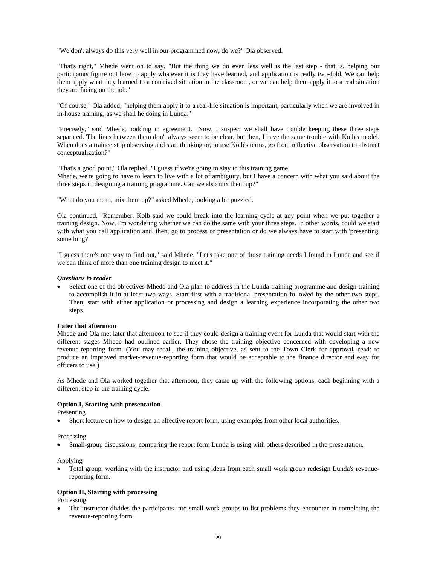"We don't always do this very well in our programmed now, do we?" Ola observed.

"That's right," Mhede went on to say. "But the thing we do even less well is the last step - that is, helping our participants figure out how to apply whatever it is they have learned, and application is really two-fold. We can help them apply what they learned to a contrived situation in the classroom, or we can help them apply it to a real situation they are facing on the job."

"Of course," Ola added, "helping them apply it to a real-life situation is important, particularly when we are involved in in-house training, as we shall he doing in Lunda."

"Precisely," said Mhede, nodding in agreement. "Now, I suspect we shall have trouble keeping these three steps separated. The lines between them don't always seem to be clear, but then, I have the same trouble with Kolb's model. When does a trainee stop observing and start thinking or, to use Kolb's terms, go from reflective observation to abstract conceptualization?"

"That's a good point," Ola replied. "I guess if we're going to stay in this training game, Mhede, we're going to have to learn to live with a lot of ambiguity, but I have a concern with what you said about the three steps in designing a training programme. Can we also mix them up?"

"What do you mean, mix them up?" asked Mhede, looking a bit puzzled.

Ola continued. "Remember, Kolb said we could break into the learning cycle at any point when we put together a training design. Now, I'm wondering whether we can do the same with your three steps. In other words, could we start with what you call application and, then, go to process or presentation or do we always have to start with 'presenting' something?"

"I guess there's one way to find out," said Mhede. "Let's take one of those training needs I found in Lunda and see if we can think of more than one training design to meet it."

#### *Questions to reader*

Select one of the objectives Mhede and Ola plan to address in the Lunda training programme and design training to accomplish it in at least two ways. Start first with a traditional presentation followed by the other two steps. Then, start with either application or processing and design a learning experience incorporating the other two steps.

#### **Later that afternoon**

Mhede and Ola met later that afternoon to see if they could design a training event for Lunda that would start with the different stages Mhede had outlined earlier. They chose the training objective concerned with developing a new revenue-reporting form. (You may recall, the training objective, as sent to the Town Clerk for approval, read: to produce an improved market-revenue-reporting form that would be acceptable to the finance director and easy for officers to use.)

As Mhede and Ola worked together that afternoon, they came up with the following options, each beginning with a different step in the training cycle.

#### **Option I, Starting with presentation**

Presenting

• Short lecture on how to design an effective report form, using examples from other local authorities.

Processing

• Small-group discussions, comparing the report form Lunda is using with others described in the presentation.

Applying

• Total group, working with the instructor and using ideas from each small work group redesign Lunda's revenuereporting form.

#### **Option II, Starting with processing**

Processing

The instructor divides the participants into small work groups to list problems they encounter in completing the revenue-reporting form.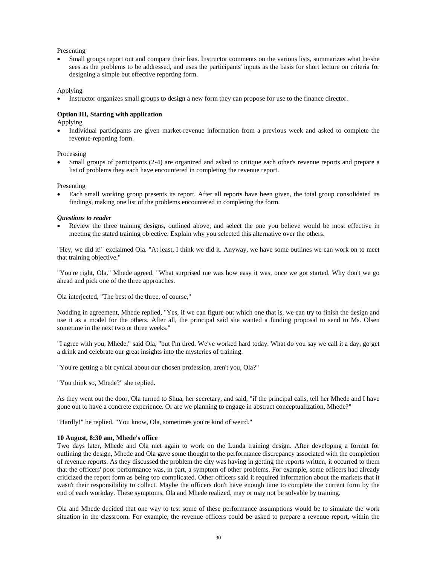Presenting

• Small groups report out and compare their lists. Instructor comments on the various lists, summarizes what he/she sees as the problems to be addressed, and uses the participants' inputs as the basis for short lecture on criteria for designing a simple but effective reporting form.

#### Applying

• Instructor organizes small groups to design a new form they can propose for use to the finance director.

#### **Option III, Starting with application**

Applying

• Individual participants are given market-revenue information from a previous week and asked to complete the revenue-reporting form.

#### Processing

• Small groups of participants (2-4) are organized and asked to critique each other's revenue reports and prepare a list of problems they each have encountered in completing the revenue report.

Presenting

• Each small working group presents its report. After all reports have been given, the total group consolidated its findings, making one list of the problems encountered in completing the form.

#### *Questions to reader*

• Review the three training designs, outlined above, and select the one you believe would be most effective in meeting the stated training objective. Explain why you selected this alternative over the others.

"Hey, we did it!" exclaimed Ola. "At least, I think we did it. Anyway, we have some outlines we can work on to meet that training objective."

"You're right, Ola." Mhede agreed. "What surprised me was how easy it was, once we got started. Why don't we go ahead and pick one of the three approaches.

Ola interjected, "The best of the three, of course,"

Nodding in agreement, Mhede replied, "Yes, if we can figure out which one that is, we can try to finish the design and use it as a model for the others. After all, the principal said she wanted a funding proposal to send to Ms. Olsen sometime in the next two or three weeks."

"I agree with you, Mhede," said Ola, "but I'm tired. We've worked hard today. What do you say we call it a day, go get a drink and celebrate our great insights into the mysteries of training.

"You're getting a bit cynical about our chosen profession, aren't you, Ola?"

"You think so, Mhede?" she replied.

As they went out the door, Ola turned to Shua, her secretary, and said, "if the principal calls, tell her Mhede and I have gone out to have a concrete experience. Or are we planning to engage in abstract conceptualization, Mhede?"

"Hardly!" he replied. "You know, Ola, sometimes you're kind of weird."

#### **10 August, 8:30 am, Mhede's office**

Two days later, Mhede and Ola met again to work on the Lunda training design. After developing a format for outlining the design, Mhede and Ola gave some thought to the performance discrepancy associated with the completion of revenue reports. As they discussed the problem the city was having in getting the reports written, it occurred to them that the officers' poor performance was, in part, a symptom of other problems. For example, some officers had already criticized the report form as being too complicated. Other officers said it required information about the markets that it wasn't their responsibility to collect. Maybe the officers don't have enough time to complete the current form by the end of each workday. These symptoms, Ola and Mhede realized, may or may not be solvable by training.

Ola and Mhede decided that one way to test some of these performance assumptions would be to simulate the work situation in the classroom. For example, the revenue officers could be asked to prepare a revenue report, within the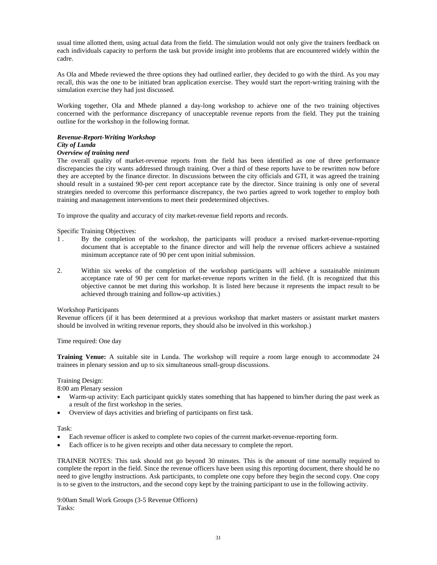usual time allotted them, using actual data from the field. The simulation would not only give the trainers feedback on each individuals capacity to perform the task but provide insight into problems that are encountered widely within the cadre.

As Ola and Mhede reviewed the three options they had outlined earlier, they decided to go with the third. As you may recall, this was the one to be initiated bran application exercise. They would start the report-writing training with the simulation exercise they had just discussed.

Working together, Ola and Mhede planned a day-long workshop to achieve one of the two training objectives concerned with the performance discrepancy of unacceptable revenue reports from the field. They put the training outline for the workshop in the following format.

## *Revenue-Report-Writing Workshop*

#### *City of Lunda*

#### *Overview of training need*

The overall quality of market-revenue reports from the field has been identified as one of three performance discrepancies the city wants addressed through training. Over a third of these reports have to be rewritten now before they are accepted by the finance director. In discussions between the city officials and GTI, it was agreed the training should result in a sustained 90-per cent report acceptance rate by the director. Since training is only one of several strategies needed to overcome this performance discrepancy, the two parties agreed to work together to employ both training and management interventions to meet their predetermined objectives.

To improve the quality and accuracy of city market-revenue field reports and records.

Specific Training Objectives:

- 1 . By the completion of the workshop, the participants will produce a revised market-revenue-reporting document that is acceptable to the finance director and will help the revenue officers achieve a sustained minimum acceptance rate of 90 per cent upon initial submission.
- 2. Within six weeks of the completion of the workshop participants will achieve a sustainable minimum acceptance rate of 90 per cent for market-revenue reports written in the field. (It is recognized that this objective cannot be met during this workshop. It is listed here because it represents the impact result to be achieved through training and follow-up activities.)

#### Workshop Participants

Revenue officers (if it has been determined at a previous workshop that market masters or assistant market masters should be involved in writing revenue reports, they should also be involved in this workshop.)

#### Time required: One day

**Training Venue:** A suitable site in Lunda. The workshop will require a room large enough to accommodate 24 trainees in plenary session and up to six simultaneous small-group discussions.

### Training Design:

8:00 am Plenary session

- Warm-up activity: Each participant quickly states something that has happened to him/her during the past week as a result of the first workshop in the series.
- Overview of days activities and briefing of participants on first task.

#### Task:

- Each revenue officer is asked to complete two copies of the current market-revenue-reporting form.
- Each officer is to he given receipts and other data necessary to complete the report.

TRAINER NOTES: This task should not go beyond 30 minutes. This is the amount of time normally required to complete the report in the field. Since the revenue officers have been using this reporting document, there should he no need to give lengthy instructions. Ask participants, to complete one copy before they begin the second copy. One copy is to se given to the instructors, and the second copy kept by the training participant to use in the following activity.

9:00am Small Work Groups (3-5 Revenue Officers) Tasks: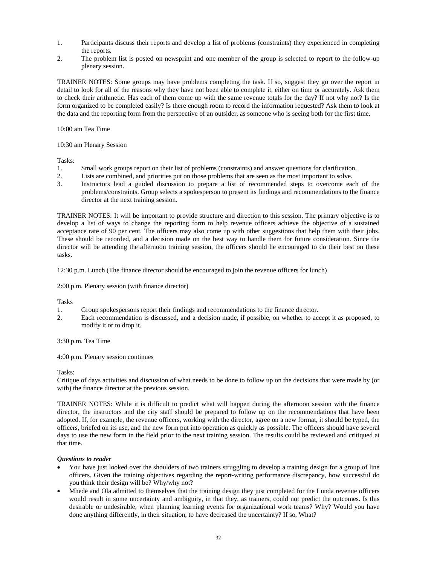- 1. Participants discuss their reports and develop a list of problems (constraints) they experienced in completing the reports.
- 2. The problem list is posted on newsprint and one member of the group is selected to report to the follow-up plenary session.

TRAINER NOTES: Some groups may have problems completing the task. If so, suggest they go over the report in detail to look for all of the reasons why they have not been able to complete it, either on time or accurately. Ask them to check their arithmetic. Has each of them come up with the same revenue totals for the day? If not why not? Is the form organized to be completed easily? Is there enough room to record the information requested? Ask them to look at the data and the reporting form from the perspective of an outsider, as someone who is seeing both for the first time.

10:00 am Tea Time

10:30 am Plenary Session

Tasks:

- 1. Small work groups report on their list of problems (constraints) and answer questions for clarification.
- 2. Lists are combined, and priorities put on those problems that are seen as the most important to solve.<br>3. Instructors lead a guided discussion to prepare a list of recommended steps to overcome each
- 3. Instructors lead a guided discussion to prepare a list of recommended steps to overcome each of the problems/constraints. Group selects a spokesperson to present its findings and recommendations to the finance director at the next training session.

TRAINER NOTES: It will be important to provide structure and direction to this session. The primary objective is to develop a list of ways to change the reporting form to help revenue officers achieve the objective of a sustained acceptance rate of 90 per cent. The officers may also come up with other suggestions that help them with their jobs. These should be recorded, and a decision made on the best way to handle them for future consideration. Since the director will be attending the afternoon training session, the officers should he encouraged to do their best on these tasks.

12:30 p.m. Lunch (The finance director should be encouraged to join the revenue officers for lunch)

2:00 p.m. Plenary session (with finance director)

Tasks

- 1. Group spokespersons report their findings and recommendations to the finance director.
- 2. Each recommendation is discussed, and a decision made, if possible, on whether to accept it as proposed, to modify it or to drop it.

3:30 p.m. Tea Time

4:00 p.m. Plenary session continues

#### Tasks:

Critique of days activities and discussion of what needs to be done to follow up on the decisions that were made by (or with) the finance director at the previous session.

TRAINER NOTES: While it is difficult to predict what will happen during the afternoon session with the finance director, the instructors and the city staff should be prepared to follow up on the recommendations that have been adopted. If, for example, the revenue officers, working with the director, agree on a new format, it should be typed, the officers, briefed on its use, and the new form put into operation as quickly as possible. The officers should have several days to use the new form in the field prior to the next training session. The results could be reviewed and critiqued at that time.

#### *Questions to reader*

- You have just looked over the shoulders of two trainers struggling to develop a training design for a group of line officers. Given the training objectives regarding the report-writing performance discrepancy, how successful do you think their design will be? Why/why not?
- Mhede and Ola admitted to themselves that the training design they just completed for the Lunda revenue officers would result in some uncertainty and ambiguity, in that they, as trainers, could not predict the outcomes. Is this desirable or undesirable, when planning learning events for organizational work teams? Why? Would you have done anything differently, in their situation, to have decreased the uncertainty? If so, What?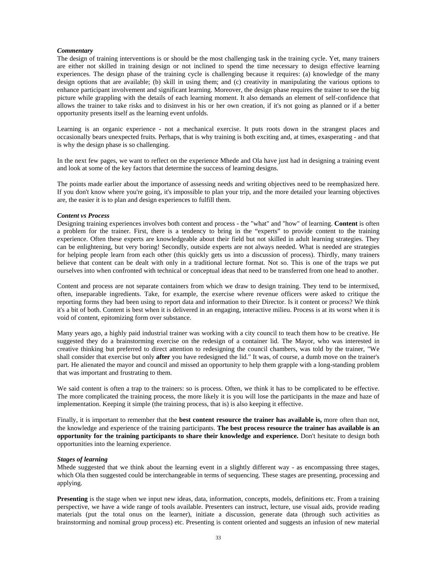#### *Commentary*

The design of training interventions is or should be the most challenging task in the training cycle. Yet, many trainers are either not skilled in training design or not inclined to spend the time necessary to design effective learning experiences. The design phase of the training cycle is challenging because it requires: (a) knowledge of the many design options that are available; (b) skill in using them; and (c) creativity in manipulating the various options to enhance participant involvement and significant learning. Moreover, the design phase requires the trainer to see the big picture while grappling with the details of each learning moment. It also demands an element of self-confidence that allows the trainer to take risks and to disinvest in his or her own creation, if it's not going as planned or if a better opportunity presents itself as the learning event unfolds.

Learning is an organic experience - not a mechanical exercise. It puts roots down in the strangest places and occasionally bears unexpected fruits. Perhaps, that is why training is both exciting and, at times, exasperating - and that is why the design phase is so challenging.

In the next few pages, we want to reflect on the experience Mhede and Ola have just had in designing a training event and look at some of the key factors that determine the success of learning designs.

The points made earlier about the importance of assessing needs and writing objectives need to be reemphasized here. If you don't know where you're going, it's impossible to plan your trip, and the more detailed your learning objectives are, the easier it is to plan and design experiences to fulfill them.

#### *Content vs Process*

Designing training experiences involves both content and process - the "what" and "how" of learning. **Content** is often a problem for the trainer. First, there is a tendency to bring in the "experts" to provide content to the training experience. Often these experts are knowledgeable about their field but not skilled in adult learning strategies. They can be enlightening, but very boring! Secondly, outside experts are not always needed. What is needed are strategies for helping people learn from each other (this quickly gets us into a discussion of process). Thirdly, many trainers believe that content can be dealt with only in a traditional lecture format. Not so. This is one of the traps we put ourselves into when confronted with technical or conceptual ideas that need to be transferred from one head to another.

Content and process are not separate containers from which we draw to design training. They tend to be intermixed, often, inseparable ingredients. Take, for example, the exercise where revenue officers were asked to critique the reporting forms they had been using to report data and information to their Director. Is it content or process? We think it's a bit of both. Content is best when it is delivered in an engaging, interactive milieu. Process is at its worst when it is void of content, epitomizing form over substance.

Many years ago, a highly paid industrial trainer was working with a city council to teach them how to be creative. He suggested they do a brainstorming exercise on the redesign of a container lid. The Mayor, who was interested in creative thinking but preferred to direct attention to redesigning the council chambers, was told by the trainer, "We shall consider that exercise but only **after** you have redesigned the lid." It was, of course, a dumb move on the trainer's part. He alienated the mayor and council and missed an opportunity to help them grapple with a long-standing problem that was important and frustrating to them.

We said content is often a trap to the trainers: so is process. Often, we think it has to be complicated to be effective. The more complicated the training process, the more likely it is you will lose the participants in the maze and haze of implementation. Keeping it simple (the training process, that is) is also keeping it effective.

Finally, it is important to remember that the **best content resource the trainer has available is,** more often than not, the knowledge and experience of the training participants. **The best process resource the trainer has available is an opportunity for the training participants to share their knowledge and experience.** Don't hesitate to design both opportunities into the learning experience.

#### *Stages of learning*

Mhede suggested that we think about the learning event in a slightly different way - as encompassing three stages, which Ola then suggested could be interchangeable in terms of sequencing. These stages are presenting, processing and applying.

**Presenting** is the stage when we input new ideas, data, information, concepts, models, definitions etc. From a training perspective, we have a wide range of tools available. Presenters can instruct, lecture, use visual aids, provide reading materials (put the total onus on the learner), initiate a discussion, generate data (through such activities as brainstorming and nominal group process) etc. Presenting is content oriented and suggests an infusion of new material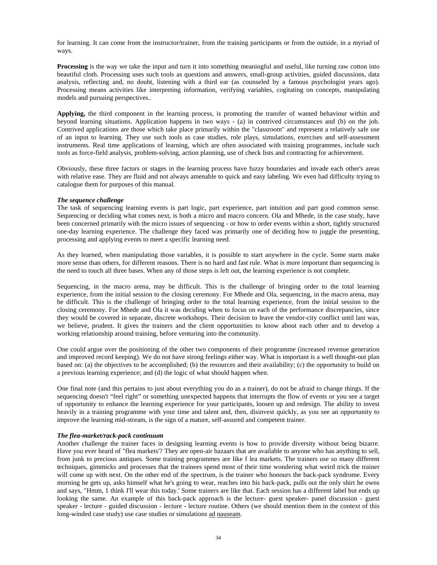for learning. It can come from the instructor/trainer, from the training participants or from the outside, in a myriad of ways.

**Processing** is the way we take the input and turn it into something meaningful and useful, like turning raw cotton into beautiful cloth. Processing uses such tools as questions and answers, small-group activities, guided discussions, data analysis, reflecting and, no doubt, listening with a third ear (as counseled by a famous psychologist years ago). Processing means activities like interpreting information, verifying variables, cogitating on concepts, manipulating models and pursuing perspectives..

**Applying,** the third component in the learning process, is promoting the transfer of wanted behaviour within and beyond learning situations. Application happens in two ways - (a) in contrived circumstances and (b) on the job. Contrived applications are those which take place primarily within the "classroom" and represent a relatively safe use of an input to learning. They use such tools as case studies, role plays, simulations, exercises and self-assessment instruments. Real time applications of learning, which are often associated with training programmes, include such tools as force-field analysis, problem-solving, action planning, use of check lists and contracting for achievement.

Obviously, these three factors or stages in the learning process have fuzzy boundaries and invade each other's areas with relative ease. They are fluid and not always amenable to quick and easy labeling. We even had difficulty trying to catalogue them for purposes of this manual.

#### *The sequence challenge*

The task of sequencing learning events is part logic, part experience, part intuition and part good common sense. Sequencing or deciding what comes next, is both a micro and macro concern. Ola and Mhede, in the case study, have been concerned primarily with the micro issues of sequencing - or how to order events within a short, tightly structured one-day learning experience. The challenge they faced was primarily one of deciding how to juggle the presenting, processing and applying events to meet a specific learning need.

As they learned, when manipulating those variables, it is possible to start anywhere in the cycle. Some starts make more sense than others, for different reasons. There is no hard and fast rule. What is more important than sequencing is the need to touch all three bases. When any of those steps is left out, the learning experience is not complete.

Sequencing, in the macro arena, may be difficult. This is the challenge of bringing order to the total learning experience, from the initial session to the closing ceremony. For Mhede and Ola, sequencing, in the macro arena, may be difficult. This is the challenge of bringing order to the total learning experience, from the initial session to the closing ceremony. For Mhede and Ola it was deciding when to focus on each of the performance discrepancies, since they would be covered in separate, discrete workshops. Their decision to leave the vendor-city conflict until last was, we believe, prudent. It gives the trainers and the client opportunities to know about each other and to develop a working relationship around training, before venturing into the community.

One could argue over the positioning of the other two components of their programme (increased revenue generation and improved record keeping). We do not have strong feelings either way. What is important is a well thought-out plan based on: (a) the objectives to be accomplished; (b) the resources and their availability; (c) the opportunity to build on a previous learning experience; and (d) the logic of what should happen when.

One final note (and this pertains to just about everything you do as a trainer), do not be afraid to change things. If the sequencing doesn't "feel right" or something unexpected happens that interrupts the flow of events or you see a target of opportunity to enhance the learning experience for your participants, loosen up and redesign. The ability to invest heavily in a training programme with your time and talent and, then, disinvest quickly, as you see an opportunity to improve the learning mid-stream, is the sign of a mature, self-assured and competent trainer.

#### *The flea-market/rack-pack continuum*

Another challenge the trainer faces in designing learning events is how to provide diversity without being bizarre. Have you ever heard of "flea markets'? They are open-air bazaars that are available to anyone who has anything to sell, from junk to precious antiques. Some training programmes are like f lea markets. The trainers use so many different techniques, gimmicks and processes that the trainees spend most of their time wondering what weird trick the trainer will come up with next. On the other end of the spectrum, is the trainer who honours the back-pack syndrome. Every morning he gets up, asks himself what he's going to wear, reaches into his back-pack, pulls out the only shirt he owns and says, "Hmm, 1 think I'll wear this today.' Some trainers are like that. Each session has a different label but ends up looking the same. An example of this back-pack approach is the lecture- guest speaker- panel discussion - guest speaker - lecture - guided discussion - lecture - lecture routine. Others (we should mention them in the context of this long-winded case study) use case studies or simulations ad nauseam.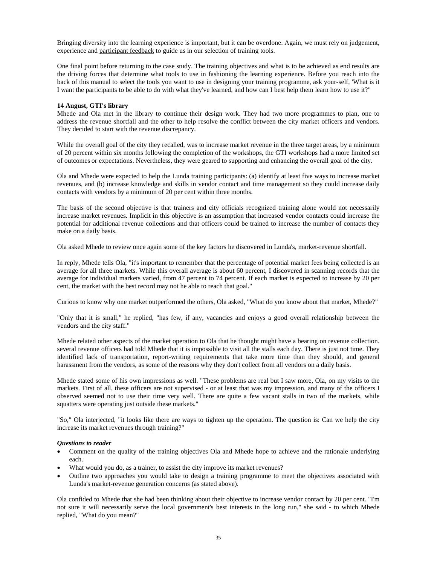Bringing diversity into the learning experience is important, but it can be overdone. Again, we must rely on judgement, experience and participant feedback to guide us in our selection of training tools.

One final point before returning to the case study. The training objectives and what is to be achieved as end results are the driving forces that determine what tools to use in fashioning the learning experience. Before you reach into the back of this manual to select the tools you want to use in designing your training programme, ask your-self, 'What is it I want the participants to be able to do with what they've learned, and how can I best help them learn how to use it?"

#### **14 August, GTI's library**

Mhede and Ola met in the library to continue their design work. They had two more programmes to plan, one to address the revenue shortfall and the other to help resolve the conflict between the city market officers and vendors. They decided to start with the revenue discrepancy.

While the overall goal of the city they recalled, was to increase market revenue in the three target areas, by a minimum of 20 percent within six months following the completion of the workshops, the GTI workshops had a more limited set of outcomes or expectations. Nevertheless, they were geared to supporting and enhancing the overall goal of the city.

Ola and Mhede were expected to help the Lunda training participants: (a) identify at least five ways to increase market revenues, and (b) increase knowledge and skills in vendor contact and time management so they could increase daily contacts with vendors by a minimum of 20 per cent within three months.

The basis of the second objective is that trainers and city officials recognized training alone would not necessarily increase market revenues. Implicit in this objective is an assumption that increased vendor contacts could increase the potential for additional revenue collections and that officers could be trained to increase the number of contacts they make on a daily basis.

Ola asked Mhede to review once again some of the key factors he discovered in Lunda's, market-revenue shortfall.

In reply, Mhede tells Ola, "it's important to remember that the percentage of potential market fees being collected is an average for all three markets. While this overall average is about 60 percent, I discovered in scanning records that the average for individual markets varied, from 47 percent to 74 percent. If each market is expected to increase by 20 per cent, the market with the best record may not he able to reach that goal."

Curious to know why one market outperformed the others, Ola asked, "What do you know about that market, Mhede?"

"Only that it is small," he replied, "has few, if any, vacancies and enjoys a good overall relationship between the vendors and the city staff."

Mhede related other aspects of the market operation to Ola that he thought might have a bearing on revenue collection. several revenue officers had told Mhede that it is impossible to visit all the stalls each day. There is just not time. They identified lack of transportation, report-writing requirements that take more time than they should, and general harassment from the vendors, as some of the reasons why they don't collect from all vendors on a daily basis.

Mhede stated some of his own impressions as well. "These problems are real but I saw more, Ola, on my visits to the markets. First of all, these officers are not supervised - or at least that was my impression, and many of the officers I observed seemed not to use their time very well. There are quite a few vacant stalls in two of the markets, while squatters were operating just outside these markets."

"So," Ola interjected, "it looks like there are ways to tighten up the operation. The question is: Can we help the city increase its market revenues through training?"

#### *Questions to reader*

- Comment on the quality of the training objectives Ola and Mhede hope to achieve and the rationale underlying each.
- What would you do, as a trainer, to assist the city improve its market revenues?
- Outline two approaches you would take to design a training programme to meet the objectives associated with Lunda's market-revenue generation concerns (as stated above).

Ola confided to Mhede that she had been thinking about their objective to increase vendor contact by 20 per cent. "I'm not sure it will necessarily serve the local government's best interests in the long run," she said - to which Mhede replied, "What do you mean?"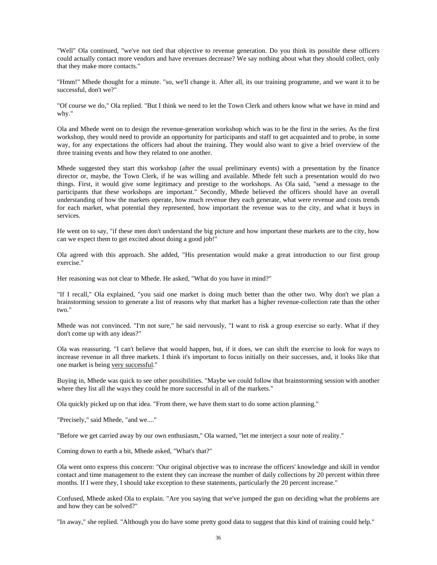"Well" Ola continued, "we've not tied that objective to revenue generation. Do you think its possible these officers could actually contact more vendors and have revenues decrease? We say nothing about what they should collect, only that they make more contacts."

"Hmm!" Mhede thought for a minute. "so, we'll change it. After all, its our training programme, and we want it to be successful, don't we?"

"Of course we do," Ola replied. "But I think we need to let the Town Clerk and others know what we have in mind and why."

Ola and Mhede went on to design the revenue-generation workshop which was to be the first in the series. As the first workshop, they would need to provide an opportunity for participants and staff to get acquainted and to probe, in some way, for any expectations the officers had about the training. They would also want to give a brief overview of the three training events and how they related to one another.

Mhede suggested they start this workshop (after the usual preliminary events) with a presentation by the finance director or, maybe, the Town Clerk, if he was willing and available. Mhede felt such a presentation would do two things. First, it would give some legitimacy and prestige to the workshops. As Ola said, "send a message to the participants that these workshops are important." Secondly, Mhede believed the officers should have an overall understanding of how the markets operate, how much revenue they each generate, what were revenue and costs trends for each market, what potential they represented, how important the revenue was to the city, and what it buys in services.

He went on to say, "if these men don't understand the big picture and how important these markets are to the city, how can we expect them to get excited about doing a good job!"

Ola agreed with this approach. She added, "His presentation would make a great introduction to our first group exercise."

Her reasoning was not clear to Mhede. He asked, "What do you have in mind?"

"If I recall," Ola explained, "you said one market is doing much better than the other two. Why don't we plan a brainstorming session to generate a list of reasons why that market has a higher revenue-collection rate than the other two."

Mhede was not convinced. "I'm not sure," he said nervously, "I want to risk a group exercise so early. What if they don't come up with any ideas?"

Ola was reassuring. "I can't believe that would happen, but, if it does, we can shift the exercise to look for ways to increase revenue in all three markets. I think it's important to focus initially on their successes, and, it looks like that one market is being very successful."

Buying in, Mhede was quick to see other possibilities. "Maybe we could follow that brainstorming session with another where they list all the ways they could he more successful in all of the markets."

Ola quickly picked up on that idea. "From there, we have them start to do some action planning."

"Precisely," said Mhede, "and we...."

"Before we get carried away by our own enthusiasm," Ola warned, "let me interject a sour note of reality."

Coming down to earth a bit, Mhede asked, "What's that?"

Ola went onto express this concern: "Our original objective was to increase the officers' knowledge and skill in vendor contact and time management to the extent they can increase the number of daily collections by 20 percent within three months. If I were they, I should take exception to these statements, particularly the 20 percent increase."

Confused, Mhede asked Ola to explain. "Are you saying that we've jumped the gun on deciding what the problems are and how they can be solved?"

"In away," she replied. "Although you do have some pretty good data to suggest that this kind of training could help."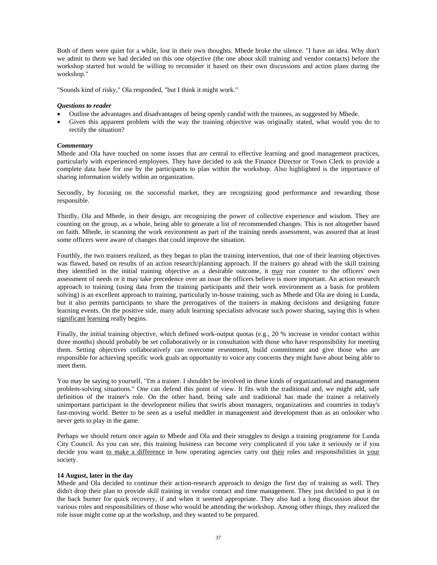Both of them were quiet for a while, lost in their own thoughts. Mhede broke the silence. "I have an idea. Why don't we admit to them we had decided on this one objective (the one about skill training and vendor contacts) before the workshop started but would be willing to reconsider it based on their own discussions and action plans during the workshop."

"Sounds kind of risky," Ola responded, "but I think it might work."

# *Questions to reader*

- Outline the advantages and disadvantages of being openly candid with the trainees, as suggested by Mhede.
- Given this apparent problem with the way the training objective was originally stated, what would you do to rectify the situation?

# *Commentary*

Mhede and Ola have touched on some issues that are central to effective learning and good management practices, particularly with experienced employees. They have decided to ask the Finance Director or Town Clerk to provide a complete data base for use by the participants to plan within the workshop. Also highlighted is the importance of sharing information widely within an organization.

Secondly, by focusing on the successful market, they are recognizing good performance and rewarding those responsible.

Thirdly, Ola and Mhede, in their design, are recognizing the power of collective experience and wisdom. They are counting on the group, as a whole, being able to generate a list of recommended changes. This is not altogether based on faith. Mhede, in scanning the work environment as part of the training needs assessment, was assured that at least some officers were aware of changes that could improve the situation.

Fourthly, the two trainers realized, as they began to plan the training intervention, that one of their learning objectives was flawed, based on results of an action research/planning approach. If the trainers go ahead with the skill training they identified in the initial training objective as a desirable outcome, it may run counter to the officers' own assessment of needs or it may take precedence over an issue the officers believe is more important. An action research approach to training (using data from the training participants and their work environment as a basis for problem solving) is an excellent approach to training, particularly in-house training, such as Mhede and Ola are doing in Lunda, but it also permits participants to share the prerogatives of the trainers in making decisions and designing future learning events. On the positive side, many adult learning specialists advocate such power sharing, saying this is when significant learning really begins.

Finally, the initial training objective, which defined work-output quotas (e.g., 20 % increase in vendor contact within three months) should probably be set collaboratively or in consultation with those who have responsibility for meeting them. Setting objectives collaboratively can overcome resentment, build commitment and give those who are responsible for achieving specific work goals an opportunity to voice any concerns they might have about being able to meet them.

You may be saying to yourself, "I'm a trainer. I shouldn't be involved in these kinds of organizational and management problem-solving situations." One can defend this point of view. It fits with the traditional and, we might add, safe definition of the trainer's role. On the other hand, being safe and traditional has made the trainer a relatively unimportant participant in the development milieu that swirls about managers, organizations and countries in today's fast-moving world. Better to be seen as a useful meddler in management and development than as an onlooker who never gets to play in the game.

Perhaps we should return once again to Mhede and Ola and their struggles to design a training programme for Lunda City Council. As you can see, this training business can become very complicated if you take it seriously or if you decide you want to make a difference in how operating agencies carry out their roles and responsibilities in your society.

### **14 August, later in the day**

Mhede and Ola decided to continue their action-research approach to design the first day of training as well. They didn't drop their plan to provide skill training in vendor contact and time management. They just decided to put it on the back burner for quick recovery, if and when it seemed appropriate. They also had a long discussion about the various roles and responsibilities of those who would be attending the workshop. Among other things, they realized the role issue might come up at the workshop, and they wanted to be prepared.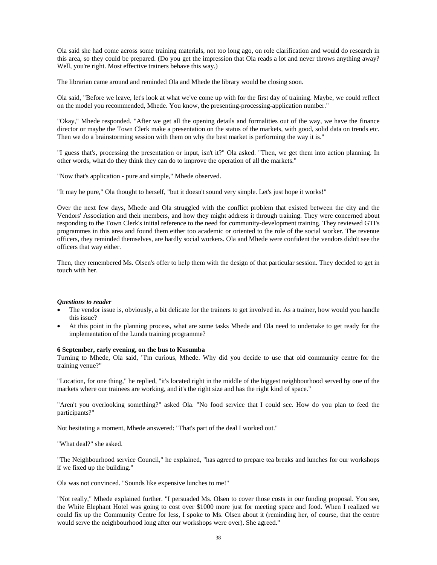Ola said she had come across some training materials, not too long ago, on role clarification and would do research in this area, so they could be prepared. (Do you get the impression that Ola reads a lot and never throws anything away? Well, you're right. Most effective trainers behave this way.)

The librarian came around and reminded Ola and Mhede the library would be closing soon.

Ola said, "Before we leave, let's look at what we've come up with for the first day of training. Maybe, we could reflect on the model you recommended, Mhede. You know, the presenting-processing-application number."

"Okay," Mhede responded. "After we get all the opening details and formalities out of the way, we have the finance director or maybe the Town Clerk make a presentation on the status of the markets, with good, solid data on trends etc. Then we do a brainstorming session with them on why the best market is performing the way it is."

"I guess that's, processing the presentation or input, isn't it?" Ola asked. "Then, we get them into action planning. In other words, what do they think they can do to improve the operation of all the markets."

"Now that's application - pure and simple," Mhede observed.

"It may he pure," Ola thought to herself, "but it doesn't sound very simple. Let's just hope it works!"

Over the next few days, Mhede and Ola struggled with the conflict problem that existed between the city and the Vendors' Association and their members, and how they might address it through training. They were concerned about responding to the Town Clerk's initial reference to the need for community-development training. They reviewed GTI's programmes in this area and found them either too academic or oriented to the role of the social worker. The revenue officers, they reminded themselves, are hardly social workers. Ola and Mhede were confident the vendors didn't see the officers that way either.

Then, they remembered Ms. Olsen's offer to help them with the design of that particular session. They decided to get in touch with her.

#### *Questions to reader*

- The vendor issue is, obviously, a bit delicate for the trainers to get involved in. As a trainer, how would you handle this issue?
- At this point in the planning process, what are some tasks Mhede and Ola need to undertake to get ready for the implementation of the Lunda training programme?

#### **6 September, early evening, on the bus to Kusumba**

Turning to Mhede, Ola said, "I'm curious, Mhede. Why did you decide to use that old community centre for the training venue?"

"Location, for one thing," he replied, "it's located right in the middle of the biggest neighbourhood served by one of the markets where our trainees are working, and it's the right size and has the right kind of space."

"Aren't you overlooking something?" asked Ola. "No food service that I could see. How do you plan to feed the participants?"

Not hesitating a moment, Mhede answered: "That's part of the deal I worked out."

"What deal?" she asked.

"The Neighbourhood service Council," he explained, "has agreed to prepare tea breaks and lunches for our workshops if we fixed up the building."

Ola was not convinced. "Sounds like expensive lunches to me!"

"Not really," Mhede explained further. "I persuaded Ms. Olsen to cover those costs in our funding proposal. You see, the White Elephant Hotel was going to cost over \$1000 more just for meeting space and food. When I realized we could fix up the Community Centre for less, I spoke to Ms. Olsen about it (reminding her, of course, that the centre would serve the neighbourhood long after our workshops were over). She agreed."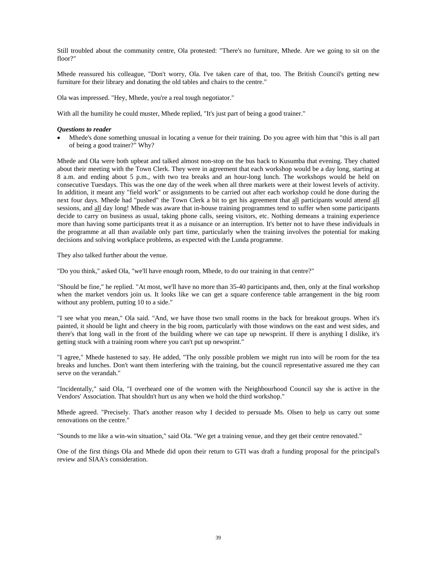Still troubled about the community centre, Ola protested: "There's no furniture, Mhede. Are we going to sit on the floor?"

Mhede reassured his colleague, "Don't worry, Ola. I've taken care of that, too. The British Council's getting new furniture for their library and donating the old tables and chairs to the centre."

Ola was impressed. "Hey, Mhede, you're a real tough negotiator."

With all the humility he could muster, Mhede replied, "It's just part of being a good trainer."

### *Questions to reader*

• Mhede's done something unusual in locating a venue for their training. Do you agree with him that "this is all part of being a good trainer?" Why?

Mhede and Ola were both upbeat and talked almost non-stop on the bus back to Kusumba that evening. They chatted about their meeting with the Town Clerk. They were in agreement that each workshop would be a day long, starting at 8 a.m. and ending about 5 p.m., with two tea breaks and an hour-long lunch. The workshops would be held on consecutive Tuesdays. This was the one day of the week when all three markets were at their lowest levels of activity. In addition, it meant any "field work" or assignments to be carried out after each workshop could he done during the next four days. Mhede had "pushed" the Town Clerk a bit to get his agreement that all participants would attend all sessions, and all day long! Mhede was aware that in-house training programmes tend to suffer when some participants decide to carry on business as usual, taking phone calls, seeing visitors, etc. Nothing demeans a training experience more than having some participants treat it as a nuisance or an interruption. It's better not to have these individuals in the programme at all than available only part time, particularly when the training involves the potential for making decisions and solving workplace problems, as expected with the Lunda programme.

They also talked further about the venue.

"Do you think," asked Ola, "we'll have enough room, Mhede, to do our training in that centre?"

"Should be fine," he replied. "At most, we'll have no more than 35-40 participants and, then, only at the final workshop when the market vendors join us. It looks like we can get a square conference table arrangement in the big room without any problem, putting 10 to a side."

"I see what you mean," Ola said. "And, we have those two small rooms in the back for breakout groups. When it's painted, it should be light and cheery in the big room, particularly with those windows on the east and west sides, and there's that long wall in the front of the building where we can tape up newsprint. If there is anything I dislike, it's getting stuck with a training room where you can't put up newsprint."

"I agree," Mhede hastened to say. He added, "The only possible problem we might run into will be room for the tea breaks and lunches. Don't want them interfering with the training, but the council representative assured me they can serve on the verandah."

"Incidentally," said Ola, "I overheard one of the women with the Neighbourhood Council say she is active in the Vendors' Association. That shouldn't hurt us any when we hold the third workshop."

Mhede agreed. "Precisely. That's another reason why I decided to persuade Ms. Olsen to help us carry out some renovations on the centre."

"Sounds to me like a win-win situation," said Ola. "We get a training venue, and they get their centre renovated."

One of the first things Ola and Mhede did upon their return to GTI was draft a funding proposal for the principal's review and SIAA's consideration.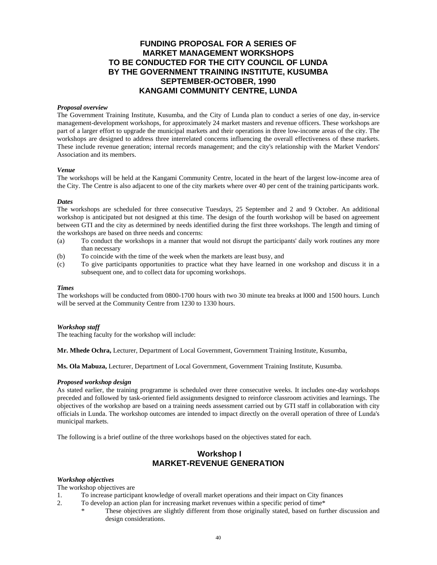# **FUNDING PROPOSAL FOR A SERIES OF MARKET MANAGEMENT WORKSHOPS TO BE CONDUCTED FOR THE CITY COUNCIL OF LUNDA BY THE GOVERNMENT TRAINING INSTITUTE, KUSUMBA SEPTEMBER-OCTOBER, 1990 KANGAMI COMMUNITY CENTRE, LUNDA**

### *Proposal overview*

The Government Training Institute, Kusumba, and the City of Lunda plan to conduct a series of one day, in-service management-development workshops, for approximately 24 market masters and revenue officers. These workshops are part of a larger effort to upgrade the municipal markets and their operations in three low-income areas of the city. The workshops are designed to address three interrelated concerns influencing the overall effectiveness of these markets. These include revenue generation; internal records management; and the city's relationship with the Market Vendors' Association and its members.

### *Venue*

The workshops will be held at the Kangami Community Centre, located in the heart of the largest low-income area of the City. The Centre is also adjacent to one of the city markets where over 40 per cent of the training participants work.

### *Dates*

The workshops are scheduled for three consecutive Tuesdays, 25 September and 2 and 9 October. An additional workshop is anticipated but not designed at this time. The design of the fourth workshop will be based on agreement between GTI and the city as determined by needs identified during the first three workshops. The length and timing of the workshops are based on three needs and concerns:

- (a) To conduct the workshops in a manner that would not disrupt the participants' daily work routines any more than necessary
- (b) To coincide with the time of the week when the markets are least busy, and
- (c) To give participants opportunities to practice what they have learned in one workshop and discuss it in a subsequent one, and to collect data for upcoming workshops.

#### *Times*

The workshops will be conducted from 0800-1700 hours with two 30 minute tea breaks at l000 and 1500 hours. Lunch will be served at the Community Centre from 1230 to 1330 hours.

# *Workshop staff*

The teaching faculty for the workshop will include:

**Mr. Mhede Ochra,** Lecturer, Department of Local Government, Government Training Institute, Kusumba,

**Ms. Ola Mabuza,** Lecturer, Department of Local Government, Government Training Institute, Kusumba.

#### *Proposed workshop design*

As stated earlier, the training programme is scheduled over three consecutive weeks. It includes one-day workshops preceded and followed by task-oriented field assignments designed to reinforce classroom activities and learnings. The objectives of the workshop are based on a training needs assessment carried out by GTI staff in collaboration with city officials in Lunda. The workshop outcomes are intended to impact directly on the overall operation of three of Lunda's municipal markets.

The following is a brief outline of the three workshops based on the objectives stated for each.

# **Workshop I MARKET-REVENUE GENERATION**

#### *Workshop objectives*

The workshop objectives are

- 1. To increase participant knowledge of overall market operations and their impact on City finances
- 2. To develop an action plan for increasing market revenues within a specific period of time\*
	- These objectives are slightly different from those originally stated, based on further discussion and design considerations.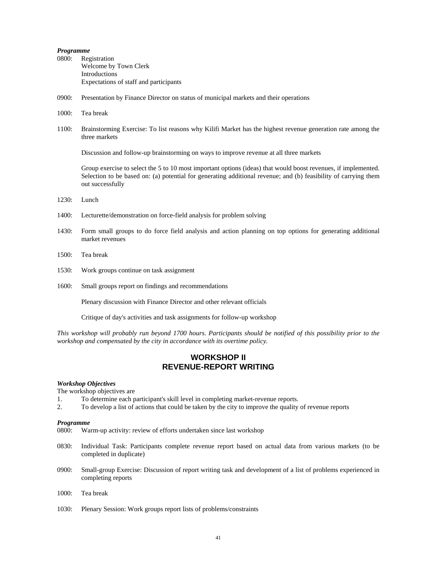## *Programme*

- 0800: Registration Welcome by Town Clerk Introductions Expectations of staff and participants
- 0900: Presentation by Finance Director on status of municipal markets and their operations
- 1000: Tea break
- 1100: Brainstorming Exercise: To list reasons why Kilifi Market has the highest revenue generation rate among the three markets

Discussion and follow-up brainstorming on ways to improve revenue at all three markets

Group exercise to select the 5 to 10 most important options (ideas) that would boost revenues, if implemented. Selection to be based on: (a) potential for generating additional revenue; and (b) feasibility of carrying them out successfully

- 1230: Lunch
- 1400: Lecturette/demonstration on force-field analysis for problem solving
- 1430: Form small groups to do force field analysis and action planning on top options for generating additional market revenues
- 1500: Tea break
- 1530: Work groups continue on task assignment
- 1600: Small groups report on findings and recommendations

Plenary discussion with Finance Director and other relevant officials

Critique of day's activities and task assignments for follow-up workshop

*This workshop will probably run beyond 1700 hours. Participants should be notified of this possibility prior to the workshop and compensated by the city in accordance with its overtime policy.* 

# **WORKSHOP II REVENUE-REPORT WRITING**

#### *Workshop Objectives*

The workshop objectives are

- 1. To determine each participant's skill level in completing market-revenue reports.
- 2. To develop a list of actions that could be taken by the city to improve the quality of revenue reports

#### *Programme*

- 0800: Warm-up activity: review of efforts undertaken since last workshop
- 0830: Individual Task: Participants complete revenue report based on actual data from various markets (to be completed in duplicate)
- 0900: Small-group Exercise: Discussion of report writing task and development of a list of problems experienced in completing reports
- 1000: Tea break
- 1030: Plenary Session: Work groups report lists of problems/constraints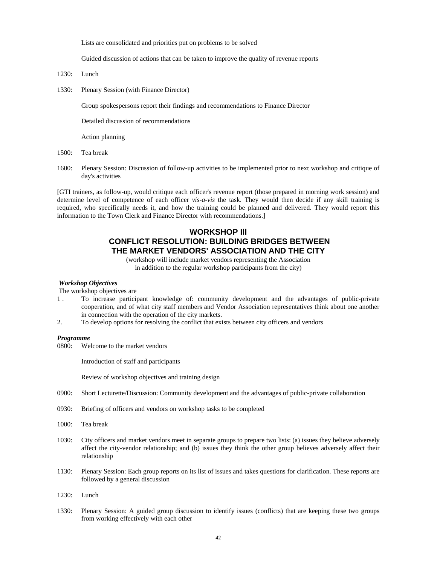Lists are consolidated and priorities put on problems to be solved

Guided discussion of actions that can be taken to improve the quality of revenue reports

- 1230: Lunch
- 1330: Plenary Session (with Finance Director)

Group spokespersons report their findings and recommendations to Finance Director

Detailed discussion of recommendations

Action planning

- 1500: Tea break
- 1600: Plenary Session: Discussion of follow-up activities to be implemented prior to next workshop and critique of day's activities

[GTI trainers, as follow-up, would critique each officer's revenue report (those prepared in morning work session) and determine level of competence of each officer *vis-a-vis* the task. They would then decide if any skill training is required, who specifically needs it, and how the training could be planned and delivered. They would report this information to the Town Clerk and Finance Director with recommendations.]

# **WORKSHOP Ill CONFLICT RESOLUTION: BUILDING BRIDGES BETWEEN THE MARKET VENDORS' ASSOCIATION AND THE CITY**

(workshop will include market vendors representing the Association in addition to the regular workshop participants from the city)

#### *Workshop Objectives*

The workshop objectives are

- 1 . To increase participant knowledge of: community development and the advantages of public-private cooperation, and of what city staff members and Vendor Association representatives think about one another in connection with the operation of the city markets.
- 2. To develop options for resolving the conflict that exists between city officers and vendors

#### *Programme*

0800: Welcome to the market vendors

Introduction of staff and participants

Review of workshop objectives and training design

- 0900: Short Lecturette/Discussion: Community development and the advantages of public-private collaboration
- 0930: Briefing of officers and vendors on workshop tasks to be completed
- 1000: Tea break
- 1030: City officers and market vendors meet in separate groups to prepare two lists: (a) issues they believe adversely affect the city-vendor relationship; and (b) issues they think the other group believes adversely affect their relationship
- 1130: Plenary Session: Each group reports on its list of issues and takes questions for clarification. These reports are followed by a general discussion
- 1230: Lunch
- 1330: Plenary Session: A guided group discussion to identify issues (conflicts) that are keeping these two groups from working effectively with each other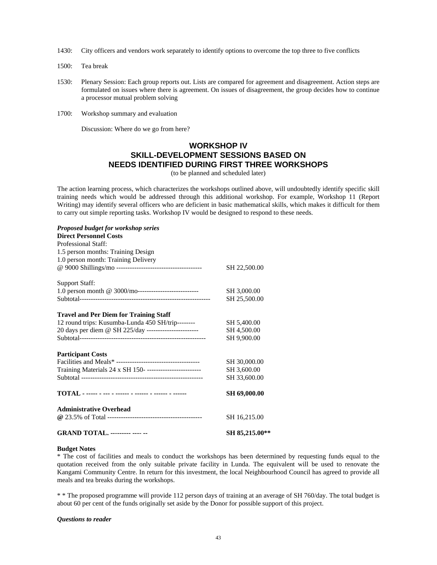- 1430: City officers and vendors work separately to identify options to overcome the top three to five conflicts
- 1500: Tea break
- 1530: Plenary Session: Each group reports out. Lists are compared for agreement and disagreement. Action steps are formulated on issues where there is agreement. On issues of disagreement, the group decides how to continue a processor mutual problem solving
- 1700: Workshop summary and evaluation

Discussion: Where do we go from here?

# **WORKSHOP IV SKILL-DEVELOPMENT SESSIONS BASED ON NEEDS IDENTIFIED DURING FIRST THREE WORKSHOPS**

(to be planned and scheduled later)

The action learning process, which characterizes the workshops outlined above, will undoubtedly identify specific skill training needs which would be addressed through this additional workshop. For example, Workshop 11 (Report Writing) may identify several officers who are deficient in basic mathematical skills, which makes it difficult for them to carry out simple reporting tasks. Workshop IV would be designed to respond to these needs.

# *Proposed budget for workshop series*  **Direct Personnel Costs** Professional Staff: 1.5 person months: Training Design 1.0 person month: Training Delivery @ 9000 Shillings/mo -------------------------------------- SH 22,500.00 Support Staff: 1.0 person month @ 3000/mo--------------------------- SH 3,000.00 Subtotal---------------------------------------------------------- SH 25,500.00 **Travel and Per Diem for Training Staff** 12 round trips: Kusumba-Lunda 450 SH/trip-------- SH 5,400.00 20 days per diem @ SH 225/day ----------------------- SH 4,500.00 Subtotal-------------------------------------------------------- SH 9,900.00 **Participant Costs** Facilities and Meals\* ------------------------------------- SH 30,000.00 Training Materials 24 x SH 150- ------------------------ SH 3,600.00 Subtotal ------------------------------------------------------ SH 33,600.00 **TOTAL - ----- - --- - ------ - ------ - ------ - ------ SH 69,000.00 Administrative Overhead @** 23.5% of Total ------------------------------------------ SH 16,215.00 **GRAND TOTAL. --**-**------ ---**- **-- SH 85,215.00\*\***

### **Budget Notes**

\* The cost of facilities and meals to conduct the workshops has been determined by requesting funds equal to the quotation received from the only suitable private facility in Lunda. The equivalent will be used to renovate the Kangami Community Centre. In return for this investment, the local Neighbourhood Council has agreed to provide all meals and tea breaks during the workshops.

\* \* The proposed programme will provide 112 person days of training at an average of SH 760/day. The total budget is about 60 per cent of the funds originally set aside by the Donor for possible support of this project.

#### *Questions to reader*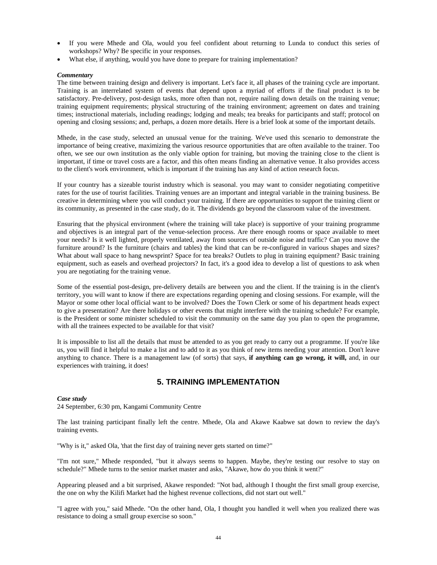- If you were Mhede and Ola, would you feel confident about returning to Lunda to conduct this series of workshops? Why? Be specific in your responses.
- What else, if anything, would you have done to prepare for training implementation?

# *Commentary*

The time between training design and delivery is important. Let's face it, all phases of the training cycle are important. Training is an interrelated system of events that depend upon a myriad of efforts if the final product is to be satisfactory. Pre-delivery, post-design tasks, more often than not, require nailing down details on the training venue; training equipment requirements; physical structuring of the training environment; agreement on dates and training times; instructional materials, including readings; lodging and meals; tea breaks for participants and staff; protocol on opening and closing sessions; and, perhaps, a dozen more details. Here is a brief look at some of the important details.

Mhede, in the case study, selected an unusual venue for the training. We've used this scenario to demonstrate the importance of being creative, maximizing the various resource opportunities that are often available to the trainer. Too often, we see our own institution as the only viable option for training, but moving the training close to the client is important, if time or travel costs are a factor, and this often means finding an alternative venue. It also provides access to the client's work environment, which is important if the training has any kind of action research focus.

If your country has a sizeable tourist industry which is seasonal. you may want to consider negotiating competitive rates for the use of tourist facilities. Training venues are an important and integral variable in the training business. Be creative in determining where you will conduct your training. If there are opportunities to support the training client or its community, as presented in the case study, do it. The dividends go beyond the classroom value of the investment.

Ensuring that the physical environment (where the training will take place) is supportive of your training programme and objectives is an integral part of the venue-selection process. Are there enough rooms or space available to meet your needs? Is it well lighted, properly ventilated, away from sources of outside noise and traffic? Can you move the furniture around? Is the furniture (chairs and tables) the kind that can be re-configured in various shapes and sizes? What about wall space to hang newsprint? Space for tea breaks? Outlets to plug in training equipment? Basic training equipment, such as easels and overhead projectors? In fact, it's a good idea to develop a list of questions to ask when you are negotiating for the training venue.

Some of the essential post-design, pre-delivery details are between you and the client. If the training is in the client's territory, you will want to know if there are expectations regarding opening and closing sessions. For example, will the Mayor or some other local official want to be involved? Does the Town Clerk or some of his department heads expect to give a presentation? Are there holidays or other events that might interfere with the training schedule? For example, is the President or some minister scheduled to visit the community on the same day you plan to open the programme, with all the trainees expected to be available for that visit?

It is impossible to list all the details that must be attended to as you get ready to carry out a programme. If you're like us, you will find it helpful to make a list and to add to it as you think of new items needing your attention. Don't leave anything to chance. There is a management law (of sorts) that says, **if anything can go wrong, it will,** and, in our experiences with training, it does!

# **5. TRAINING IMPLEMENTATION**

# *Case study*

24 September, 6:30 pm, Kangami Community Centre

The last training participant finally left the centre. Mhede, Ola and Akawe Kaabwe sat down to review the day's training events.

"Why is it," asked Ola, 'that the first day of training never gets started on time?"

"I'm not sure," Mhede responded, "but it always seems to happen. Maybe, they're testing our resolve to stay on schedule?" Mhede turns to the senior market master and asks, "Akawe, how do you think it went?"

Appearing pleased and a bit surprised, Akawe responded: "Not bad, although I thought the first small group exercise, the one on why the Kilifi Market had the highest revenue collections, did not start out well."

"I agree with you," said Mhede. "On the other hand, Ola, I thought you handled it well when you realized there was resistance to doing a small group exercise so soon."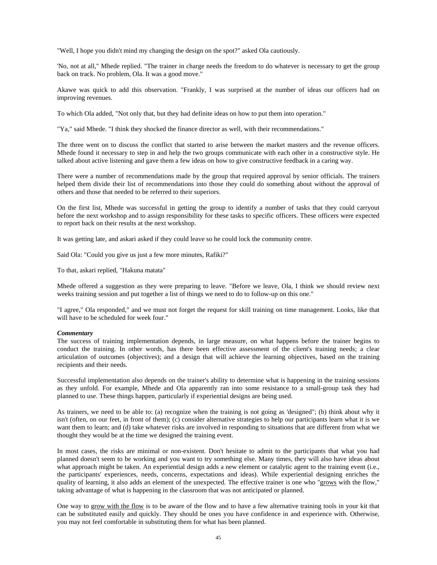"Well, I hope you didn't mind my changing the design on the spot?" asked Ola cautiously.

'No, not at all," Mhede replied. "The trainer in charge needs the freedom to do whatever is necessary to get the group back on track. No problem, Ola. It was a good move."

Akawe was quick to add this observation. "Frankly, I was surprised at the number of ideas our officers had on improving revenues.

To which Ola added, "Not only that, but they had definite ideas on how to put them into operation."

"Ya," said Mhede. "I think they shocked the finance director as well, with their recommendations."

The three went on to discuss the conflict that started to arise between the market masters and the revenue officers. Mhede found it necessary to step in and help the two groups communicate with each other in a constructive style. He talked about active listening and gave them a few ideas on how to give constructive feedback in a caring way.

There were a number of recommendations made by the group that required approval by senior officials. The trainers helped them divide their list of recommendations into those they could do something about without the approval of others and those that needed to be referred to their superiors.

On the first list, Mhede was successful in getting the group to identify a number of tasks that they could carryout before the next workshop and to assign responsibility for these tasks to specific officers. These officers were expected to report back on their results at the next workshop.

It was getting late, and askari asked if they could leave so he could lock the community centre.

Said Ola: "Could you give us just a few more minutes, Rafiki?"

To that, askari replied, "Hakuna matata"

Mhede offered a suggestion as they were preparing to leave. "Before we leave, Ola, I think we should review next weeks training session and put together a list of things we need to do to follow-up on this one."

"I agree," Ola responded," and we must not forget the request for skill training on time management. Looks, like that will have to be scheduled for week four."

#### *Commentary*

The success of training implementation depends, in large measure, on what happens before the trainer begins to conduct the training. In other words, has there been effective assessment of the client's training needs; a clear articulation of outcomes (objectives); and a design that will achieve the learning objectives, based on the training recipients and their needs.

Successful implementation also depends on the trainer's ability to determine what is happening in the training sessions as they unfold. For example, Mhede and Ola apparently ran into some resistance to a small-group task they had planned to use. These things happen, particularly if experiential designs are being used.

As trainers, we need to be able to: (a) recognize when the training is not going as 'designed"; (b) think about why it isn't (often, on our feet, in front of them); (c) consider alternative strategies to help our participants learn what it is we want them to learn; and (d) take whatever risks are involved in responding to situations that are different from what we thought they would be at the time we designed the training event.

In most cases, the risks are minimal or non-existent. Don't hesitate to admit to the participants that what you had planned doesn't seem to be working and you want to try something else. Many times, they will also have ideas about what approach might be taken. An experiential design adds a new element or catalytic agent to the training event (i.e., the participants' experiences, needs, concerns, expectations and ideas). While experiential designing enriches the quality of learning, it also adds an element of the unexpected. The effective trainer is one who "grows with the flow," taking advantage of what is happening in the classroom that was not anticipated or planned.

One way to grow with the flow is to be aware of the flow and to have a few alternative training tools in your kit that can be substituted easily and quickly. They should be ones you have confidence in and experience with. Otherwise, you may not feel comfortable in substituting them for what has been planned.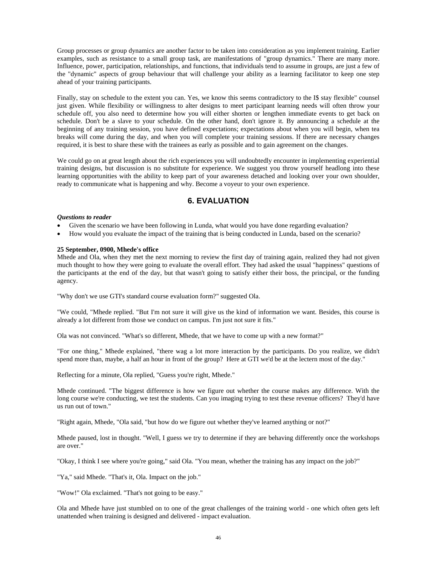Group processes or group dynamics are another factor to be taken into consideration as you implement training. Earlier examples, such as resistance to a small group task, are manifestations of "group dynamics." There are many more. Influence, power, participation, relationships, and functions, that individuals tend to assume in groups, are just a few of the "dynamic" aspects of group behaviour that will challenge your ability as a learning facilitator to keep one step ahead of your training participants.

Finally, stay on schedule to the extent you can. Yes, we know this seems contradictory to the I\$ stay flexible" counsel just given. While flexibility or willingness to alter designs to meet participant learning needs will often throw your schedule off, you also need to determine how you will either shorten or lengthen immediate events to get back on schedule. Don't be a slave to your schedule. On the other hand, don't ignore it. By announcing a schedule at the beginning of any training session, you have defined expectations; expectations about when you will begin, when tea breaks will come during the day, and when you will complete your training sessions. If there are necessary changes required, it is best to share these with the trainees as early as possible and to gain agreement on the changes.

We could go on at great length about the rich experiences you will undoubtedly encounter in implementing experiential training designs, but discussion is no substitute for experience. We suggest you throw yourself headlong into these learning opportunities with the ability to keep part of your awareness detached and looking over your own shoulder, ready to communicate what is happening and why. Become a voyeur to your own experience.

# **6. EVALUATION**

# *Questions to reader*

- Given the scenario we have been following in Lunda, what would you have done regarding evaluation?
- How would you evaluate the impact of the training that is being conducted in Lunda, based on the scenario?

#### **25 September, 0900, Mhede's office**

Mhede and Ola, when they met the next morning to review the first day of training again, realized they had not given much thought to how they were going to evaluate the overall effort. They had asked the usual "happiness" questions of the participants at the end of the day, but that wasn't going to satisfy either their boss, the principal, or the funding agency.

"Why don't we use GTI's standard course evaluation form?" suggested Ola.

"We could, "Mhede replied. "But I'm not sure it will give us the kind of information we want. Besides, this course is already a lot different from those we conduct on campus. I'm just not sure it fits."

Ola was not convinced. "What's so different, Mhede, that we have to come up with a new format?"

"For one thing," Mhede explained, "there wag a lot more interaction by the participants. Do you realize, we didn't spend more than, maybe, a half an hour in front of the group? Here at GTI we'd be at the lectern most of the day."

Reflecting for a minute, Ola replied, "Guess you're right, Mhede."

Mhede continued. "The biggest difference is how we figure out whether the course makes any difference. With the long course we're conducting, we test the students. Can you imaging trying to test these revenue officers? They'd have us run out of town."

"Right again, Mhede, "Ola said, "but how do we figure out whether they've learned anything or not?"

Mhede paused, lost in thought. "Well, I guess we try to determine if they are behaving differently once the workshops are over."

"Okay, I think I see where you're going," said Ola. "You mean, whether the training has any impact on the job?"

"Ya," said Mhede. "That's it, Ola. Impact on the job."

"Wow!" Ola exclaimed. "That's not going to be easy."

Ola and Mhede have just stumbled on to one of the great challenges of the training world - one which often gets left unattended when training is designed and delivered - impact evaluation.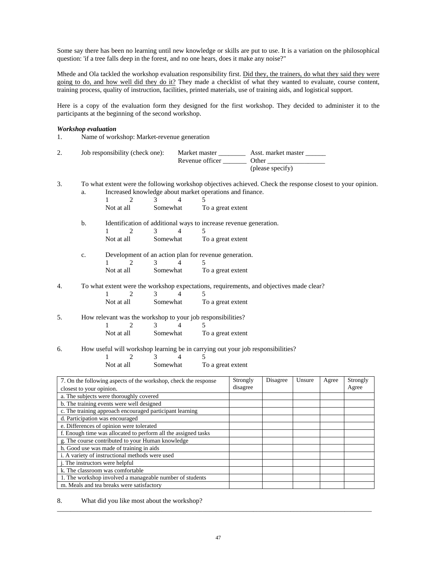Some say there has been no learning until new knowledge or skills are put to use. It is a variation on the philosophical question: 'if a tree falls deep in the forest, and no one hears, does it make any noise?"

Mhede and Ola tackled the workshop evaluation responsibility first. Did they, the trainers, do what they said they were going to do, and how well did they do it? They made a checklist of what they wanted to evaluate, course content, training process, quality of instruction, facilities, printed materials, use of training aids, and logistical support.

Here is a copy of the evaluation form they designed for the first workshop. They decided to administer it to the participants at the beginning of the second workshop.

#### *Workshop evaluation*

1. Name of workshop: Market-revenue generation

| 2. | Job responsibility (check one): | Market master   | Asst. market master |
|----|---------------------------------|-----------------|---------------------|
|    |                                 | Revenue officer | Other               |
|    |                                 |                 | (please specify)    |

3. To what extent were the following workshop objectives achieved. Check the response closest to your opinion. Increased knowledge about market operations and finance.

|        |             |                                  |                                           | mercased knowledge about market operations and maintee.                                 |
|--------|-------------|----------------------------------|-------------------------------------------|-----------------------------------------------------------------------------------------|
|        |             | $\mathcal{D}_{\mathcal{L}}$<br>1 | 3<br>4                                    |                                                                                         |
|        |             | Not at all                       | Somewhat                                  | To a great extent                                                                       |
|        | b.          |                                  |                                           | Identification of additional ways to increase revenue generation.                       |
|        |             | $\mathfrak{D}$                   | 3<br>4                                    | 5                                                                                       |
|        |             | Not at all                       | Somewhat                                  | To a great extent                                                                       |
|        | $C_{\star}$ |                                  |                                           | Development of an action plan for revenue generation.                                   |
|        |             | 2                                | 3<br>$\overline{4}$                       | 5                                                                                       |
|        |             | Not at all                       | Somewhat                                  | To a great extent                                                                       |
| 4.     |             |                                  |                                           | To what extent were the workshop expectations, requirements, and objectives made clear? |
|        |             | $\mathfrak{D}$                   | 3<br>4                                    | 5                                                                                       |
|        |             | Not at all                       | Somewhat                                  | To a great extent                                                                       |
| 5.     |             |                                  |                                           | How relevant was the workshop to your job responsibilities?                             |
|        |             | $\mathfrak{D}$                   | $\mathcal{E}$<br>$\overline{\mathcal{A}}$ | 5                                                                                       |
|        |             | Not at all                       | Somewhat                                  | To a great extent                                                                       |
| 6.     |             |                                  |                                           | How useful will workshop learning be in carrying out your job responsibilities?         |
|        |             | $\mathcal{L}$                    | 4<br>3                                    | 5                                                                                       |
|        |             | Not at all                       | Somewhat                                  | To a great extent                                                                       |
| $\sim$ |             |                                  |                                           | $\sim$<br>. r.<br>$\sim$<br><b>TT</b><br>$\mathbf{1}$                                   |

| Strongly<br>7. On the following aspects of the workshop, check the response |          | Disagree | Unsure | Agree | Strongly |
|-----------------------------------------------------------------------------|----------|----------|--------|-------|----------|
| closest to your opinion.                                                    | disagree |          |        |       | Agree    |
| a. The subjects were thoroughly covered                                     |          |          |        |       |          |
| b. The training events were well designed                                   |          |          |        |       |          |
| c. The training approach encouraged participant learning                    |          |          |        |       |          |
| d. Participation was encouraged                                             |          |          |        |       |          |
| e. Differences of opinion were tolerated                                    |          |          |        |       |          |
| f. Enough time was allocated to perform all the assigned tasks              |          |          |        |       |          |
| g. The course contributed to your Human knowledge                           |          |          |        |       |          |
| h. Good use was made of training in aids                                    |          |          |        |       |          |
| i. A variety of instructional methods were used                             |          |          |        |       |          |
| . The instructors were helpful                                              |          |          |        |       |          |
| k. The classroom was comfortable                                            |          |          |        |       |          |
| 1. The workshop involved a manageable number of students                    |          |          |        |       |          |
| m. Meals and tea breaks were satisfactory                                   |          |          |        |       |          |

8. What did you like most about the workshop?

\_\_\_\_\_\_\_\_\_\_\_\_\_\_\_\_\_\_\_\_\_\_\_\_\_\_\_\_\_\_\_\_\_\_\_\_\_\_\_\_\_\_\_\_\_\_\_\_\_\_\_\_\_\_\_\_\_\_\_\_\_\_\_\_\_\_\_\_\_\_\_\_\_\_\_\_\_\_\_\_\_\_\_\_\_\_\_\_\_\_\_\_\_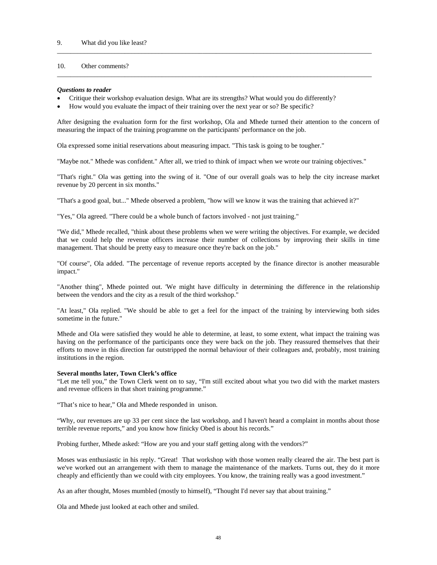# 10. Other comments?

### *Questions to reader*

- Critique their workshop evaluation design. What are its strengths? What would you do differently?
- How would you evaluate the impact of their training over the next year or so? Be specific?

After designing the evaluation form for the first workshop, Ola and Mhede turned their attention to the concern of measuring the impact of the training programme on the participants' performance on the job.

\_\_\_\_\_\_\_\_\_\_\_\_\_\_\_\_\_\_\_\_\_\_\_\_\_\_\_\_\_\_\_\_\_\_\_\_\_\_\_\_\_\_\_\_\_\_\_\_\_\_\_\_\_\_\_\_\_\_\_\_\_\_\_\_\_\_\_\_\_\_\_\_\_\_\_\_\_\_\_\_\_\_\_\_\_\_\_\_\_\_\_\_\_

\_\_\_\_\_\_\_\_\_\_\_\_\_\_\_\_\_\_\_\_\_\_\_\_\_\_\_\_\_\_\_\_\_\_\_\_\_\_\_\_\_\_\_\_\_\_\_\_\_\_\_\_\_\_\_\_\_\_\_\_\_\_\_\_\_\_\_\_\_\_\_\_\_\_\_\_\_\_\_\_\_\_\_\_\_\_\_\_\_\_\_\_\_

Ola expressed some initial reservations about measuring impact. "This task is going to be tougher."

"Maybe not." Mhede was confident." After all, we tried to think of impact when we wrote our training objectives."

"That's right." Ola was getting into the swing of it. "One of our overall goals was to help the city increase market revenue by 20 percent in six months."

"That's a good goal, but..." Mhede observed a problem, "how will we know it was the training that achieved it?"

"Yes," Ola agreed. "There could be a whole bunch of factors involved - not just training."

"We did," Mhede recalled, "think about these problems when we were writing the objectives. For example, we decided that we could help the revenue officers increase their number of collections by improving their skills in time management. That should be pretty easy to measure once they're back on the job."

"Of course", Ola added. "The percentage of revenue reports accepted by the finance director is another measurable impact."

"Another thing", Mhede pointed out. 'We might have difficulty in determining the difference in the relationship between the vendors and the city as a result of the third workshop."

"At least," Ola replied. "We should be able to get a feel for the impact of the training by interviewing both sides sometime in the future."

Mhede and Ola were satisfied they would he able to determine, at least, to some extent, what impact the training was having on the performance of the participants once they were back on the job. They reassured themselves that their efforts to move in this direction far outstripped the normal behaviour of their colleagues and, probably, most training institutions in the region.

#### **Several months later, Town Clerk's office**

"Let me tell you," the Town Clerk went on to say, "I'm still excited about what you two did with the market masters and revenue officers in that short training programme."

"That's nice to hear," Ola and Mhede responded in unison.

"Why, our revenues are up 33 per cent since the last workshop, and I haven't heard a complaint in months about those terrible revenue reports," and you know how finicky Obed is about his records."

Probing further, Mhede asked: "How are you and your staff getting along with the vendors?"

Moses was enthusiastic in his reply. "Great! That workshop with those women really cleared the air. The best part is we've worked out an arrangement with them to manage the maintenance of the markets. Turns out, they do it more cheaply and efficiently than we could with city employees. You know, the training really was a good investment."

As an after thought, Moses mumbled (mostly to himself), "Thought I'd never say that about training."

Ola and Mhede just looked at each other and smiled.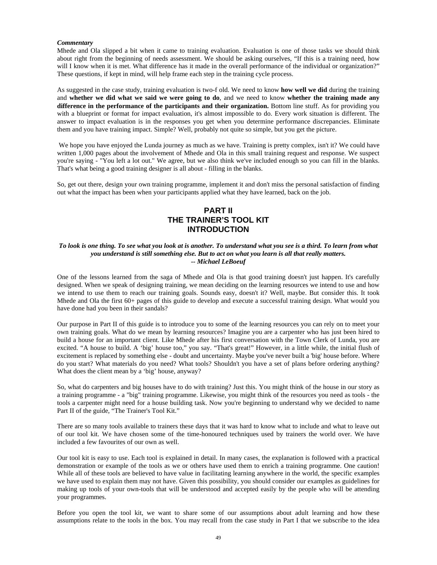### *Commentary*

Mhede and Ola slipped a bit when it came to training evaluation. Evaluation is one of those tasks we should think about right from the beginning of needs assessment. We should be asking ourselves, "If this is a training need, how will I know when it is met. What difference has it made in the overall performance of the individual or organization?" These questions, if kept in mind, will help frame each step in the training cycle process.

As suggested in the case study, training evaluation is two-f old. We need to know **how well we did** during the training and **whether we did what we said we were going to do**, and we need to know **whether the training made any difference in the performance of the participants and their organization.** Bottom line stuff. As for providing you with a blueprint or format for impact evaluation, it's almost impossible to do. Every work situation is different. The answer to impact evaluation is in the responses you get when you determine performance discrepancies. Eliminate them and you have training impact. Simple? Well, probably not quite so simple, but you get the picture.

We hope you have enjoyed the Lunda journey as much as we have. Training is pretty complex, isn't it? We could have written 1,000 pages about the involvement of Mhede and Ola in this small training request and response. We suspect you're saying - "You left a lot out." We agree, but we also think we've included enough so you can fill in the blanks. That's what being a good training designer is all about - filling in the blanks.

So, get out there, design your own training programme, implement it and don't miss the personal satisfaction of finding out what the impact has been when your participants applied what they have learned, back on the job.

# **PART II THE TRAINER'S TOOL KIT INTRODUCTION**

### *To look is one thing. To see what you look at is another. To understand what you see is a third. To learn from what you understand is still something else. But to act on what you learn is all that really matters. -- Michael LeBoeuf*

One of the lessons learned from the saga of Mhede and Ola is that good training doesn't just happen. It's carefully designed. When we speak of designing training, we mean deciding on the learning resources we intend to use and how we intend to use them to reach our training goals. Sounds easy, doesn't it? Well, maybe. But consider this. It took Mhede and Ola the first 60+ pages of this guide to develop and execute a successful training design. What would you have done had you been in their sandals?

Our purpose in Part II of this guide is to introduce you to some of the learning resources you can rely on to meet your own training goals. What do we mean by learning resources? Imagine you are a carpenter who has just been hired to build a house for an important client. Like Mhede after his first conversation with the Town Clerk of Lunda, you are excited. "A house to build. A 'big' house too," you say. "That's great!" However, in a little while, the initial flush of excitement is replaced by something else - doubt and uncertainty. Maybe you've never built a 'big' house before. Where do you start? What materials do you need? What tools? Shouldn't you have a set of plans before ordering anything? What does the client mean by a 'big' house, anyway?

So, what do carpenters and big houses have to do with training? Just this. You might think of the house in our story as a training programme - a "big" training programme. Likewise, you might think of the resources you need as tools - the tools a carpenter might need for a house building task. Now you're beginning to understand why we decided to name Part II of the guide, "The Trainer's Tool Kit."

There are so many tools available to trainers these days that it was hard to know what to include and what to leave out of our tool kit. We have chosen some of the time-honoured techniques used by trainers the world over. We have included a few favourites of our own as well.

Our tool kit is easy to use. Each tool is explained in detail. In many cases, the explanation is followed with a practical demonstration or example of the tools as we or others have used them to enrich a training programme. One caution! While all of these tools are believed to have value in facilitating learning anywhere in the world, the specific examples we have used to explain them may not have. Given this possibility, you should consider our examples as guidelines for making up tools of your own-tools that will be understood and accepted easily by the people who will be attending your programmes.

Before you open the tool kit, we want to share some of our assumptions about adult learning and how these assumptions relate to the tools in the box. You may recall from the case study in Part I that we subscribe to the idea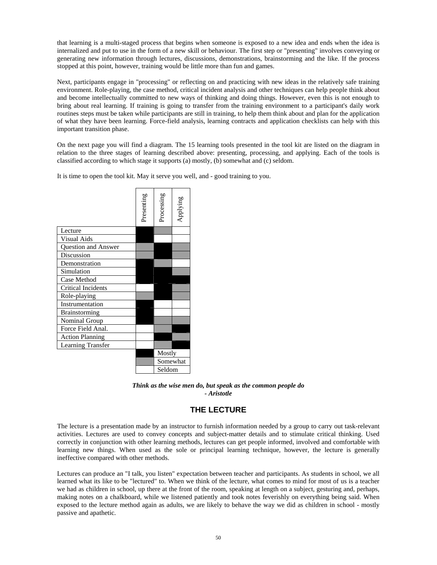that learning is a multi-staged process that begins when someone is exposed to a new idea and ends when the idea is internalized and put to use in the form of a new skill or behaviour. The first step or "presenting" involves conveying or generating new information through lectures, discussions, demonstrations, brainstorming and the like. If the process stopped at this point, however, training would be little more than fun and games.

Next, participants engage in "processing" or reflecting on and practicing with new ideas in the relatively safe training environment. Role-playing, the case method, critical incident analysis and other techniques can help people think about and become intellectually committed to new ways of thinking and doing things. However, even this is not enough to bring about real learning. If training is going to transfer from the training environment to a participant's daily work routines steps must be taken while participants are still in training, to help them think about and plan for the application of what they have been learning. Force-field analysis, learning contracts and application checklists can help with this important transition phase.

On the next page you will find a diagram. The 15 learning tools presented in the tool kit are listed on the diagram in relation to the three stages of learning described above: presenting, processing, and applying. Each of the tools is classified according to which stage it supports (a) mostly, (b) somewhat and (c) seldom.

It is time to open the tool kit. May it serve you well, and - good training to you.

|                            | Presenting | Processing | Applying |  |
|----------------------------|------------|------------|----------|--|
| Lecture                    |            |            |          |  |
| Visual Aids                |            |            |          |  |
| <b>Ouestion and Answer</b> |            |            |          |  |
| Discussion                 |            |            |          |  |
| Demonstration              |            |            |          |  |
| Simulation                 |            |            |          |  |
| Case Method                |            |            |          |  |
| Critical Incidents         |            |            |          |  |
| Role-playing               |            |            |          |  |
| Instrumentation            |            |            |          |  |
| <b>Brainstorming</b>       |            |            |          |  |
| Nominal Group              |            |            |          |  |
| Force Field Anal.          |            |            |          |  |
| <b>Action Planning</b>     |            |            |          |  |
| <b>Learning Transfer</b>   |            |            |          |  |
|                            |            | Mostly     |          |  |
|                            |            | Somewhat   |          |  |
|                            |            | Seldom     |          |  |

*Think as the wise men do, but speak as the common people do - Aristotle*

# **THE LECTURE**

The lecture is a presentation made by an instructor to furnish information needed by a group to carry out task-relevant activities. Lectures are used to convey concepts and subject-matter details and to stimulate critical thinking. Used correctly in conjunction with other learning methods, lectures can get people informed, involved and comfortable with learning new things. When used as the sole or principal learning technique, however, the lecture is generally ineffective compared with other methods.

Lectures can produce an "I talk, you listen" expectation between teacher and participants. As students in school, we all learned what its like to be "lectured" to. When we think of the lecture, what comes to mind for most of us is a teacher we had as children in school, up there at the front of the room, speaking at length on a subject, gesturing and, perhaps, making notes on a chalkboard, while we listened patiently and took notes feverishly on everything being said. When exposed to the lecture method again as adults, we are likely to behave the way we did as children in school - mostly passive and apathetic.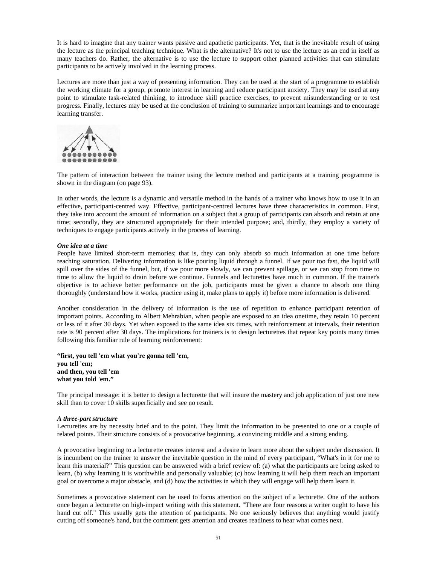It is hard to imagine that any trainer wants passive and apathetic participants. Yet, that is the inevitable result of using the lecture as the principal teaching technique. What is the alternative? It's not to use the lecture as an end in itself as many teachers do. Rather, the alternative is to use the lecture to support other planned activities that can stimulate participants to be actively involved in the learning process.

Lectures are more than just a way of presenting information. They can be used at the start of a programme to establish the working climate for a group, promote interest in learning and reduce participant anxiety. They may be used at any point to stimulate task-related thinking, to introduce skill practice exercises, to prevent misunderstanding or to test progress. Finally, lectures may be used at the conclusion of training to summarize important learnings and to encourage learning transfer.



The pattern of interaction between the trainer using the lecture method and participants at a training programme is shown in the diagram (on page 93).

In other words, the lecture is a dynamic and versatile method in the hands of a trainer who knows how to use it in an effective, participant-centred way. Effective, participant-centred lectures have three characteristics in common. First, they take into account the amount of information on a subject that a group of participants can absorb and retain at one time; secondly, they are structured appropriately for their intended purpose; and, thirdly, they employ a variety of techniques to engage participants actively in the process of learning.

### *One idea at a time*

People have limited short-term memories; that is, they can only absorb so much information at one time before reaching saturation. Delivering information is like pouring liquid through a funnel. If we pour too fast, the liquid will spill over the sides of the funnel, but, if we pour more slowly, we can prevent spillage, or we can stop from time to time to allow the liquid to drain before we continue. Funnels and lecturettes have much in common. If the trainer's objective is to achieve better performance on the job, participants must be given a chance to absorb one thing thoroughly (understand how it works, practice using it, make plans to apply it) before more information is delivered.

Another consideration in the delivery of information is the use of repetition to enhance participant retention of important points. According to Albert Mehrabian, when people are exposed to an idea onetime, they retain 10 percent or less of it after 30 days. Yet when exposed to the same idea six times, with reinforcement at intervals, their retention rate is 90 percent after 30 days. The implications for trainers is to design lecturettes that repeat key points many times following this familiar rule of learning reinforcement:

**"first, you tell 'em what you're gonna tell 'em, you tell 'em; and then, you tell 'em what you told 'em."**

The principal message: it is better to design a lecturette that will insure the mastery and job application of just one new skill than to cover 10 skills superficially and see no result.

#### *A three-part structure*

Lecturettes are by necessity brief and to the point. They limit the information to be presented to one or a couple of related points. Their structure consists of a provocative beginning, a convincing middle and a strong ending.

A provocative beginning to a lecturette creates interest and a desire to learn more about the subject under discussion. It is incumbent on the trainer to answer the inevitable question in the mind of every participant, "What's in it for me to learn this material?" This question can be answered with a brief review of: (a) what the participants are being asked to learn, (b) why learning it is worthwhile and personally valuable; (c) how learning it will help them reach an important goal or overcome a major obstacle, and (d) how the activities in which they will engage will help them learn it.

Sometimes a provocative statement can be used to focus attention on the subject of a lecturette. One of the authors once began a lecturette on high-impact writing with this statement. "There are four reasons a writer ought to have his hand cut off." This usually gets the attention of participants. No one seriously believes that anything would justify cutting off someone's hand, but the comment gets attention and creates readiness to hear what comes next.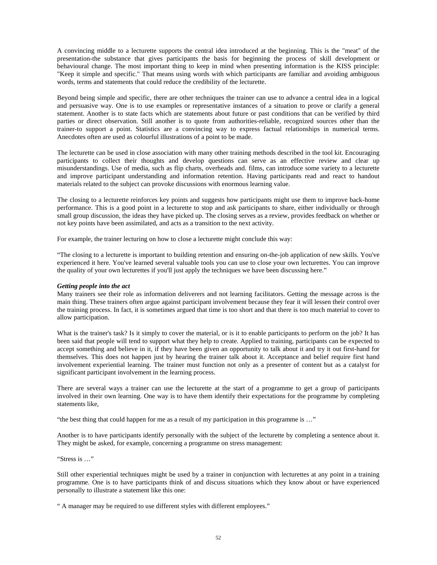A convincing middle to a lecturette supports the central idea introduced at the beginning. This is the "meat" of the presentation-the substance that gives participants the basis for beginning the process of skill development or behavioural change. The most important thing to keep in mind when presenting information is the KISS principle: "Keep it simple and specific." That means using words with which participants are familiar and avoiding ambiguous words, terms and statements that could reduce the credibility of the lecturette.

Beyond being simple and specific, there are other techniques the trainer can use to advance a central idea in a logical and persuasive way. One is to use examples or representative instances of a situation to prove or clarify a general statement. Another is to state facts which are statements about future or past conditions that can be verified by third parties or direct observation. Still another is to quote from authorities-reliable, recognized sources other than the trainer-to support a point. Statistics are a convincing way to express factual relationships in numerical terms. Anecdotes often are used as colourful illustrations of a point to be made.

The lecturette can be used in close association with many other training methods described in the tool kit. Encouraging participants to collect their thoughts and develop questions can serve as an effective review and clear up misunderstandings. Use of media, such as flip charts, overheads and. films, can introduce some variety to a lecturette and improve participant understanding and information retention. Having participants read and react to handout materials related to the subject can provoke discussions with enormous learning value.

The closing to a lecturette reinforces key points and suggests how participants might use them to improve back-home performance. This is a good point in a lecturette to stop and ask participants to share, either individually or through small group discussion, the ideas they have picked up. The closing serves as a review, provides feedback on whether or not key points have been assimilated, and acts as a transition to the next activity.

For example, the trainer lecturing on how to close a lecturette might conclude this way:

"The closing to a lecturette is important to building retention and ensuring on-the-job application of new skills. You've experienced it here. You've learned several valuable tools you can use to close your own lecturettes. You can improve the quality of your own lecturettes if you'll just apply the techniques we have been discussing here."

# *Getting people into the act*

Many trainers see their role as information deliverers and not learning facilitators. Getting the message across is the main thing. These trainers often argue against participant involvement because they fear it will lessen their control over the training process. In fact, it is sometimes argued that time is too short and that there is too much material to cover to allow participation.

What is the trainer's task? Is it simply to cover the material, or is it to enable participants to perform on the job? It has been said that people will tend to support what they help to create. Applied to training, participants can be expected to accept something and believe in it, if they have been given an opportunity to talk about it and try it out first-hand for themselves. This does not happen just by hearing the trainer talk about it. Acceptance and belief require first hand involvement experiential learning. The trainer must function not only as a presenter of content but as a catalyst for significant participant involvement in the learning process.

There are several ways a trainer can use the lecturette at the start of a programme to get a group of participants involved in their own learning. One way is to have them identify their expectations for the programme by completing statements like,

"the best thing that could happen for me as a result of my participation in this programme is …"

Another is to have participants identify personally with the subject of the lecturette by completing a sentence about it. They might be asked, for example, concerning a programme on stress management:

"Stress is …"

Still other experiential techniques might be used by a trainer in conjunction with lecturettes at any point in a training programme. One is to have participants think of and discuss situations which they know about or have experienced personally to illustrate a statement like this one:

" A manager may be required to use different styles with different employees."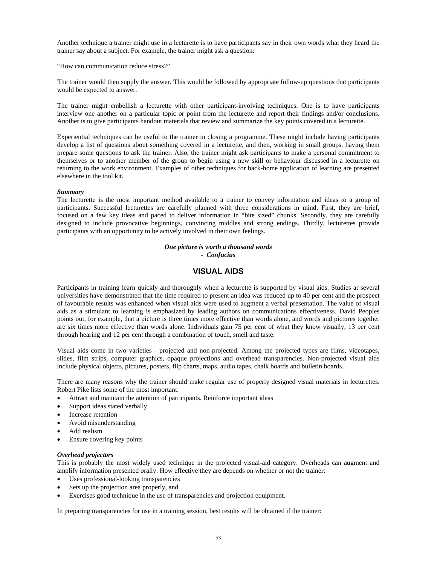Another technique a trainer might use in a lecturette is to have participants say in their own words what they heard the trainer say about a subject. For example, the trainer might ask a question:

"How can communication reduce stress?"

The trainer would then supply the answer. This would be followed by appropriate follow-up questions that participants would be expected to answer.

The trainer might embellish a lecturette with other participant-involving techniques. One is to have participants interview one another on a particular topic or point from the lecturette and report their findings and/or conclusions. Another is to give participants handout materials that review and summarize the key points covered in a lecturette.

Experiential techniques can be useful to the trainer in closing a programme. These might include having participants develop a list of questions about something covered in a lecturette, and then, working in small groups, having them prepare some questions to ask the trainer. Also, the trainer might ask participants to make a personal commitment to themselves or to another member of the group to begin using a new skill or behaviour discussed in a lecturette on returning to the work environment. Examples of other techniques for back-home application of learning are presented elsewhere in the tool kit.

#### *Summary*

The lecturette is the most important method available to a trainer to convey information and ideas to a group of participants. Successful lecturettes are carefully planned with three considerations in mind. First, they are brief, focused on a few key ideas and paced to deliver information in "bite sized" chunks. Secondly, they are carefully designed to include provocative beginnings, convincing middles and strong endings. Thirdly, lecturettes provide participants with an opportunity to be actively involved in their own feelings.

#### *One picture is worth a thousand words - Confucius*

# **VISUAL AIDS**

Participants in training learn quickly and thoroughly when a lecturette is supported by visual aids. Studies at several universities have demonstrated that the time required to present an idea was reduced up to 40 per cent and the prospect of favourable results was enhanced when visual aids were used to augment a verbal presentation. The value of visual aids as a stimulant to learning is emphasized by leading authors on communications effectiveness. David Peoples points out, for example, that a picture is three times more effective than words alone, and words and pictures together are six times more effective than words alone. Individuals gain 75 per cent of what they know visually, 13 per cent through hearing and 12 per cent through a combination of touch, smell and taste.

Visual aids come in two varieties - projected and non-projected. Among the projected types are films, videotapes, slides, film strips, computer graphics, opaque projections and overhead transparencies. Non-projected visual aids include physical objects, pictures, posters, flip charts, maps, audio tapes, chalk boards and bulletin boards.

There are many reasons why the trainer should make regular use of properly designed visual materials in lecturettes. Robert Pike lists some of the most important.

- Attract and maintain the attention of participants. Reinforce important ideas
- Support ideas stated verbally
- Increase retention
- Avoid misunderstanding
- Add realism
- Ensure covering key points

#### *Overhead projectors*

This is probably the most widely used technique in the projected visual-aid category. Overheads can augment and amplify information presented orally. How effective they are depends on whether or not the trainer:

- Uses professional-looking transparencies
- Sets up the projection area properly, and
- Exercises good technique in the use of transparencies and projection equipment.

In preparing transparencies for use in a training session, best results will be obtained if the trainer: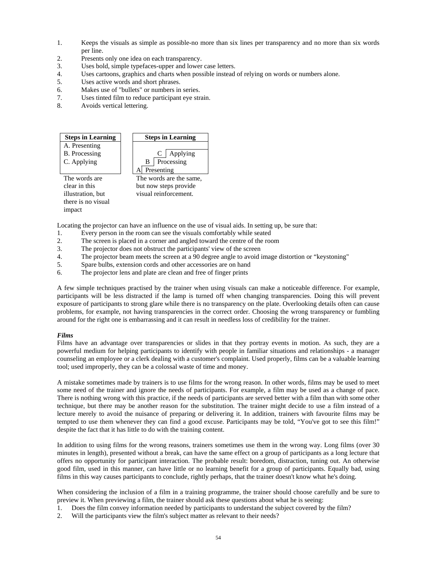- 1. Keeps the visuals as simple as possible-no more than six lines per transparency and no more than six words per line.
- 2. Presents only one idea on each transparency.
- 3. Uses bold, simple typefaces-upper and lower case letters.
- 4. Uses cartoons, graphics and charts when possible instead of relying on words or numbers alone.<br>5. Uses active words and short phrases.
- Uses active words and short phrases.
- 6. Makes use of "bullets" or numbers in series.
- 7. Uses tinted film to reduce participant eye strain.
- 8. Avoids vertical lettering.



Locating the projector can have an influence on the use of visual aids. In setting up, be sure that:

- 1. Every person in the room can see the visuals comfortably while seated
- 2. The screen is placed in a corner and angled toward the centre of the room
- 3. The projector does not obstruct the participants' view of the screen
- 4. The projector beam meets the screen at a 90 degree angle to avoid image distortion or "keystoning"
- 5. Spare bulbs, extension cords and other accessories are on hand
- 6. The projector lens and plate are clean and free of finger prints

A few simple techniques practised by the trainer when using visuals can make a noticeable difference. For example, participants will be less distracted if the lamp is turned off when changing transparencies. Doing this will prevent exposure of participants to strong glare while there is no transparency on the plate. Overlooking details often can cause problems, for example, not having transparencies in the correct order. Choosing the wrong transparency or fumbling around for the right one is embarrassing and it can result in needless loss of credibility for the trainer.

# *Films*

Films have an advantage over transparencies or slides in that they portray events in motion. As such, they are a powerful medium for helping participants to identify with people in familiar situations and relationships - a manager counseling an employee or a clerk dealing with a customer's complaint. Used properly, films can be a valuable learning tool; used improperly, they can be a colossal waste of time and money.

A mistake sometimes made by trainers is to use films for the wrong reason. In other words, films may be used to meet some need of the trainer and ignore the needs of participants. For example, a film may be used as a change of pace. There is nothing wrong with this practice, if the needs of participants are served better with a film than with some other technique, but there may be another reason for the substitution. The trainer might decide to use a film instead of a lecture merely to avoid the nuisance of preparing or delivering it. In addition, trainers with favourite films may be tempted to use them whenever they can find a good excuse. Participants may be told, "You've got to see this film!" despite the fact that it has little to do with the training content.

In addition to using films for the wrong reasons, trainers sometimes use them in the wrong way. Long films (over 30 minutes in length), presented without a break, can have the same effect on a group of participants as a long lecture that offers no opportunity for participant interaction. The probable result: boredom, distraction, tuning out. An otherwise good film, used in this manner, can have little or no learning benefit for a group of participants. Equally bad, using films in this way causes participants to conclude, rightly perhaps, that the trainer doesn't know what he's doing.

When considering the inclusion of a film in a training programme, the trainer should choose carefully and be sure to preview it. When previewing a film, the trainer should ask these questions about what he is seeing:

- 1. Does the film convey information needed by participants to understand the subject covered by the film?
- 2. Will the participants view the film's subject matter as relevant to their needs?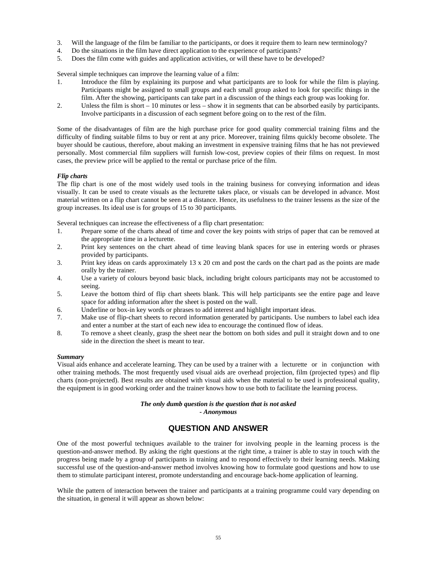- 3. Will the language of the film be familiar to the participants, or does it require them to learn new terminology?
- 4. Do the situations in the film have direct application to the experience of participants?
- 5. Does the film come with guides and application activities, or will these have to be developed?

Several simple techniques can improve the learning value of a film:

- 1. Introduce the film by explaining its purpose and what participants are to look for while the film is playing. Participants might be assigned to small groups and each small group asked to look for specific things in the film. After the showing, participants can take part in a discussion of the things each group was looking for.
- 2. Unless the film is short 10 minutes or less show it in segments that can be absorbed easily by participants. Involve participants in a discussion of each segment before going on to the rest of the film.

Some of the disadvantages of film are the high purchase price for good quality commercial training films and the difficulty of finding suitable films to buy or rent at any price. Moreover, training films quickly become obsolete. The buyer should be cautious, therefore, about making an investment in expensive training films that he has not previewed personally. Most commercial film suppliers will furnish low-cost, preview copies of their films on request. In most cases, the preview price will be applied to the rental or purchase price of the film.

### *Flip charts*

The flip chart is one of the most widely used tools in the training business for conveying information and ideas visually. It can be used to create visuals as the lecturette takes place, or visuals can be developed in advance. Most material written on a flip chart cannot be seen at a distance. Hence, its usefulness to the trainer lessens as the size of the group increases. Its ideal use is for groups of 15 to 30 participants.

Several techniques can increase the effectiveness of a flip chart presentation:

- 1. Prepare some of the charts ahead of time and cover the key points with strips of paper that can be removed at the appropriate time in a lecturette.
- 2. Print key sentences on the chart ahead of time leaving blank spaces for use in entering words or phrases provided by participants.
- 3. Print key ideas on cards approximately 13 x 20 cm and post the cards on the chart pad as the points are made orally by the trainer.
- 4. Use a variety of colours beyond basic black, including bright colours participants may not be accustomed to seeing.
- 5. Leave the bottom third of flip chart sheets blank. This will help participants see the entire page and leave space for adding information after the sheet is posted on the wall.
- 6. Underline or box-in key words or phrases to add interest and highlight important ideas.
- 7. Make use of flip-chart sheets to record information generated by participants. Use numbers to label each idea and enter a number at the start of each new idea to encourage the continued flow of ideas.
- 8. To remove a sheet cleanly, grasp the sheet near the bottom on both sides and pull it straight down and to one side in the direction the sheet is meant to tear.

#### *Summary*

Visual aids enhance and accelerate learning. They can be used by a trainer with a lecturette or in conjunction with other training methods. The most frequently used visual aids are overhead projection, film (projected types) and flip charts (non-projected). Best results are obtained with visual aids when the material to be used is professional quality, the equipment is in good working order and the trainer knows how to use both to facilitate the learning process.

### *The only dumb question is the question that is not asked - Anonymous*

# **QUESTION AND ANSWER**

One of the most powerful techniques available to the trainer for involving people in the learning process is the question-and-answer method. By asking the right questions at the right time, a trainer is able to stay in touch with the progress being made by a group of participants in training and to respond effectively to their learning needs. Making successful use of the question-and-answer method involves knowing how to formulate good questions and how to use them to stimulate participant interest, promote understanding and encourage back-home application of learning.

While the pattern of interaction between the trainer and participants at a training programme could vary depending on the situation, in general it will appear as shown below: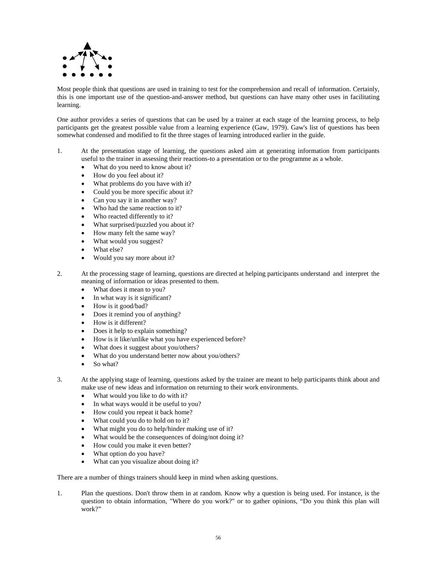

Most people think that questions are used in training to test for the comprehension and recall of information. Certainly, this is one important use of the question-and-answer method, but questions can have many other uses in facilitating learning.

One author provides a series of questions that can be used by a trainer at each stage of the learning process, to help participants get the greatest possible value from a learning experience (Gaw, 1979). Gaw's list of questions has been somewhat condensed and modified to fit the three stages of learning introduced earlier in the guide.

- 1. At the presentation stage of learning, the questions asked aim at generating information from participants useful to the trainer in assessing their reactions-to a presentation or to the programme as a whole.
	- What do you need to know about it?
	- How do you feel about it?
	- What problems do you have with it?
	- Could you be more specific about it?
	- Can you say it in another way?
	- Who had the same reaction to it?
	- Who reacted differently to it?
	- What surprised/puzzled you about it?
	- How many felt the same way?
	- What would you suggest?
	- What else?
	- Would you say more about it?
- 2. At the processing stage of learning, questions are directed at helping participants understand and interpret the meaning of information or ideas presented to them.
	- What does it mean to you?
	- In what way is it significant?
	- How is it good/bad?
	- Does it remind you of anything?
	- How is it different?
	- Does it help to explain something?
	- How is it like/unlike what you have experienced before?
	- What does it suggest about you/others?
	- What do you understand better now about you/others?
	- So what?
- 3. At the applying stage of learning, questions asked by the trainer are meant to help participants think about and make use of new ideas and information on returning to their work environments.
	- What would you like to do with it?
	- In what ways would it be useful to you?
	- How could you repeat it back home?
	- What could you do to hold on to it?
	- What might you do to help/hinder making use of it?
	- What would be the consequences of doing/not doing it?
	- How could you make it even better?
	- What option do you have?
	- What can you visualize about doing it?

There are a number of things trainers should keep in mind when asking questions.

1. Plan the questions. Don't throw them in at random. Know why a question is being used. For instance, is the question to obtain information, "Where do you work?" or to gather opinions, "Do you think this plan will work?"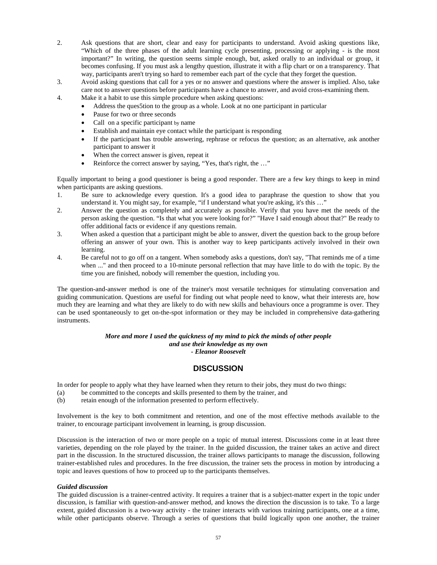- 2. Ask questions that are short, clear and easy for participants to understand. Avoid asking questions like, "Which of the three phases of the adult learning cycle presenting, processing or applying - is the most important?" In writing, the question seems simple enough, but, asked orally to an individual or group, it becomes confusing. If you must ask a lengthy question, illustrate it with a flip chart or on a transparency. That way, participants aren't trying so hard to remember each part of the cycle that they forget the question.
- 3. Avoid asking questions that call for a yes or no answer and questions where the answer is implied. Also, take care not to answer questions before participants have a chance to answer, and avoid cross-examining them.
- 4. Make it a habit to use this simple procedure when asking questions:
	- Address the ques5tion to the group as a whole. Look at no one participant in particular
	- Pause for two or three seconds
	- Call on a specific participant by name
	- Establish and maintain eye contact while the participant is responding
	- If the participant has trouble answering, rephrase or refocus the question; as an alternative, ask another participant to answer it
	- When the correct answer is given, repeat it
	- Reinforce the correct answer by saying, "Yes, that's right, the ..."

Equally important to being a good questioner is being a good responder. There are a few key things to keep in mind when participants are asking questions.

- 1. Be sure to acknowledge every question. It's a good idea to paraphrase the question to show that you understand it. You might say, for example, "if I understand what you're asking, it's this ..."
- 2. Answer the question as completely and accurately as possible. Verify that you have met the needs of the person asking the question. "Is that what you were looking for?" "Have I said enough about that?" Be ready to offer additional facts or evidence if any questions remain.
- 3. When asked a question that a participant might be able to answer, divert the question back to the group before offering an answer of your own. This is another way to keep participants actively involved in their own learning.
- 4. Be careful not to go off on a tangent. When somebody asks a questions, don't say, "That reminds me of a time when ..." and then proceed to a 10-minute personal reflection that may have little to do with the topic. By the time you are finished, nobody will remember the question, including you.

The question-and-answer method is one of the trainer's most versatile techniques for stimulating conversation and guiding communication. Questions are useful for finding out what people need to know, what their interests are, how much they are learning and what they are likely to do with new skills and behaviours once a programme is over. They can be used spontaneously to get on-the-spot information or they may be included in comprehensive data-gathering instruments.

## *More and more I used the quickness of my mind to pick the minds of other people and use their knowledge as my own*

*- Eleanor Roosevelt*

# **DISCUSSION**

In order for people to apply what they have learned when they return to their jobs, they must do two things:

- (a) be committed to the concepts and skills presented to them by the trainer, and
- (b) retain enough of the information presented to perform effectively.

Involvement is the key to both commitment and retention, and one of the most effective methods available to the trainer, to encourage participant involvement in learning, is group discussion.

Discussion is the interaction of two or more people on a topic of mutual interest. Discussions come in at least three varieties, depending on the role played by the trainer. In the guided discussion, the trainer takes an active and direct part in the discussion. In the structured discussion, the trainer allows participants to manage the discussion, following trainer-established rules and procedures. In the free discussion, the trainer sets the process in motion by introducing a topic and leaves questions of how to proceed up to the participants themselves.

#### *Guided discussion*

The guided discussion is a trainer-centred activity. It requires a trainer that is a subject-matter expert in the topic under discussion, is familiar with question-and-answer method, and knows the direction the discussion is to take. To a large extent, guided discussion is a two-way activity - the trainer interacts with various training participants, one at a time, while other participants observe. Through a series of questions that build logically upon one another, the trainer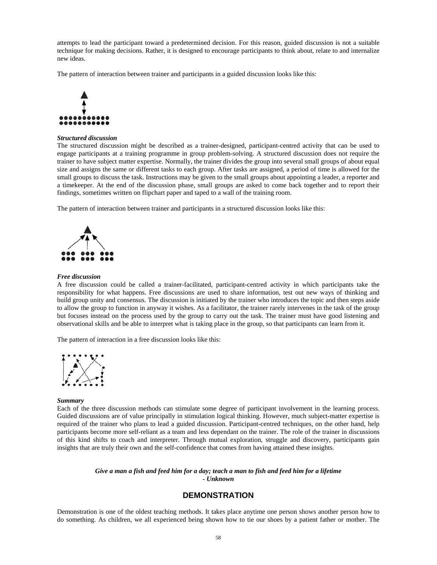attempts to lead the participant toward a predetermined decision. For this reason, guided discussion is not a suitable technique for making decisions. Rather, it is designed to encourage participants to think about, relate to and internalize new ideas.

The pattern of interaction between trainer and participants in a guided discussion looks like this:



### *Structured discussion*

The structured discussion might be described as a trainer-designed, participant-centred activity that can be used to engage participants at a training programme in group problem-solving. A structured discussion does not require the trainer to have subject matter expertise. Normally, the trainer divides the group into several small groups of about equal size and assigns the same or different tasks to each group. After tasks are assigned, a period of time is allowed for the small groups to discuss the task. Instructions may be given to the small groups about appointing a leader, a reporter and a timekeeper. At the end of the discussion phase, small groups are asked to come back together and to report their findings, sometimes written on flipchart paper and taped to a wall of the training room.

The pattern of interaction between trainer and participants in a structured discussion looks like this:



#### *Free discussion*

A free discussion could be called a trainer-facilitated, participant-centred activity in which participants take the responsibility for what happens. Free discussions are used to share information, test out new ways of thinking and build group unity and consensus. The discussion is initiated by the trainer who introduces the topic and then steps aside to allow the group to function in anyway it wishes. As a facilitator, the trainer rarely intervenes in the task of the group but focuses instead on the process used by the group to carry out the task. The trainer must have good listening and observational skills and be able to interpret what is taking place in the group, so that participants can learn from it.

The pattern of interaction in a free discussion looks like this:



#### *Summary*

Each of the three discussion methods can stimulate some degree of participant involvement in the learning process. Guided discussions are of value principally in stimulation logical thinking. However, much subject-matter expertise is required of the trainer who plans to lead a guided discussion. Participant-centred techniques, on the other hand, help participants become more self-reliant as a team and less dependant on the trainer. The role of the trainer in discussions of this kind shifts to coach and interpreter. Through mutual exploration, struggle and discovery, participants gain insights that are truly their own and the self-confidence that comes from having attained these insights.

#### *Give a man a fish and feed him for a day; teach a man to fish and feed him for a lifetime - Unknown*

# **DEMONSTRATION**

Demonstration is one of the oldest teaching methods. It takes place anytime one person shows another person how to do something. As children, we all experienced being shown how to tie our shoes by a patient father or mother. The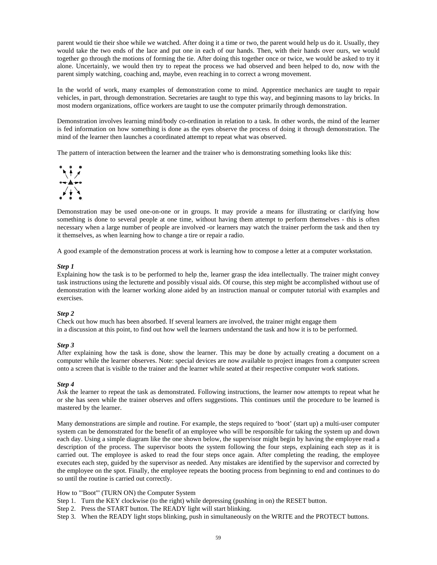parent would tie their shoe while we watched. After doing it a time or two, the parent would help us do it. Usually, they would take the two ends of the lace and put one in each of our hands. Then, with their hands over ours, we would together go through the motions of forming the tie. After doing this together once or twice, we would be asked to try it alone. Uncertainly, we would then try to repeat the process we had observed and been helped to do, now with the parent simply watching, coaching and, maybe, even reaching in to correct a wrong movement.

In the world of work, many examples of demonstration come to mind. Apprentice mechanics are taught to repair vehicles, in part, through demonstration. Secretaries are taught to type this way, and beginning masons to lay bricks. In most modern organizations, office workers are taught to use the computer primarily through demonstration.

Demonstration involves learning mind/body co-ordination in relation to a task. In other words, the mind of the learner is fed information on how something is done as the eyes observe the process of doing it through demonstration. The mind of the learner then launches a coordinated attempt to repeat what was observed.

The pattern of interaction between the learner and the trainer who is demonstrating something looks like this:



Demonstration may be used one-on-one or in groups. It may provide a means for illustrating or clarifying how something is done to several people at one time, without having them attempt to perform themselves - this is often necessary when a large number of people are involved -or learners may watch the trainer perform the task and then try it themselves, as when learning how to change a tire or repair a radio.

A good example of the demonstration process at work is learning how to compose a letter at a computer workstation.

#### *Step 1*

Explaining how the task is to be performed to help the, learner grasp the idea intellectually. The trainer might convey task instructions using the lecturette and possibly visual aids. Of course, this step might be accomplished without use of demonstration with the learner working alone aided by an instruction manual or computer tutorial with examples and exercises.

#### *Step 2*

Check out how much has been absorbed. If several learners are involved, the trainer might engage them in a discussion at this point, to find out how well the learners understand the task and how it is to be performed.

#### *Step 3*

After explaining how the task is done, show the learner. This may be done by actually creating a document on a computer while the learner observes. Note: special devices are now available to project images from a computer screen onto a screen that is visible to the trainer and the learner while seated at their respective computer work stations.

#### *Step 4*

Ask the learner to repeat the task as demonstrated. Following instructions, the learner now attempts to repeat what he or she has seen while the trainer observes and offers suggestions. This continues until the procedure to be learned is mastered by the learner.

Many demonstrations are simple and routine. For example, the steps required to 'boot' (start up) a multi-user computer system can be demonstrated for the benefit of an employee who will be responsible for taking the system up and down each day. Using a simple diagram like the one shown below, the supervisor might begin by having the employee read a description of the process. The supervisor boots the system following the four steps, explaining each step as it is carried out. The employee is asked to read the four steps once again. After completing the reading, the employee executes each step, guided by the supervisor as needed. Any mistakes are identified by the supervisor and corrected by the employee on the spot. Finally, the employee repeats the booting process from beginning to end and continues to do so until the routine is carried out correctly.

How to "'Boot"' (TURN ON) the Computer System

- Step 1. Turn the KEY clockwise (to the right) while depressing (pushing in on) the RESET button.
- Step 2. Press the START button. The READY light will start blinking.
- Step 3. When the READY light stops blinking, push in simultaneously on the WRITE and the PROTECT buttons.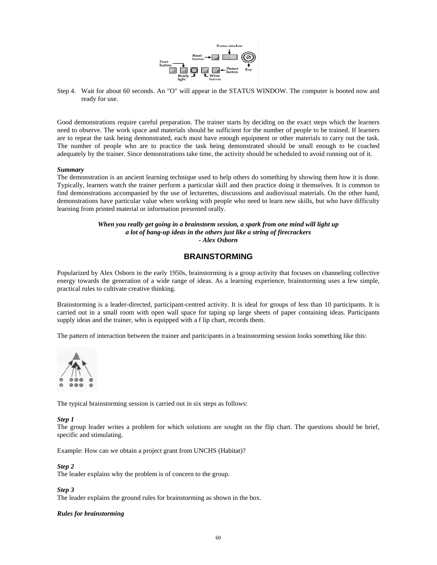

Step 4. Wait for about 60 seconds. An "O" will appear in the STATUS WINDOW. The computer is booted now and ready for use.

Good demonstrations require careful preparation. The trainer starts by deciding on the exact steps which the learners need to observe. The work space and materials should be sufficient for the number of people to be trained. If learners are to repeat the task being demonstrated, each must have enough equipment or other materials to carry out the task. The number of people who are to practice the task being demonstrated should be small enough to be coached adequately by the trainer. Since demonstrations take time, the activity should be scheduled to avoid running out of it.

### *Summary*

The demonstration is an ancient learning technique used to help others do something by showing them how it is done. Typically, learners watch the trainer perform a particular skill and then practice doing it themselves. It is common to find demonstrations accompanied by the use of lecturettes, discussions and audiovisual materials. On the other hand, demonstrations have particular value when working with people who need to learn new skills, but who have difficulty learning from printed material or information presented orally.

# *When you really get going in a brainstorm session, a spark from one mind will light up a lot of bang-up ideas in the others just like a string of firecrackers - Alex Osborn*

# **BRAINSTORMING**

Popularized by Alex Osborn in the early 1950s, brainstorming is a group activity that focuses on channeling collective energy towards the generation of a wide range of ideas. As a learning experience, brainstorming uses a few simple, practical rules to cultivate creative thinking.

Brainstorming is a leader-directed, participant-centred activity. It is ideal for groups of less than 10 participants. It is carried out in a small room with open wall space for taping up large sheets of paper containing ideas. Participants supply ideas and the trainer, who is equipped with a f lip chart, records them.

The pattern of interaction between the trainer and participants in a brainstorming session looks something like this:



The typical brainstorming session is carried out in six steps as follows:

#### *Step 1*

The group leader writes a problem for which solutions are sought on the flip chart. The questions should be brief, specific and stimulating.

Example: How can we obtain a project grant from UNCHS (Habitat)?

#### *Step 2*

The leader explains why the problem is of concern to the group.

*Step 3* 

The leader explains the ground rules for brainstorming as shown in the box.

# *Rules for brainstorming*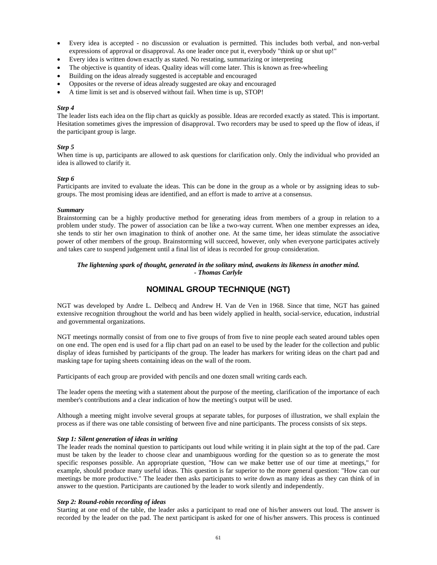- Every idea is accepted no discussion or evaluation is permitted. This includes both verbal, and non-verbal expressions of approval or disapproval. As one leader once put it, everybody "think up or shut up!"
- Every idea is written down exactly as stated. No restating, summarizing or interpreting
- The objective is quantity of ideas. Quality ideas will come later. This is known as free-wheeling
- Building on the ideas already suggested is acceptable and encouraged
- Opposites or the reverse of ideas already suggested are okay and encouraged
- A time limit is set and is observed without fail. When time is up, STOP!

# *Step 4*

The leader lists each idea on the flip chart as quickly as possible. Ideas are recorded exactly as stated. This is important. Hesitation sometimes gives the impression of disapproval. Two recorders may be used to speed up the flow of ideas, if the participant group is large.

# *Step 5*

When time is up, participants are allowed to ask questions for clarification only. Only the individual who provided an idea is allowed to clarify it.

# *Step 6*

Participants are invited to evaluate the ideas. This can be done in the group as a whole or by assigning ideas to subgroups. The most promising ideas are identified, and an effort is made to arrive at a consensus.

# *Summary*

Brainstorming can be a highly productive method for generating ideas from members of a group in relation to a problem under study. The power of association can be like a two-way current. When one member expresses an idea, she tends to stir her own imagination to think of another one. At the same time, her ideas stimulate the associative power of other members of the group. Brainstorming will succeed, however, only when everyone participates actively and takes care to suspend judgement until a final list of ideas is recorded for group consideration.

# *The lightening spark of thought, generated in the solitary mind, awakens its likeness in another mind. - Thomas Carlyle*

# **NOMINAL GROUP TECHNIQUE (NGT)**

NGT was developed by Andre L. Delbecq and Andrew H. Van de Ven in 1968. Since that time, NGT has gained extensive recognition throughout the world and has been widely applied in health, social-service, education, industrial and governmental organizations.

NGT meetings normally consist of from one to five groups of from five to nine people each seated around tables open on one end. The open end is used for a flip chart pad on an easel to be used by the leader for the collection and public display of ideas furnished by participants of the group. The leader has markers for writing ideas on the chart pad and masking tape for taping sheets containing ideas on the wall of the room.

Participants of each group are provided with pencils and one dozen small writing cards each.

The leader opens the meeting with a statement about the purpose of the meeting, clarification of the importance of each member's contributions and a clear indication of how the meeting's output will be used.

Although a meeting might involve several groups at separate tables, for purposes of illustration, we shall explain the process as if there was one table consisting of between five and nine participants. The process consists of six steps.

# *Step 1: Silent generation of ideas in writing*

The leader reads the nominal question to participants out loud while writing it in plain sight at the top of the pad. Care must be taken by the leader to choose clear and unambiguous wording for the question so as to generate the most specific responses possible. An appropriate question, "How can we make better use of our time at meetings," for example, should produce many useful ideas. This question is far superior to the more general question: "How can our meetings be more productive." The leader then asks participants to write down as many ideas as they can think of in answer to the question. Participants are cautioned by the leader to work silently and independently.

# *Step 2: Round-robin recording of ideas*

Starting at one end of the table, the leader asks a participant to read one of his/her answers out loud. The answer is recorded by the leader on the pad. The next participant is asked for one of his/her answers. This process is continued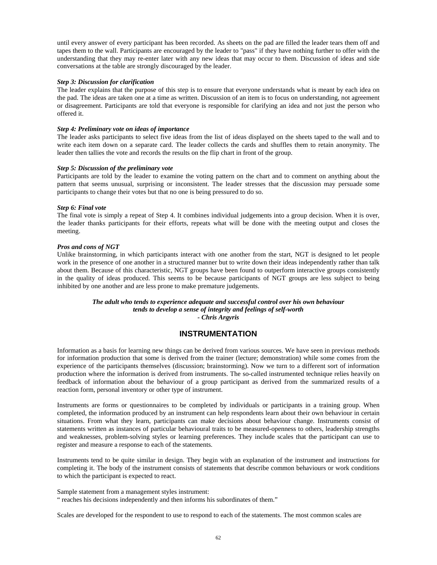until every answer of every participant has been recorded. As sheets on the pad are filled the leader tears them off and tapes them to the wall. Participants are encouraged by the leader to "pass" if they have nothing further to offer with the understanding that they may re-enter later with any new ideas that may occur to them. Discussion of ideas and side conversations at the table are strongly discouraged by the leader.

### *Step 3: Discussion for clarification*

The leader explains that the purpose of this step is to ensure that everyone understands what is meant by each idea on the pad. The ideas are taken one at a time as written. Discussion of an item is to focus on understanding, not agreement or disagreement. Participants are told that everyone is responsible for clarifying an idea and not just the person who offered it.

### *Step 4: Preliminary vote on ideas of importance*

The leader asks participants to select five ideas from the list of ideas displayed on the sheets taped to the wall and to write each item down on a separate card. The leader collects the cards and shuffles them to retain anonymity. The leader then tallies the vote and records the results on the flip chart in front of the group.

### *Step 5: Discussion of the preliminary vote*

Participants are told by the leader to examine the voting pattern on the chart and to comment on anything about the pattern that seems unusual, surprising or inconsistent. The leader stresses that the discussion may persuade some participants to change their votes but that no one is being pressured to do so.

### *Step 6: Final vote*

The final vote is simply a repeat of Step 4. It combines individual judgements into a group decision. When it is over, the leader thanks participants for their efforts, repeats what will be done with the meeting output and closes the meeting.

### *Pros and cons of NGT*

Unlike brainstorming, in which participants interact with one another from the start, NGT is designed to let people work in the presence of one another in a structured manner but to write down their ideas independently rather than talk about them. Because of this characteristic, NGT groups have been found to outperform interactive groups consistently in the quality of ideas produced. This seems to be because participants of NGT groups are less subject to being inhibited by one another and are less prone to make premature judgements.

> *The adult who tends to experience adequate and successful control over his own behaviour tends to develop a sense of integrity and feelings of self-worth - Chris Argyris*

# **INSTRUMENTATION**

Information as a basis for learning new things can be derived from various sources. We have seen in previous methods for information production that some is derived from the trainer (lecture; demonstration) while some comes from the experience of the participants themselves (discussion; brainstorming). Now we turn to a different sort of information production where the information is derived from instruments. The so-called instrumented technique relies heavily on feedback of information about the behaviour of a group participant as derived from the summarized results of a reaction form, personal inventory or other type of instrument.

Instruments are forms or questionnaires to be completed by individuals or participants in a training group. When completed, the information produced by an instrument can help respondents learn about their own behaviour in certain situations. From what they learn, participants can make decisions about behaviour change. Instruments consist of statements written as instances of particular behavioural traits to be measured-openness to others, leadership strengths and weaknesses, problem-solving styles or learning preferences. They include scales that the participant can use to register and measure a response to each of the statements.

Instruments tend to be quite similar in design. They begin with an explanation of the instrument and instructions for completing it. The body of the instrument consists of statements that describe common behaviours or work conditions to which the participant is expected to react.

Sample statement from a management styles instrument: " reaches his decisions independently and then informs his subordinates of them."

Scales are developed for the respondent to use to respond to each of the statements. The most common scales are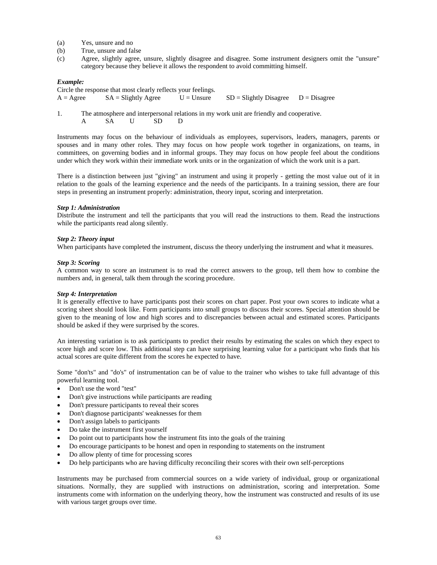- (a) Yes, unsure and no
- (b) True, unsure and false
- (c) Agree, slightly agree, unsure, slightly disagree and disagree. Some instrument designers omit the "unsure" category because they believe it allows the respondent to avoid committing himself.

### *Example:*

| Circle the response that most clearly reflects your feelings. |                        |              |                                          |  |  |  |  |  |
|---------------------------------------------------------------|------------------------|--------------|------------------------------------------|--|--|--|--|--|
| $A = \text{Agree}$                                            | $SA = S$ lightly Agree | $U =$ Unsure | $SD = S$ lightly Disagree $D = Disagree$ |  |  |  |  |  |

1. The atmosphere and interpersonal relations in my work unit are friendly and cooperative. A SA U SD D

Instruments may focus on the behaviour of individuals as employees, supervisors, leaders, managers, parents or spouses and in many other roles. They may focus on how people work together in organizations, on teams, in committees, on governing bodies and in informal groups. They may focus on how people feel about the conditions under which they work within their immediate work units or in the organization of which the work unit is a part.

There is a distinction between just "giving" an instrument and using it properly - getting the most value out of it in relation to the goals of the learning experience and the needs of the participants. In a training session, there are four steps in presenting an instrument properly: administration, theory input, scoring and interpretation.

### *Step 1: Administration*

Distribute the instrument and tell the participants that you will read the instructions to them. Read the instructions while the participants read along silently.

## *Step 2: Theory input*

When participants have completed the instrument, discuss the theory underlying the instrument and what it measures.

#### *Step 3: Scoring*

A common way to score an instrument is to read the correct answers to the group, tell them how to combine the numbers and, in general, talk them through the scoring procedure.

#### *Step 4: Interpretation*

It is generally effective to have participants post their scores on chart paper. Post your own scores to indicate what a scoring sheet should look like. Form participants into small groups to discuss their scores. Special attention should be given to the meaning of low and high scores and to discrepancies between actual and estimated scores. Participants should be asked if they were surprised by the scores.

An interesting variation is to ask participants to predict their results by estimating the scales on which they expect to score high and score low. This additional step can have surprising learning value for a participant who finds that his actual scores are quite different from the scores he expected to have.

Some "don'ts" and "do's" of instrumentation can be of value to the trainer who wishes to take full advantage of this powerful learning tool.

- Don't use the word "test"
- Don't give instructions while participants are reading
- Don't pressure participants to reveal their scores
- Don't diagnose participants' weaknesses for them
- Don't assign labels to participants
- Do take the instrument first yourself
- Do point out to participants how the instrument fits into the goals of the training
- Do encourage participants to be honest and open in responding to statements on the instrument
- Do allow plenty of time for processing scores
- Do help participants who are having difficulty reconciling their scores with their own self-perceptions

Instruments may be purchased from commercial sources on a wide variety of individual, group or organizational situations. Normally, they are supplied with instructions on administration, scoring and interpretation. Some instruments come with information on the underlying theory, how the instrument was constructed and results of its use with various target groups over time.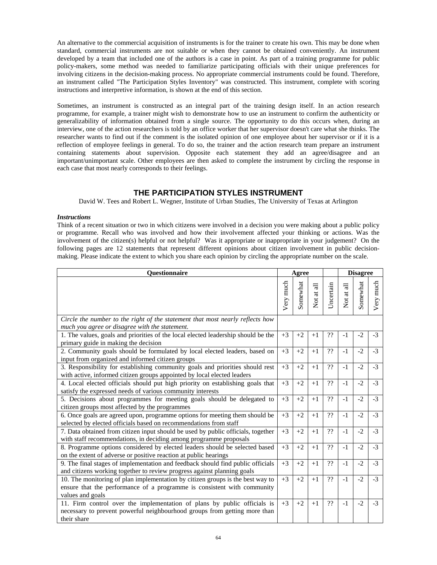An alternative to the commercial acquisition of instruments is for the trainer to create his own. This may be done when standard, commercial instruments are not suitable or when they cannot be obtained conveniently. An instrument developed by a team that included one of the authors is a case in point. As part of a training programme for public policy-makers, some method was needed to familiarize participating officials with their unique preferences for involving citizens in the decision-making process. No appropriate commercial instruments could be found. Therefore, an instrument called "The Participation Styles Inventory" was constructed. This instrument, complete with scoring instructions and interpretive information, is shown at the end of this section.

Sometimes, an instrument is constructed as an integral part of the training design itself. In an action research programme, for example, a trainer might wish to demonstrate how to use an instrument to confirm the authenticity or generalizability of information obtained from a single source. The opportunity to do this occurs when, during an interview, one of the action researchers is told by an office worker that her supervisor doesn't care what she thinks. The researcher wants to find out if the comment is the isolated opinion of one employee about her supervisor or if it is a reflection of employee feelings in general. To do so, the trainer and the action research team prepare an instrument containing statements about supervision. Opposite each statement they add an agree/disagree and an important/unimportant scale. Other employees are then asked to complete the instrument by circling the response in each case that most nearly corresponds to their feelings.

# **THE PARTICIPATION STYLES INSTRUMENT**

David W. Tees and Robert L. Wegner, Institute of Urban Studies, The University of Texas at Arlington

# *Instructions*

Think of a recent situation or two in which citizens were involved in a decision you were making about a public policy or programme. Recall who was involved and how their involvement affected your thinking or actions. Was the involvement of the citizen(s) helpful or not helpful? Was it appropriate or inappropriate in your judgement? On the following pages are 12 statements that represent different opinions about citizen involvement in public decisionmaking. Please indicate the extent to which you share each opinion by circling the appropriate number on the scale.

| <b>Questionnaire</b>                                                                                                                                                          |           | Agree    |                                   |           | <b>Disagree</b>                      |          |           |  |
|-------------------------------------------------------------------------------------------------------------------------------------------------------------------------------|-----------|----------|-----------------------------------|-----------|--------------------------------------|----------|-----------|--|
|                                                                                                                                                                               | Very much | Somewhat | at all<br>$\overline{\mathbf{X}}$ | Uncertain | at all<br>$\rm \stackrel{tot}{\sim}$ | Somewhat | Very much |  |
| Circle the number to the right of the statement that most nearly reflects how<br>much you agree or disagree with the statement.                                               |           |          |                                   |           |                                      |          |           |  |
| 1. The values, goals and priorities of the local elected leadership should be the<br>primary guide in making the decision                                                     | $+3$      | $+2$     | $+1$                              | ??        | $-1$                                 | $-2$     | $-3$      |  |
| 2. Community goals should be formulated by local elected leaders, based on<br>input from organized and informed citizen groups                                                | $+3$      | $+2$     | $+1$                              | ??        | $-1$                                 | $-2$     | $-3$      |  |
| 3. Responsibility for establishing community goals and priorities should rest<br>with active, informed citizen groups appointed by local elected leaders                      | $+3$      | $+2$     | $+1$                              | ??        | $-1$                                 | $-2$     | $-3$      |  |
| 4. Local elected officials should put high priority on establishing goals that<br>satisfy the expressed needs of various community interests                                  | $+3$      | $+2$     | $+1$                              | ??        | $-1$                                 | $-2$     | $-3$      |  |
| 5. Decisions about programmes for meeting goals should be delegated to<br>citizen groups most affected by the programmes                                                      | $+3$      | $+2$     | $+1$                              | ??        | $-1$                                 | $-2$     | $-3$      |  |
| 6. Once goals are agreed upon, programme options for meeting them should be<br>selected by elected officials based on recommendations from staff                              | $+3$      | $+2$     | $+1$                              | ??        | $-1$                                 | $-2$     | $-3$      |  |
| 7. Data obtained from citizen input should be used by public officials, together<br>with staff recommendations, in deciding among programme proposals                         | $+3$      | $+2$     | $+1$                              | ??        | $-1$                                 | $-2$     | $-3$      |  |
| 8. Programme options considered by elected leaders should be selected based<br>on the extent of adverse or positive reaction at public hearings                               | $+3$      | $+2$     | $+1$                              | ??        | $-1$                                 | $-2$     | $-3$      |  |
| 9. The final stages of implementation and feedback should find public officials<br>and citizens working together to review progress against planning goals                    | $+3$      | $+2$     | $+1$                              | ??        | $-1$                                 | $-2$     | $-3$      |  |
| 10. The monitoring of plan implementation by citizen groups is the best way to<br>ensure that the performance of a programme is consistent with community<br>values and goals | $+3$      | $+2$     | $+1$                              | ??        | $-1$                                 | $-2$     | $-3$      |  |
| 11. Firm control over the implementation of plans by public officials is<br>necessary to prevent powerful neighbourhood groups from getting more than<br>their share          | $+3$      | $+2$     | $+1$                              | ??        | $-1$                                 | $-2$     | $-3$      |  |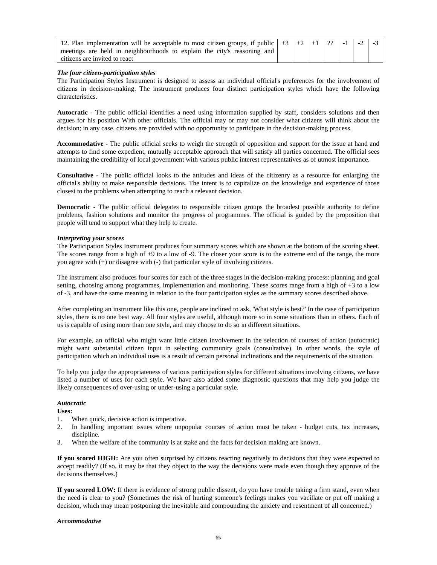| 12. Plan implementation will be acceptable to most citizen groups, if public $\vert +3 \vert +2 \vert +1 \vert ?$ $\vert$ -1 $\vert$ |  |  |  | $-2$ $-3$ |  |
|--------------------------------------------------------------------------------------------------------------------------------------|--|--|--|-----------|--|
| meetings are held in neighbourhoods to explain the city's reasoning and                                                              |  |  |  |           |  |
| citizens are invited to react                                                                                                        |  |  |  |           |  |

# *The four citizen-participation styles*

The Participation Styles Instrument is designed to assess an individual official's preferences for the involvement of citizens in decision-making. The instrument produces four distinct participation styles which have the following characteristics.

**Autocratic** - The public official identifies a need using information supplied by staff, considers solutions and then argues for his position With other officials. The official may or may not consider what citizens will think about the decision; in any case, citizens are provided with no opportunity to participate in the decision-making process.

**Accommodative** - The public official seeks to weigh the strength of opposition and support for the issue at hand and attempts to find some expedient, mutually acceptable approach that will satisfy all parties concerned. The official sees maintaining the credibility of local government with various public interest representatives as of utmost importance.

**Consultative -** The public official looks to the attitudes and ideas of the citizenry as a resource for enlarging the official's ability to make responsible decisions. The intent is to capitalize on the knowledge and experience of those closest to the problems when attempting to reach a relevant decision.

**Democratic -** The public official delegates to responsible citizen groups the broadest possible authority to define problems, fashion solutions and monitor the progress of programmes. The official is guided by the proposition that people will tend to support what they help to create.

### *Interpreting your scores*

The Participation Styles Instrument produces four summary scores which are shown at the bottom of the scoring sheet. The scores range from a high of +9 to a low of -9. The closer your score is to the extreme end of the range, the more you agree with (+) or disagree with (-) that particular style of involving citizens.

The instrument also produces four scores for each of the three stages in the decision-making process: planning and goal setting, choosing among programmes, implementation and monitoring. These scores range from a high of +3 to a low of -3, and have the same meaning in relation to the four participation styles as the summary scores described above.

After completing an instrument like this one, people are inclined to ask, 'What style is best?' In the case of participation styles, there is no one best way. All four styles are useful, although more so in some situations than in others. Each of us is capable of using more than one style, and may choose to do so in different situations.

For example, an official who might want little citizen involvement in the selection of courses of action (autocratic) might want substantial citizen input in selecting community goals (consultative). In other words, the style of participation which an individual uses is a result of certain personal inclinations and the requirements of the situation.

To help you judge the appropriateness of various participation styles for different situations involving citizens, we have listed a number of uses for each style. We have also added some diagnostic questions that may help you judge the likely consequences of over-using or under-using a particular style.

# *Autocratic*

**Uses:** 

- 1. When quick, decisive action is imperative.
- 2. In handling important issues where unpopular courses of action must be taken budget cuts, tax increases, discipline.
- 3. When the welfare of the community is at stake and the facts for decision making are known.

**If you scored HIGH:** Are you often surprised by citizens reacting negatively to decisions that they were expected to accept readily? (If so, it may be that they object to the way the decisions were made even though they approve of the decisions themselves.)

**If you scored LOW:** If there is evidence of strong public dissent, do you have trouble taking a firm stand, even when the need is clear to you? (Sometimes the risk of hurting someone's feelings makes you vacillate or put off making a decision, which may mean postponing the inevitable and compounding the anxiety and resentment of all concerned.)

#### *Accommodative*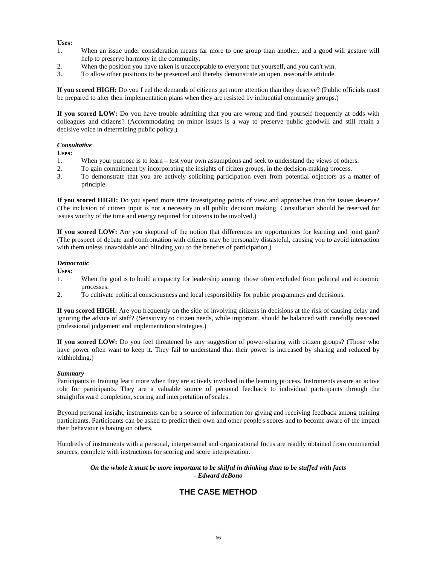# **Uses:**

- 1. When an issue under consideration means far more to one group than another, and a good will gesture will help to preserve harmony in the community.
- 2. When the position you have taken is unacceptable to everyone but yourself, and you can't win.
- 3. To allow other positions to be presented and thereby demonstrate an open, reasonable attitude.

**If you scored HIGH:** Do you f eel the demands of citizens get more attention than they deserve? (Public officials must be prepared to alter their implementation plans when they are resisted by influential community groups.)

**If you scored LOW:** Do you have trouble admitting that you are wrong and find yourself frequently at odds with colleagues and citizens? (Accommodating on minor issues is a way to preserve public goodwill and still retain a decisive voice in determining public policy.)

# *Consultative*

**Uses:** 

- 1. When your purpose is to learn test your own assumptions and seek to understand the views of others.
- 2. To gain commitment by incorporating the insights of citizen groups, in the decision-making process.
- 3. To demonstrate that you are actively soliciting participation even from potential objectors as a matter of principle.

**If you scored HIGH:** Do you spend more time investigating points of view and approaches than the issues deserve? (The inclusion of citizen input is not a necessity in all public decision making. Consultation should be reserved for issues worthy of the time and energy required for citizens to be involved.)

**If you scored LOW:** Are you skeptical of the notion that differences are opportunities for learning and joint gain? (The prospect of debate and confrontation with citizens may be personally distasteful, causing you to avoid interaction with them unless unavoidable and blinding you to the benefits of participation.)

# *Democratic*

**Uses:** 

- 1. When the goal is to build a capacity for leadership among those often excluded from political and economic processes.
- 2. To cultivate political consciousness and local responsibility for public programmes and decisions.

**If you scored HIGH:** Are you frequently on the side of involving citizens in decisions at the risk of causing delay and ignoring the advice of staff? (Sensitivity to citizen needs, while important, should be balanced with carefully reasoned professional judgement and implementation strategies.)

**If you scored LOW:** Do you feel threatened by any suggestion of power-sharing with citizen groups? (Those who have power often want to keep it. They fail to understand that their power is increased by sharing and reduced by withholding.)

# *Summary*

Participants in training learn more when they are actively involved in the learning process. Instruments assure an active role for participants. They are a valuable source of personal feedback to individual participants through the straightforward completion, scoring and interpretation of scales.

Beyond personal insight, instruments can be a source of information for giving and receiving feedback among training participants. Participants can be asked to predict their own and other people's scores and to become aware of the impact their behaviour is having on others.

Hundreds of instruments with a personal, interpersonal and organizational focus are readily obtained from commercial sources, complete with instructions for scoring and score interpretation.

# *On the whole it must be more important to be skilful in thinking than to be stuffed with facts - Edward deBono*

# **THE CASE METHOD**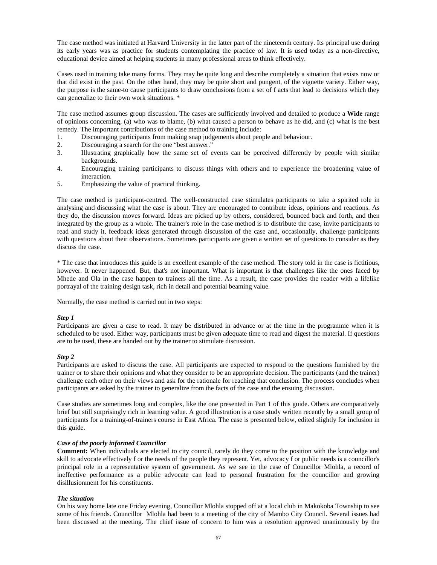The case method was initiated at Harvard University in the latter part of the nineteenth century. Its principal use during its early years was as practice for students contemplating the practice of law. It is used today as a non-directive, educational device aimed at helping students in many professional areas to think effectively.

Cases used in training take many forms. They may be quite long and describe completely a situation that exists now or that did exist in the past. On the other hand, they may be quite short and pungent, of the vignette variety. Either way, the purpose is the same-to cause participants to draw conclusions from a set of f acts that lead to decisions which they can generalize to their own work situations. \*

The case method assumes group discussion. The cases are sufficiently involved and detailed to produce a **Wide** range of opinions concerning, (a) who was to blame, (b) what caused a person to behave as he did, and (c) what is the best remedy. The important contributions of the case method to training include:

- 1. Discouraging participants from making snap judgements about people and behaviour.
- 2. Discouraging a search for the one "best answer."
- 3. Illustrating graphically how the same set of events can be perceived differently by people with similar backgrounds.
- 4. Encouraging training participants to discuss things with others and to experience the broadening value of interaction.
- 5. Emphasizing the value of practical thinking.

The case method is participant-centred. The well-constructed case stimulates participants to take a spirited role in analysing and discussing what the case is about. They are encouraged to contribute ideas, opinions and reactions. As they do, the discussion moves forward. Ideas are picked up by others, considered, bounced back and forth, and then integrated by the group as a whole. The trainer's role in the case method is to distribute the case, invite participants to read and study it, feedback ideas generated through discussion of the case and, occasionally, challenge participants with questions about their observations. Sometimes participants are given a written set of questions to consider as they discuss the case.

\* The case that introduces this guide is an excellent example of the case method. The story told in the case is fictitious, however. It never happened. But, that's not important. What is important is that challenges like the ones faced by Mhede and Ola in the case happen to trainers all the time. As a result, the case provides the reader with a lifelike portrayal of the training design task, rich in detail and potential beaming value.

Normally, the case method is carried out in two steps:

# *Step 1*

Participants are given a case to read. It may be distributed in advance or at the time in the programme when it is scheduled to be used. Either way, participants must be given adequate time to read and digest the material. If questions are to be used, these are handed out by the trainer to stimulate discussion.

#### *Step 2*

Participants are asked to discuss the case. All participants are expected to respond to the questions furnished by the trainer or to share their opinions and what they consider to be an appropriate decision. The participants (and the trainer) challenge each other on their views and ask for the rationale for reaching that conclusion. The process concludes when participants are asked by the trainer to generalize from the facts of the case and the ensuing discussion.

Case studies are sometimes long and complex, like the one presented in Part 1 of this guide. Others are comparatively brief but still surprisingly rich in learning value. A good illustration is a case study written recently by a small group of participants for a training-of-trainers course in East Africa. The case is presented below, edited slightly for inclusion in this guide.

# *Case of the poorly informed Councillor*

**Comment:** When individuals are elected to city council, rarely do they come to the position with the knowledge and skill to advocate effectively f or the needs of the people they represent. Yet, advocacy f or public needs is a councillor's principal role in a representative system of government. As we see in the case of Councillor Mlohla, a record of ineffective performance as a public advocate can lead to personal frustration for the councillor and growing disillusionment for his constituents.

# *The situation*

On his way home late one Friday evening, Councillor Mlohla stopped off at a local club in Makokoba Township to see some of his friends. Councillor Mlohla had been to a meeting of the city of Mambo City Council. Several issues had been discussed at the meeting. The chief issue of concern to him was a resolution approved unanimous1y by the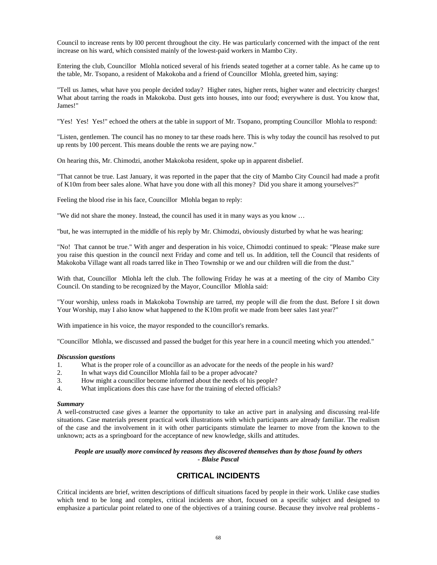Council to increase rents by l00 percent throughout the city. He was particularly concerned with the impact of the rent increase on his ward, which consisted mainly of the lowest-paid workers in Mambo City.

Entering the club, Councillor Mlohla noticed several of his friends seated together at a corner table. As he came up to the table, Mr. Tsopano, a resident of Makokoba and a friend of Councillor Mlohla, greeted him, saying:

"Tell us James, what have you people decided today? Higher rates, higher rents, higher water and electricity charges! What about tarring the roads in Makokoba. Dust gets into houses, into our food; everywhere is dust. You know that, James!"

"Yes! Yes! Yes!" echoed the others at the table in support of Mr. Tsopano, prompting Councillor Mlohla to respond:

"Listen, gentlemen. The council has no money to tar these roads here. This is why today the council has resolved to put up rents by 100 percent. This means double the rents we are paying now."

On hearing this, Mr. Chimodzi, another Makokoba resident, spoke up in apparent disbelief.

"That cannot be true. Last January, it was reported in the paper that the city of Mambo City Council had made a profit of K10m from beer sales alone. What have you done with all this money? Did you share it among yourselves?"

Feeling the blood rise in his face, Councillor Mlohla began to reply:

"We did not share the money. Instead, the council has used it in many ways as you know …

"but, he was interrupted in the middle of his reply by Mr. Chimodzi, obviously disturbed by what he was hearing:

"No! That cannot be true." With anger and desperation in his voice, Chimodzi continued to speak: "Please make sure you raise this question in the council next Friday and come and tell us. In addition, tell the Council that residents of Makokoba Village want all roads tarred like in Theo Township or we and our children will die from the dust."

With that, Councillor Mlohla left the club. The following Friday he was at a meeting of the city of Mambo City Council. On standing to be recognized by the Mayor, Councillor Mlohla said:

"Your worship, unless roads in Makokoba Township are tarred, my people will die from the dust. Before I sit down Your Worship, may I also know what happened to the K10m profit we made from beer sales 1ast year?"

With impatience in his voice, the mayor responded to the councillor's remarks.

"Councillor Mlohla, we discussed and passed the budget for this year here in a council meeting which you attended."

#### *Discussion questions*

- 1. What is the proper role of a councillor as an advocate for the needs of the people in his ward?
- 2. In what ways did Councillor Mlohla fail to be a proper advocate?
- 3. How might a councillor become informed about the needs of his people?
- 4. What implications does this case have for the training of elected officials?

#### *Summary*

A well-constructed case gives a learner the opportunity to take an active part in analysing and discussing real-life situations. Case materials present practical work illustrations with which participants are already familiar. The realism of the case and the involvement in it with other participants stimulate the learner to move from the known to the unknown; acts as a springboard for the acceptance of new knowledge, skills and attitudes.

## *People are usually more convinced by reasons they discovered themselves than by those found by others - Blaise Pascal*

# **CRITICAL INCIDENTS**

Critical incidents are brief, written descriptions of difficult situations faced by people in their work. Unlike case studies which tend to be long and complex, critical incidents are short, focused on a specific subject and designed to emphasize a particular point related to one of the objectives of a training course. Because they involve real problems -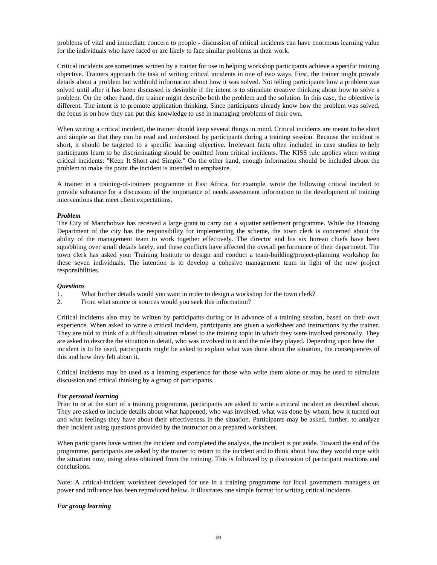problems of vital and immediate concern to people - discussion of critical incidents can have enormous learning value for the individuals who have faced or are likely to face similar problems in their work.

Critical incidents are sometimes written by a trainer for use in helping workshop participants achieve a specific training objective. Trainers approach the task of writing critical incidents in one of two ways. First, the trainer might provide details about a problem but withhold information about how it was solved. Not telling participants how a problem was solved until after it has been discussed is desirable if the intent is to stimulate creative thinking about how to solve a problem. On the other hand, the trainer might describe both the problem and the solution. In this case, the objective is different. The intent is to promote application thinking. Since participants already know how the problem was solved, the focus is on how they can put this knowledge to use in managing problems of their own.

When writing a critical incident, the trainer should keep several things in mind. Critical incidents are meant to be short and simple so that they can be read and understood by participants during a training session. Because the incident is short, it should be targeted to a specific learning objective. Irrelevant facts often included in case studies to help participants learn to be discriminating should be omitted from critical incidents. The KISS rule applies when writing critical incidents: "Keep It Short and Simple." On the other hand, enough information should be included about the problem to make the point the incident is intended to emphasize.

A trainer in a training-of-trainers programme in East Africa, for example, wrote the following critical incident to provide substance for a discussion of the importance of needs assessment information to the development of training interventions that meet client expectations.

#### *Problem*

The City of Manchobwe has received a large grant to carry out a squatter settlement programme. While the Housing Department of the city has the responsibility for implementing the scheme, the town clerk is concerned about the ability of the management team to work together effectively. The director and his six bureau chiefs have been squabbling over small details lately, and these conflicts have affected the overall performance of their department. The town clerk has asked your Training Institute to design and conduct a team-building/project-planning workshop for these seven individuals. The intention is to develop a cohesive management team in light of the new project responsibilities.

#### *Questions*

- 1. What further details would you want in order to design a workshop for the town clerk?<br>2. From what source or sources would you seek this information?
- From what source or sources would you seek this information?

Critical incidents also may be written by participants during or in advance of a training session, based on their own experience. When asked to write a critical incident, participants are given a worksheet and instructions by the trainer. They are told to think of a difficult situation related to the training topic in which they were involved personally. They are asked to describe the situation in detail, who was involved in it and the role they played. Depending upon how the incident is to be used, participants might be asked to explain what was done about the situation, the consequences of this and how they felt about it.

Critical incidents may be used as a learning experience for those who write them alone or may be used to stimulate discussion and critical thinking by a group of participants.

### *For personal learning*

Prior to or at the start of a training programme, participants are asked to write a critical incident as described above. They are asked to include details about what happened, who was involved, what was done by whom, how it turned out and what feelings they have about their effectiveness in the situation. Participants may be asked, further, to analyze their incident using questions provided by the instructor on a prepared worksheet.

When participants have written the incident and completed the analysis, the incident is put aside. Toward the end of the programme, participants are asked by the trainer to return to the incident and to think about how they would cope with the situation now, using ideas obtained from the training. This is followed by p discussion of participant reactions and conclusions.

Note: A critical-incident worksheet developed for use in a training programme for local government managers on power and influence has been reproduced below. It illustrates one simple format for writing critical incidents.

#### *For group learning*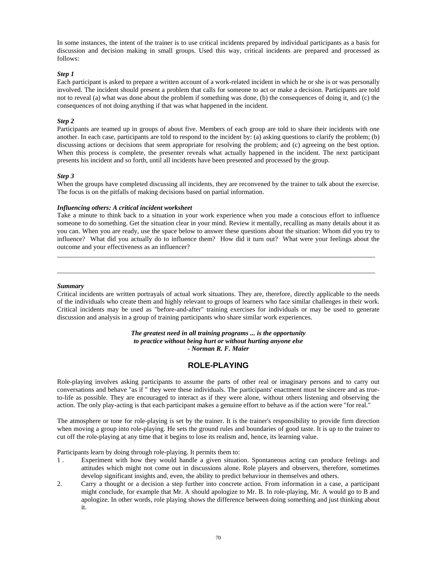In some instances, the intent of the trainer is to use critical incidents prepared by individual participants as a basis for discussion and decision making in small groups. Used this way, critical incidents are prepared and processed as follows:

### *Step 1*

Each participant is asked to prepare a written account of a work-related incident in which he or she is or was personally involved. The incident should present a problem that calls for someone to act or make a decision. Participants are told not to reveal (a) what was done about the problem if something was done, (b) the consequences of doing it, and (c) the consequences of not doing anything if that was what happened in the incident.

#### *Step 2*

Participants are teamed up in groups of about five. Members of each group are told to share their incidents with one another. In each case, participants are told to respond to the incident by: (a) asking questions to clarify the problem; (b) discussing actions or decisions that seem appropriate for resolving the problem; and (c) agreeing on the best option. When this process is complete, the presenter reveals what actually happened in the incident. The next participant presents his incident and so forth, until all incidents have been presented and processed by the group.

#### *Step 3*

When the groups have completed discussing all incidents, they are reconvened by the trainer to talk about the exercise. The focus is on the pitfalls of making decisions based on partial information.

#### *Influencing others: A critical incident worksheet*

Take a minute to think back to a situation in your work experience when you made a conscious effort to influence someone to do something. Get the situation clear in your mind. Review it mentally, recalling as many details about it as you can. When you are ready, use the space below to answer these questions about the situation: Whom did you try to influence? What did you actually do to influence them? How did it turn out? What were your feelings about the outcome and your effectiveness as an influencer?

\_\_\_\_\_\_\_\_\_\_\_\_\_\_\_\_\_\_\_\_\_\_\_\_\_\_\_\_\_\_\_\_\_\_\_\_\_\_\_\_\_\_\_\_\_\_\_\_\_\_\_\_\_\_\_\_\_\_\_\_\_\_\_\_\_\_\_\_\_\_\_\_\_\_\_\_\_\_\_\_\_\_\_\_\_\_\_\_\_\_\_\_\_\_

\_\_\_\_\_\_\_\_\_\_\_\_\_\_\_\_\_\_\_\_\_\_\_\_\_\_\_\_\_\_\_\_\_\_\_\_\_\_\_\_\_\_\_\_\_\_\_\_\_\_\_\_\_\_\_\_\_\_\_\_\_\_\_\_\_\_\_\_\_\_\_\_\_\_\_\_\_\_\_\_\_\_\_\_\_\_\_\_\_\_\_\_\_\_

#### *Summary*

Critical incidents are written portrayals of actual work situations. They are, therefore, directly applicable to the needs of the individuals who create them and highly relevant to groups of learners who face similar challenges in their work. Critical incidents may be used as "before-and-after" training exercises for individuals or may be used to generate discussion and analysis in a group of training participants who share similar work experiences.

> *The greatest need in all training programs ... is the opportunity to practice without being hurt or without hurting anyone else - Norman R. F. Maier*

# **ROLE-PLAYING**

Role-playing involves asking participants to assume the parts of other real or imaginary persons and to carry out conversations and behave "as if " they were these individuals. The participants' enactment must be sincere and as trueto-life as possible. They are encouraged to interact as if they were alone, without others listening and observing the action. The only play-acting is that each participant makes a genuine effort to behave as if the action were "for real."

The atmosphere or tone for role-playing is set by the trainer. It is the trainer's responsibility to provide firm direction when moving a group into role-playing. He sets the ground rules and boundaries of good taste. It is up to the trainer to cut off the role-playing at any time that it begins to lose its realism and, hence, its learning value.

Participants learn by doing through role-playing. It permits them to:

- 1 . Experiment with how they would handle a given situation. Spontaneous acting can produce feelings and attitudes which might not come out in discussions alone. Role players and observers, therefore, sometimes develop significant insights and, even, the ability to predict behaviour in themselves and others.
- 2. Carry a thought or a decision a step further into concrete action. From information in a case, a participant might conclude, for example that Mr. A should apologize to Mr. B. In role-playing, Mr. A would go to B and apologize. In other words, role playing shows the difference between doing something and just thinking about it.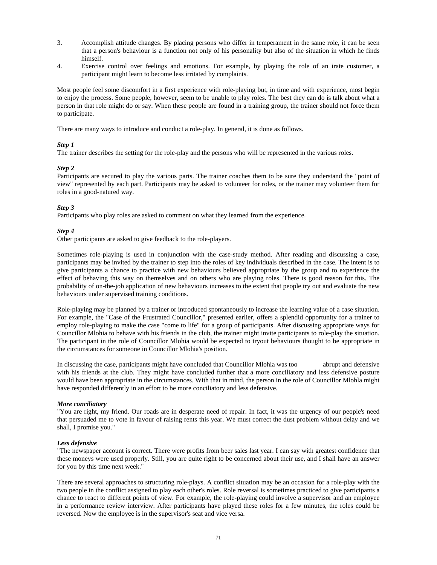- 3. Accomplish attitude changes. By placing persons who differ in temperament in the same role, it can be seen that a person's behaviour is a function not only of his personality but also of the situation in which he finds himself.
- 4. Exercise control over feelings and emotions. For example, by playing the role of an irate customer, a participant might learn to become less irritated by complaints.

Most people feel some discomfort in a first experience with role-playing but, in time and with experience, most begin to enjoy the process. Some people, however, seem to be unable to play roles. The best they can do is talk about what a person in that role might do or say. When these people are found in a training group, the trainer should not force them to participate.

There are many ways to introduce and conduct a role-play. In general, it is done as follows.

# *Step 1*

The trainer describes the setting for the role-play and the persons who will be represented in the various roles.

### *Step 2*

Participants are secured to play the various parts. The trainer coaches them to be sure they understand the "point of view" represented by each part. Participants may be asked to volunteer for roles, or the trainer may volunteer them for roles in a good-natured way.

## *Step 3*

Participants who play roles are asked to comment on what they learned from the experience.

### *Step 4*

Other participants are asked to give feedback to the role-players.

Sometimes role-playing is used in conjunction with the case-study method. After reading and discussing a case, participants may be invited by the trainer to step into the roles of key individuals described in the case. The intent is to give participants a chance to practice with new behaviours believed appropriate by the group and to experience the effect of behaving this way on themselves and on others who are playing roles. There is good reason for this. The probability of on-the-job application of new behaviours increases to the extent that people try out and evaluate the new behaviours under supervised training conditions.

Role-playing may be planned by a trainer or introduced spontaneously to increase the learning value of a case situation. For example, the "Case of the Frustrated Councillor," presented earlier, offers a splendid opportunity for a trainer to employ role-playing to make the case "come to life" for a group of participants. After discussing appropriate ways for Councillor Mlohia to behave with his friends in the club, the trainer might invite participants to role-play the situation. The participant in the role of Councillor Mlohia would be expected to tryout behaviours thought to be appropriate in the circumstances for someone in Councillor Mlohia's position.

In discussing the case, participants might have concluded that Councillor Mlohia was too abrupt and defensive with his friends at the club. They might have concluded further that a more conciliatory and less defensive posture would have been appropriate in the circumstances. With that in mind, the person in the role of Councillor Mlohla might have responded differently in an effort to be more conciliatory and less defensive.

#### *More conciliatory*

"You are right, my friend. Our roads are in desperate need of repair. In fact, it was the urgency of our people's need that persuaded me to vote in favour of raising rents this year. We must correct the dust problem without delay and we shall, I promise you."

# *Less defensive*

"The newspaper account is correct. There were profits from beer sales last year. I can say with greatest confidence that these moneys were used properly. Still, you are quite right to be concerned about their use, and I shall have an answer for you by this time next week."

There are several approaches to structuring role-plays. A conflict situation may be an occasion for a role-play with the two people in the conflict assigned to play each other's roles. Role reversal is sometimes practiced to give participants a chance to react to different points of view. For example, the role-playing could involve a supervisor and an employee in a performance review interview. After participants have played these roles for a few minutes, the roles could be reversed. Now the employee is in the supervisor's seat and vice versa.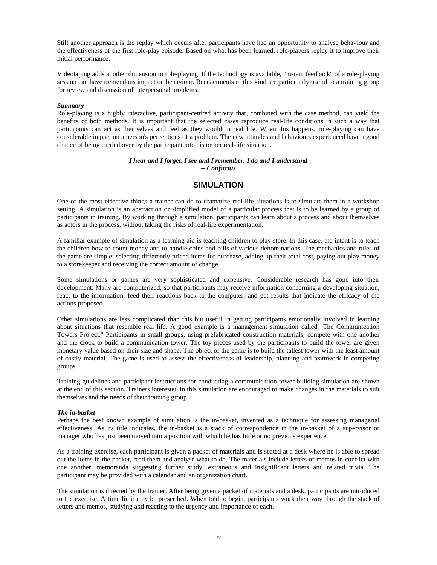Still another approach is the replay which occurs after participants have had an opportunity to analyse behaviour and the effectiveness of the first role-play episode. Based on what has been learned, role-players replay it to improve their initial performance.

Videotaping adds another dimension to role-playing. If the technology is available, "instant feedback" of a role-playing session can have tremendous impact on behaviour. Reenactments of this kind are particularly useful to a training group for review and discussion of interpersonal problems.

### *Summary*

Role-playing is a highly interactive, participant-centred activity that, combined with the case method, can yield the benefits of both methods. It is important that the selected cases reproduce real-life conditions in such a way that participants can act as themselves and feel as they would in real life. When this happens, role-playing can have considerable impact on a person's perceptions of a problem. The new attitudes and behaviours experienced have a good chance of being carried over by the participant into his or her real-life situation.

#### *I hear and I forget. I see and I remember. I do and I understand -- Confucius*

# **SIMULATION**

One of the most effective things a trainer can do to dramatize real-life situations is to simulate them in a workshop setting. A simulation is an abstraction or simplified model of a particular process that is to be learned by a group of participants in training. By working through a simulation, participants can learn about a process and about themselves as actors in the process, without taking the risks of real-life experimentation.

A familiar example of simulation as a learning aid is teaching children to play store. In this case, the intent is to teach the children how to count money and to handle coins and bills of various denominations. The mechanics and rules of the game are simple: selecting differently priced items for purchase, adding up their total cost, paying out play money to a storekeeper and receiving the correct amount of change.

Some simulations or games are very sophisticated and expensive. Considerable research has gone into their development. Many are computerized, so that participants may receive information concerning a developing situation, react to the information, feed their reactions back to the computer, and get results that indicate the efficacy of the actions proposed.

Other simulations are less complicated than this but useful in getting participants emotionally involved in learning about situations that resemble real life. A good example is a management simulation called "The Communication Towers Project." Participants in small groups, using prefabricated construction materials, compete with one another and the clock to build a communication tower. The toy pieces used by the participants to build the tower are given monetary value based on their size and shape. The object of the game is to build the tallest tower with the least amount of costly material. The game is used to assess the effectiveness of leadership, planning and teamwork in competing groups.

Training guidelines and participant instructions for conducting a communication-tower-building simulation are shown at the end of this section. Trainers interested in this simulation are encouraged to make changes in the materials to suit themselves and the needs of their training group.

#### *The in-basket*

Perhaps the best known example of simulation is the in-basket, invented as a technique for assessing managerial effectiveness. As its title indicates, the in-basket is a stack of correspondence in the in-basket of a supervisor or manager who has just been moved into a position with which he has little or no previous experience.

As a training exercise, each participant is given a packet of materials and is seated at a desk where he is able to spread out the items in the packet, read them and analyse what to do. The materials include letters or memos in conflict with one another, memoranda suggesting further study, extraneous and insignificant letters and related trivia. The participant may be provided with a calendar and an organization chart.

The simulation is directed by the trainer. After being given a packet of materials and a desk, participants are introduced to the exercise. A time limit may be prescribed. When told to begin, participants work their way through the stack of letters and memos, studying and reacting to the urgency and importance of each.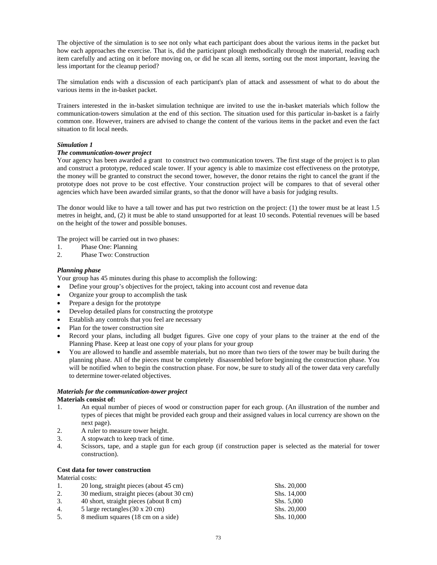The objective of the simulation is to see not only what each participant does about the various items in the packet but how each approaches the exercise. That is, did the participant plough methodically through the material, reading each item carefully and acting on it before moving on, or did he scan all items, sorting out the most important, leaving the less important for the cleanup period?

The simulation ends with a discussion of each participant's plan of attack and assessment of what to do about the various items in the in-basket packet.

Trainers interested in the in-basket simulation technique are invited to use the in-basket materials which follow the communication-towers simulation at the end of this section. The situation used for this particular in-basket is a fairly common one. However, trainers are advised to change the content of the various items in the packet and even the fact situation to fit local needs.

## *Simulation 1*

# *The communication-tower project*

Your agency has been awarded a grant to construct two communication towers. The first stage of the project is to plan and construct a prototype, reduced scale tower. If your agency is able to maximize cost effectiveness on the prototype, the money will be granted to construct the second tower, however, the donor retains the right to cancel the grant if the prototype does not prove to be cost effective. Your construction project will be compares to that of several other agencies which have been awarded similar grants, so that the donor will have a basis for judging results.

The donor would like to have a tall tower and has put two restriction on the project: (1) the tower must be at least 1.5 metres in height, and, (2) it must be able to stand unsupported for at least 10 seconds. Potential revenues will be based on the height of the tower and possible bonuses.

The project will be carried out in two phases:

- 1. Phase One: Planning
- 2. Phase Two: Construction

## *Planning phase*

Your group has 45 minutes during this phase to accomplish the following:

- Define your group's objectives for the project, taking into account cost and revenue data
- Organize your group to accomplish the task
- Prepare a design for the prototype
- Develop detailed plans for constructing the prototype
- Establish any controls that you feel are necessary
- Plan for the tower construction site
- Record your plans, including all budget figures. Give one copy of your plans to the trainer at the end of the Planning Phase. Keep at least one copy of your plans for your group
- You are allowed to handle and assemble materials, but no more than two tiers of the tower may be built during the planning phase. All of the pieces must be completely disassembled before beginning the construction phase. You will be notified when to begin the construction phase. For now, be sure to study all of the tower data very carefully to determine tower-related objectives.

#### *Materials for the communication-tower project*  **Materials consist of:**

- 1. An equal number of pieces of wood or construction paper for each group. (An illustration of the number and types of pieces that might be provided each group and their assigned values in local currency are shown on the next page).
- 2. A ruler to measure tower height.
- 3. A stopwatch to keep track of time.
- 4. Scissors, tape, and a staple gun for each group (if construction paper is selected as the material for tower construction).

# **Cost data for tower construction**

# Material costs:

| 1. | 20 long, straight pieces (about 45 cm)         | Shs. 20,000 |
|----|------------------------------------------------|-------------|
| 2. | 30 medium, straight pieces (about 30 cm)       | Shs. 14,000 |
| 3. | 40 short, straight pieces (about 8 cm)         | Shs. 5,000  |
| 4. | 5 large rectangles $(30 \times 20 \text{ cm})$ | Shs. 20,000 |
| 5. | 8 medium squares (18 cm on a side)             | Shs. 10,000 |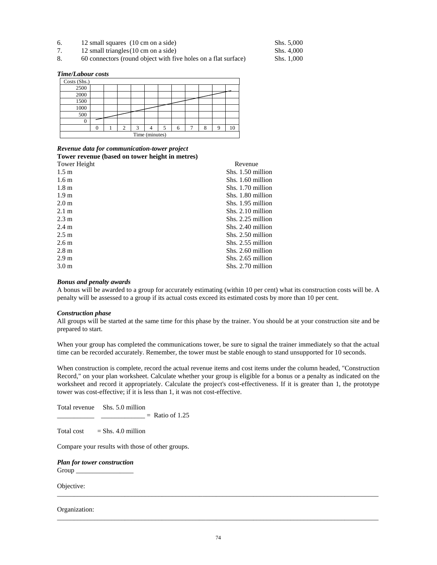- 6. 12 small squares (10 cm on a side) Shs. 5,000
- 7. 12 small triangles (10 cm on a side) Shs. 4,000
- 8. 60 connectors (round object with five holes on a flat surface) Shs. 1,000

*Time/Labour costs* 

| Costs (Shs.)   |          |  |                |   |  |   |   |  |   |    |
|----------------|----------|--|----------------|---|--|---|---|--|---|----|
| 2500           |          |  |                |   |  |   |   |  |   |    |
| 2000           |          |  |                |   |  |   |   |  |   |    |
| 1500           |          |  |                |   |  |   |   |  |   |    |
| 1000           |          |  |                |   |  |   |   |  |   |    |
| 500            |          |  |                |   |  |   |   |  |   |    |
| 0              |          |  |                |   |  |   |   |  |   |    |
|                | $\Omega$ |  | $\overline{c}$ | 2 |  | 5 | 6 |  | O | 10 |
| Time (minutes) |          |  |                |   |  |   |   |  |   |    |

## *Revenue data for communication-tower project*  **Tower revenue (based on tower height in metres)**

| Tower Height     | Revenue           |
|------------------|-------------------|
| 1.5 <sub>m</sub> | Shs. 1.50 million |
| 1.6 <sub>m</sub> | Shs. 1.60 million |
| 1.8 <sub>m</sub> | Shs. 1.70 million |
| 1.9 <sub>m</sub> | Shs. 1.80 million |
| 2.0 <sub>m</sub> | Shs. 1.95 million |
| 2.1 m            | Shs. 2.10 million |
| $2.3 \text{ m}$  | Shs. 2.25 million |
| 2.4 <sub>m</sub> | Shs. 2.40 million |
| $2.5 \text{ m}$  | Shs. 2.50 million |
| 2.6 <sub>m</sub> | Shs. 2.55 million |
| 2.8 <sub>m</sub> | Shs. 2.60 million |
| 2.9 <sub>m</sub> | Shs. 2.65 million |
| 3.0 <sub>m</sub> | Shs. 2.70 million |

#### *Bonus and penalty awards*

A bonus will be awarded to a group for accurately estimating (within 10 per cent) what its construction costs will be. A penalty will be assessed to a group if its actual costs exceed its estimated costs by more than 10 per cent.

## *Construction phase*

All groups will be started at the same time for this phase by the trainer. You should be at your construction site and be prepared to start.

When your group has completed the communications tower, be sure to signal the trainer immediately so that the actual time can be recorded accurately. Remember, the tower must be stable enough to stand unsupported for 10 seconds.

When construction is complete, record the actual revenue items and cost items under the column headed, "Construction Record," on your plan worksheet. Calculate whether your group is eligible for a bonus or a penalty as indicated on the worksheet and record it appropriately. Calculate the project's cost-effectiveness. If it is greater than 1, the prototype tower was cost-effective; if it is less than 1, it was not cost-effective.

Total revenue Shs. 5.0 million

 $\frac{1}{2}$  = Ratio of 1.25

Total cost  $=$  Shs. 4.0 million

Compare your results with those of other groups.

*Plan for tower construction*  Group \_\_\_\_\_\_\_\_\_\_\_\_\_\_\_\_\_

Objective:

## Organization:

\_\_\_\_\_\_\_\_\_\_\_\_\_\_\_\_\_\_\_\_\_\_\_\_\_\_\_\_\_\_\_\_\_\_\_\_\_\_\_\_\_\_\_\_\_\_\_\_\_\_\_\_\_\_\_\_\_\_\_\_\_\_\_\_\_\_\_\_\_\_\_\_\_\_\_\_\_\_\_\_\_\_\_\_\_\_\_\_\_\_\_\_\_\_\_

\_\_\_\_\_\_\_\_\_\_\_\_\_\_\_\_\_\_\_\_\_\_\_\_\_\_\_\_\_\_\_\_\_\_\_\_\_\_\_\_\_\_\_\_\_\_\_\_\_\_\_\_\_\_\_\_\_\_\_\_\_\_\_\_\_\_\_\_\_\_\_\_\_\_\_\_\_\_\_\_\_\_\_\_\_\_\_\_\_\_\_\_\_\_\_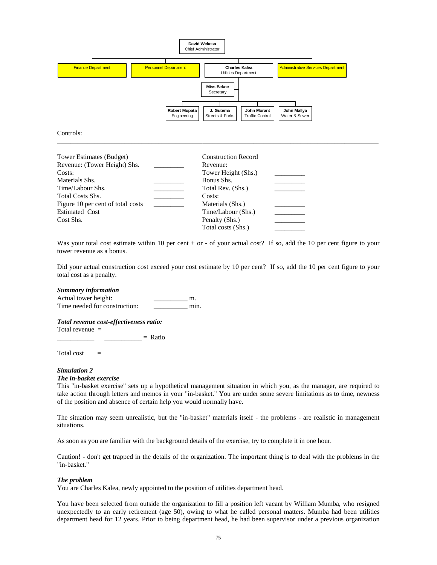

Controls:

| Tower Estimates (Budget)          | <b>Construction Record</b> |  |
|-----------------------------------|----------------------------|--|
| Revenue: (Tower Height) Shs.      | Revenue:                   |  |
| Costs:                            | Tower Height (Shs.)        |  |
| Materials Shs.                    | Bonus Shs.                 |  |
| Time/Labour Shs.                  | Total Rev. (Shs.)          |  |
| <b>Total Costs Shs.</b>           | Costs:                     |  |
| Figure 10 per cent of total costs | Materials (Shs.)           |  |
| <b>Estimated Cost</b>             | Time/Labour (Shs.)         |  |
| Cost Shs.                         | Penalty (Shs.)             |  |
|                                   | Total costs (Shs.)         |  |

Was your total cost estimate within 10 per cent + or - of your actual cost? If so, add the 10 per cent figure to your tower revenue as a bonus.

\_\_\_\_\_\_\_\_\_\_\_\_\_\_\_\_\_\_\_\_\_\_\_\_\_\_\_\_\_\_\_\_\_\_\_\_\_\_\_\_\_\_\_\_\_\_\_\_\_\_\_\_\_\_\_\_\_\_\_\_\_\_\_\_\_\_\_\_\_\_\_\_\_\_\_\_\_\_\_\_\_\_\_\_\_\_\_\_\_\_\_\_\_\_\_

Did your actual construction cost exceed your cost estimate by 10 per cent? If so, add the 10 per cent figure to your total cost as a penalty.

#### *Summary information*

Actual tower height: \_\_\_\_\_\_\_\_\_\_\_\_\_\_\_\_ m. Time needed for construction: \_\_\_\_\_\_\_\_\_\_\_ min.

## *Total revenue cost-effectiveness ratio:*

Total revenue =

 $\equiv$  Ratio

Total cost  $=$ 

# *Simulation 2*

## *The in-basket exercise*

This "in-basket exercise" sets up a hypothetical management situation in which you, as the manager, are required to take action through letters and memos in your "in-basket." You are under some severe limitations as to time, newness of the position and absence of certain help you would normally have.

The situation may seem unrealistic, but the "in-basket" materials itself - the problems - are realistic in management situations.

As soon as you are familiar with the background details of the exercise, try to complete it in one hour.

Caution! - don't get trapped in the details of the organization. The important thing is to deal with the problems in the "in-basket."

#### *The problem*

You are Charles Kalea, newly appointed to the position of utilities department head.

You have been selected from outside the organization to fill a position left vacant by William Mumba, who resigned unexpectedly to an early retirement (age 50), owing to what he called personal matters. Mumba had been utilities department head for 12 years. Prior to being department head, he had been supervisor under a previous organization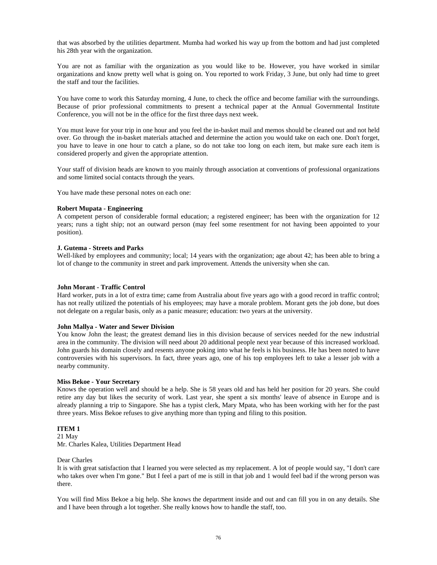that was absorbed by the utilities department. Mumba had worked his way up from the bottom and had just completed his 28th year with the organization.

You are not as familiar with the organization as you would like to be. However, you have worked in similar organizations and know pretty well what is going on. You reported to work Friday, 3 June, but only had time to greet the staff and tour the facilities.

You have come to work this Saturday morning, 4 June, to check the office and become familiar with the surroundings. Because of prior professional commitments to present a technical paper at the Annual Governmental Institute Conference, you will not be in the office for the first three days next week.

You must leave for your trip in one hour and you feel the in-basket mail and memos should be cleaned out and not held over. Go through the in-basket materials attached and determine the action you would take on each one. Don't forget, you have to leave in one hour to catch a plane, so do not take too long on each item, but make sure each item is considered properly and given the appropriate attention.

Your staff of division heads are known to you mainly through association at conventions of professional organizations and some limited social contacts through the years.

You have made these personal notes on each one:

#### **Robert Mupata - Engineering**

A competent person of considerable formal education; a registered engineer; has been with the organization for 12 years; runs a tight ship; not an outward person (may feel some resentment for not having been appointed to your position).

#### **J. Gutema - Streets and Parks**

Well-liked by employees and community; local; 14 years with the organization; age about 42; has been able to bring a lot of change to the community in street and park improvement. Attends the university when she can.

#### **John Morant - Traffic Control**

Hard worker, puts in a lot of extra time; came from Australia about five years ago with a good record in traffic control; has not really utilized the potentials of his employees; may have a morale problem. Morant gets the job done, but does not delegate on a regular basis, only as a panic measure; education: two years at the university.

#### **John Mallya - Water and Sewer Division**

You know John the least; the greatest demand lies in this division because of services needed for the new industrial area in the community. The division will need about 20 additional people next year because of this increased workload. John guards his domain closely and resents anyone poking into what he feels is his business. He has been noted to have controversies with his supervisors. In fact, three years ago, one of his top employees left to take a lesser job with a nearby community.

#### **Miss Bekoe - Your Secretary**

Knows the operation well and should be a help. She is 58 years old and has held her position for 20 years. She could retire any day but likes the security of work. Last year, she spent a six months' leave of absence in Europe and is already planning a trip to Singapore. She has a typist clerk, Mary Mpata, who has been working with her for the past three years. Miss Bekoe refuses to give anything more than typing and filing to this position.

# **ITEM 1**

21 May Mr. Charles Kalea, Utilities Department Head

Dear Charles

It is with great satisfaction that I learned you were selected as my replacement. A lot of people would say, "I don't care who takes over when I'm gone." But I feel a part of me is still in that job and 1 would feel bad if the wrong person was there.

You will find Miss Bekoe a big help. She knows the department inside and out and can fill you in on any details. She and I have been through a lot together. She really knows how to handle the staff, too.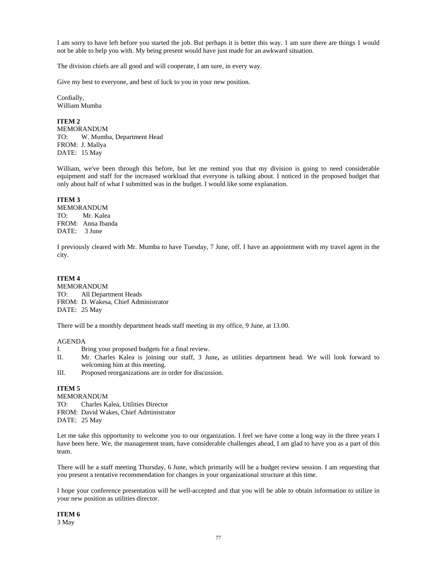I am sorry to have left before you started the job. But perhaps it is better this way. 1 am sure there are things 1 would not be able to help you with. My being present would have just made for an awkward situation.

The division chiefs are all good and will cooperate, I am sure, in every way.

Give my best to everyone, and best of luck to you in your new position.

Cordially, William Mumba

# **ITEM 2**

MEMORANDUM TO: W. Mumba, Department Head FROM: J. Mallya DATE: 15 May

William, we've been through this before, but let me remind you that my division is going to need considerable equipment and staff for the increased workload that everyone is talking about. I noticed in the proposed budget that only about half of what I submitted was in the budget. I would like some explanation.

# **ITEM 3**

MEMORANDUM TO: Mr. Kalea FROM: Anna Ibanda DATE: 3 June

I previously cleared with Mr. Mumba to have Tuesday, 7 June, off. I have an appointment with my travel agent in the city.

# **ITEM 4**

MEMORANDUM TO: All Department Heads FROM: D. Wakesa, Chief Administrator DATE: 25 May

There will be a monthly department heads staff meeting in my office, 9 June, at 13.00.

# AGENDA

- I. Bring your proposed budgets for a final review.
- II. Mr. Charles Kalea is joining our staff, 3 June**,** as utilities department head. We will look forward to welcoming him at this meeting.
- III. Proposed reorganizations are in order for discussion.

# **ITEM 5**

MEMORANDUM TO: Charles Kalea, Utilities Director FROM: David Wakes, Chief Administrator DATE: 25 May

Let me take this opportunity to welcome you to our organization. I feel we have come a long way in the three years I have been here. We, the management team, have considerable challenges ahead, I am glad to have you as a part of this team.

There will be a staff meeting Thursday, 6 June, which primarily will be a budget review session. I am requesting that you present a tentative recommendation for changes in your organizational structure at this time.

I hope your conference presentation will be well-accepted and that you will be able to obtain information to utilize in your new position as utilities director.

**ITEM 6**  3 May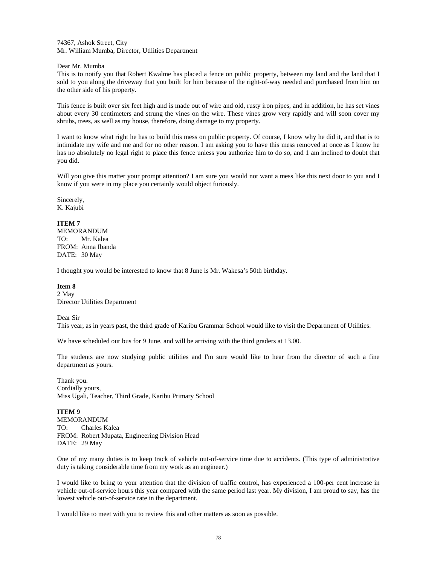74367, Ashok Street, City Mr. William Mumba, Director, Utilities Department

Dear Mr. Mumba

This is to notify you that Robert Kwalme has placed a fence on public property, between my land and the land that I sold to you along the driveway that you built for him because of the right-of-way needed and purchased from him on the other side of his property.

This fence is built over six feet high and is made out of wire and old, rusty iron pipes, and in addition, he has set vines about every 30 centimeters and strung the vines on the wire. These vines grow very rapidly and will soon cover my shrubs, trees, as well as my house, therefore, doing damage to my property.

I want to know what right he has to build this mess on public property. Of course, I know why he did it, and that is to intimidate my wife and me and for no other reason. I am asking you to have this mess removed at once as I know he has no absolutely no legal right to place this fence unless you authorize him to do so, and 1 am inclined to doubt that you did.

Will you give this matter your prompt attention? I am sure you would not want a mess like this next door to you and I know if you were in my place you certainly would object furiously.

Sincerely, K. Kajubi

## **ITEM 7**

MEMORANDUM TO: Mr. Kalea FROM: Anna Ibanda DATE: 30 May

I thought you would be interested to know that 8 June is Mr. Wakesa's 50th birthday.

#### **Item 8**

2 May Director Utilities Department

Dear Sir

This year, as in years past, the third grade of Karibu Grammar School would like to visit the Department of Utilities.

We have scheduled our bus for 9 June, and will be arriving with the third graders at 13.00.

The students are now studying public utilities and I'm sure would like to hear from the director of such a fine department as yours.

Thank you. Cordially yours, Miss Ugali, Teacher, Third Grade, Karibu Primary School

**ITEM 9**  MEMORANDUM TO: Charles Kalea FROM: Robert Mupata, Engineering Division Head DATE: 29 May

One of my many duties is to keep track of vehicle out-of-service time due to accidents. (This type of administrative duty is taking considerable time from my work as an engineer.)

I would like to bring to your attention that the division of traffic control, has experienced a 100-per cent increase in vehicle out-of-service hours this year compared with the same period last year. My division, I am proud to say, has the lowest vehicle out-of-service rate in the department.

I would like to meet with you to review this and other matters as soon as possible.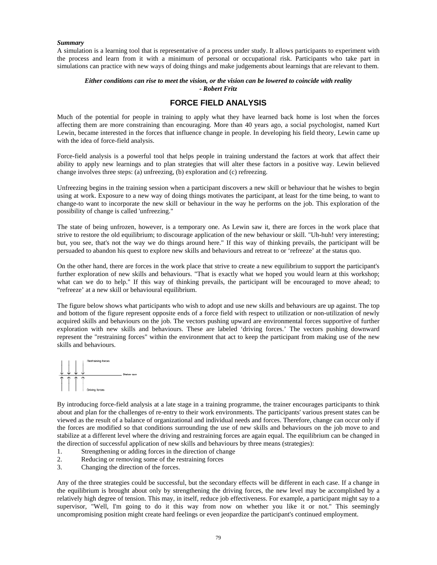#### *Summary*

A simulation is a learning tool that is representative of a process under study. It allows participants to experiment with the process and learn from it with a minimum of personal or occupational risk. Participants who take part in simulations can practice with new ways of doing things and make judgements about learnings that are relevant to them.

# *Either conditions can rise to meet the vision, or the vision can be lowered to coincide with reality - Robert Fritz*

# **FORCE FIELD ANALYSIS**

Much of the potential for people in training to apply what they have learned back home is lost when the forces affecting them are more constraining than encouraging. More than 40 years ago, a social psychologist, named Kurt Lewin, became interested in the forces that influence change in people. In developing his field theory, Lewin came up with the idea of force-field analysis.

Force-field analysis is a powerful tool that helps people in training understand the factors at work that affect their ability to apply new learnings and to plan strategies that will alter these factors in a positive way. Lewin believed change involves three steps: (a) unfreezing, (b) exploration and (c) refreezing.

Unfreezing begins in the training session when a participant discovers a new skill or behaviour that he wishes to begin using at work. Exposure to a new way of doing things motivates the participant, at least for the time being, to want to change-to want to incorporate the new skill or behaviour in the way he performs on the job. This exploration of the possibility of change is called 'unfreezing."

The state of being unfrozen, however, is a temporary one. As Lewin saw it, there are forces in the work place that strive to restore the old equilibrium; to discourage application of the new behaviour or skill. "Uh-huh! very interesting; but, you see, that's not the way we do things around here." If this way of thinking prevails, the participant will be persuaded to abandon his quest to explore new skills and behaviours and retreat to or 'refreeze' at the status quo.

On the other hand, there are forces in the work place that strive to create a new equilibrium to support the participant's further exploration of new skills and behaviours. "That is exactly what we hoped you would learn at this workshop; what can we do to help." If this way of thinking prevails, the participant will be encouraged to move ahead; to "refreeze' at a new skill or behavioural equilibrium.

The figure below shows what participants who wish to adopt and use new skills and behaviours are up against. The top and bottom of the figure represent opposite ends of a force field with respect to utilization or non-utilization of newly acquired skills and behaviours on the job. The vectors pushing upward are environmental forces supportive of further exploration with new skills and behaviours. These are labeled 'driving forces.' The vectors pushing downward represent the "restraining forces" within the environment that act to keep the participant from making use of the new skills and behaviours.



By introducing force-field analysis at a late stage in a training programme, the trainer encourages participants to think about and plan for the challenges of re-entry to their work environments. The participants' various present states can be viewed as the result of a balance of organizational and individual needs and forces. Therefore, change can occur only if the forces are modified so that conditions surrounding the use of new skills and behaviours on the job move to and stabilize at a different level where the driving and restraining forces are again equal. The equilibrium can be changed in the direction of successful application of new skills and behaviours by three means (strategies):

- 1. Strengthening or adding forces in the direction of change
- 2. Reducing or removing some of the restraining forces<br>3. Changing the direction of the forces.
- 3. Changing the direction of the forces.

Any of the three strategies could be successful, but the secondary effects will be different in each case. If a change in the equilibrium is brought about only by strengthening the driving forces, the new level may be accomplished by a relatively high degree of tension. This may, in itself, reduce job effectiveness. For example, a participant might say to a supervisor, "Well, I'm going to do it this way from now on whether you like it or not." This seemingly uncompromising position might create hard feelings or even jeopardize the participant's continued employment.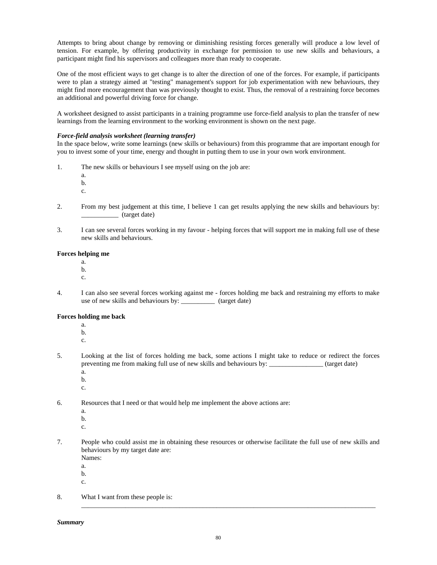Attempts to bring about change by removing or diminishing resisting forces generally will produce a low level of tension. For example, by offering productivity in exchange for permission to use new skills and behaviours, a participant might find his supervisors and colleagues more than ready to cooperate.

One of the most efficient ways to get change is to alter the direction of one of the forces. For example, if participants were to plan a strategy aimed at "testing" management's support for job experimentation with new behaviours, they might find more encouragement than was previously thought to exist. Thus, the removal of a restraining force becomes an additional and powerful driving force for change.

A worksheet designed to assist participants in a training programme use force-field analysis to plan the transfer of new learnings from the learning environment to the working environment is shown on the next page.

# *Force-field analysis worksheet (learning transfer)*

In the space below, write some learnings (new skills or behaviours) from this programme that are important enough for you to invest some of your time, energy and thought in putting them to use in your own work environment.

- 1. The new skills or behaviours I see myself using on the job are:
	- a. b.
	- c.
- 2. From my best judgement at this time, I believe 1 can get results applying the new skills and behaviours by: \_\_\_\_\_\_\_\_\_\_\_ (target date)
- 3. I can see several forces working in my favour helping forces that will support me in making full use of these new skills and behaviours.

# **Forces helping me**

- a.
- b.
- c.
- 4. I can also see several forces working against me forces holding me back and restraining my efforts to make use of new skills and behaviours by: \_\_\_\_\_\_\_\_\_\_ (target date)

# **Forces holding me back**

- a.
- b.
- c.
- 5. Looking at the list of forces holding me back, some actions I might take to reduce or redirect the forces preventing me from making full use of new skills and behaviours by: \_\_\_\_\_\_\_\_\_\_\_\_\_\_\_\_ (target date) a.
	- b.
	- c.
- 6. Resources that I need or that would help me implement the above actions are:
	- a.
	- b.
	- c.
- 7. People who could assist me in obtaining these resources or otherwise facilitate the full use of new skills and behaviours by my target date are:
	- Names:
	- a. b.
	- c.
- 8. What I want from these people is:

\_\_\_\_\_\_\_\_\_\_\_\_\_\_\_\_\_\_\_\_\_\_\_\_\_\_\_\_\_\_\_\_\_\_\_\_\_\_\_\_\_\_\_\_\_\_\_\_\_\_\_\_\_\_\_\_\_\_\_\_\_\_\_\_\_\_\_\_\_\_\_\_\_\_\_\_\_\_\_\_\_\_\_\_\_\_\_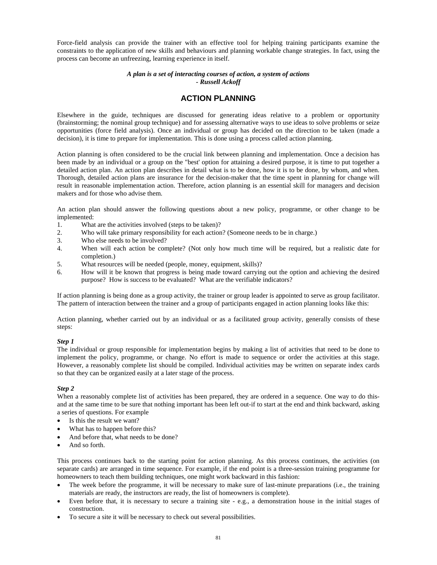Force-field analysis can provide the trainer with an effective tool for helping training participants examine the constraints to the application of new skills and behaviours and planning workable change strategies. In fact, using the process can become an unfreezing, learning experience in itself.

# *A plan is a set of interacting courses of action, a system of actions - Russell Ackoff*

# **ACTION PLANNING**

Elsewhere in the guide, techniques are discussed for generating ideas relative to a problem or opportunity (brainstorming; the nominal group technique) and for assessing alternative ways to use ideas to solve problems or seize opportunities (force field analysis). Once an individual or group has decided on the direction to be taken (made a decision), it is time to prepare for implementation. This is done using a process called action planning.

Action planning is often considered to be the crucial link between planning and implementation. Once a decision has been made by an individual or a group on the "best' option for attaining a desired purpose, it is time to put together a detailed action plan. An action plan describes in detail what is to be done, how it is to be done, by whom, and when. Thorough, detailed action plans are insurance for the decision-maker that the time spent in planning for change will result in reasonable implementation action. Therefore, action planning is an essential skill for managers and decision makers and for those who advise them.

An action plan should answer the following questions about a new policy, programme, or other change to be implemented:

- 1. What are the activities involved (steps to be taken)?
- 2. Who will take primary responsibility for each action? (Someone needs to be in charge.)
- 3. Who else needs to be involved?
- 4. When will each action be complete? (Not only how much time will be required, but a realistic date for completion.)
- 5. What resources will be needed (people, money, equipment, skills)?
- 6. How will it be known that progress is being made toward carrying out the option and achieving the desired purpose? How is success to be evaluated? What are the verifiable indicators?

If action planning is being done as a group activity, the trainer or group leader is appointed to serve as group facilitator. The pattern of interaction between the trainer and a group of participants engaged in action planning looks like this:

Action planning, whether carried out by an individual or as a facilitated group activity, generally consists of these steps:

#### *Step 1*

The individual or group responsible for implementation begins by making a list of activities that need to be done to implement the policy, programme, or change. No effort is made to sequence or order the activities at this stage. However, a reasonably complete list should be compiled. Individual activities may be written on separate index cards so that they can be organized easily at a later stage of the process.

# *Step 2*

When a reasonably complete list of activities has been prepared, they are ordered in a sequence. One way to do thisand at the same time to be sure that nothing important has been left out-if to start at the end and think backward, asking a series of questions. For example

- Is this the result we want?
- What has to happen before this?
- And before that, what needs to be done?
- And so forth.

This process continues back to the starting point for action planning. As this process continues, the activities (on separate cards) are arranged in time sequence. For example, if the end point is a three-session training programme for homeowners to teach them building techniques, one might work backward in this fashion:

- The week before the programme, it will be necessary to make sure of last-minute preparations (i.e., the training materials are ready, the instructors are ready, the list of homeowners is complete).
- Even before that, it is necessary to secure a training site e.g., a demonstration house in the initial stages of construction.
- To secure a site it will be necessary to check out several possibilities.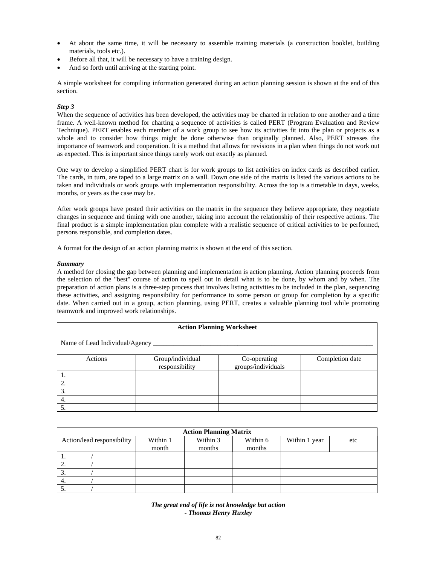- At about the same time, it will be necessary to assemble training materials (a construction booklet, building materials, tools etc.).
- Before all that, it will be necessary to have a training design.
- And so forth until arriving at the starting point.

A simple worksheet for compiling information generated during an action planning session is shown at the end of this section.

# *Step 3*

When the sequence of activities has been developed, the activities may be charted in relation to one another and a time frame. A well-known method for charting a sequence of activities is called PERT (Program Evaluation and Review Technique). PERT enables each member of a work group to see how its activities fit into the plan or projects as a whole and to consider how things might be done otherwise than originally planned. Also, PERT stresses the importance of teamwork and cooperation. It is a method that allows for revisions in a plan when things do not work out as expected. This is important since things rarely work out exactly as planned.

One way to develop a simplified PERT chart is for work groups to list activities on index cards as described earlier. The cards, in turn, are taped to a large matrix on a wall. Down one side of the matrix is listed the various actions to be taken and individuals or work groups with implementation responsibility. Across the top is a timetable in days, weeks, months, or years as the case may be.

After work groups have posted their activities on the matrix in the sequence they believe appropriate, they negotiate changes in sequence and timing with one another, taking into account the relationship of their respective actions. The final product is a simple implementation plan complete with a realistic sequence of critical activities to be performed, persons responsible, and completion dates.

A format for the design of an action planning matrix is shown at the end of this section.

## *Summary*

A method for closing the gap between planning and implementation is action planning. Action planning proceeds from the selection of the "best" course of action to spell out in detail what is to be done, by whom and by when. The preparation of action plans is a three-step process that involves listing activities to be included in the plan, sequencing these activities, and assigning responsibility for performance to some person or group for completion by a specific date. When carried out in a group, action planning, using PERT, creates a valuable planning tool while promoting teamwork and improved work relationships.

| <b>Action Planning Worksheet</b> |                                    |                                    |                 |  |  |  |  |  |
|----------------------------------|------------------------------------|------------------------------------|-----------------|--|--|--|--|--|
| Name of Lead Individual/Agency _ |                                    |                                    |                 |  |  |  |  |  |
| Actions                          | Group/individual<br>responsibility | Co-operating<br>groups/individuals | Completion date |  |  |  |  |  |
|                                  |                                    |                                    |                 |  |  |  |  |  |
| 2.                               |                                    |                                    |                 |  |  |  |  |  |
| 3.                               |                                    |                                    |                 |  |  |  |  |  |
| 4.                               |                                    |                                    |                 |  |  |  |  |  |
| 5.                               |                                    |                                    |                 |  |  |  |  |  |

| <b>Action Planning Matrix</b> |          |                      |        |               |     |  |  |  |  |
|-------------------------------|----------|----------------------|--------|---------------|-----|--|--|--|--|
| Action/lead responsibility    | Within 1 | Within 3<br>Within 6 |        | Within 1 year | etc |  |  |  |  |
|                               | month    | months               | months |               |     |  |  |  |  |
|                               |          |                      |        |               |     |  |  |  |  |
| ٠.                            |          |                      |        |               |     |  |  |  |  |
| J.                            |          |                      |        |               |     |  |  |  |  |
| 4.                            |          |                      |        |               |     |  |  |  |  |
| J.                            |          |                      |        |               |     |  |  |  |  |

*The great end of life is not knowledge but action - Thomas Henry Huxley*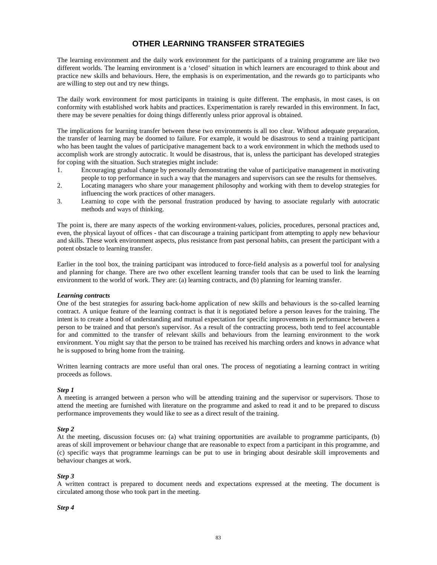# **OTHER LEARNING TRANSFER STRATEGIES**

The learning environment and the daily work environment for the participants of a training programme are like two different worlds. The learning environment is a 'closed' situation in which learners are encouraged to think about and practice new skills and behaviours. Here, the emphasis is on experimentation, and the rewards go to participants who are willing to step out and try new things.

The daily work environment for most participants in training is quite different. The emphasis, in most cases, is on conformity with established work habits and practices. Experimentation is rarely rewarded in this environment. In fact, there may be severe penalties for doing things differently unless prior approval is obtained.

The implications for learning transfer between these two environments is all too clear. Without adequate preparation, the transfer of learning may be doomed to failure. For example, it would be disastrous to send a training participant who has been taught the values of participative management back to a work environment in which the methods used to accomplish work are strongly autocratic. It would be disastrous, that is, unless the participant has developed strategies for coping with the situation. Such strategies might include:

- 1. Encouraging gradual change by personally demonstrating the value of participative management in motivating people to top performance in such a way that the managers and supervisors can see the results for themselves.
- 2. Locating managers who share your management philosophy and working with them to develop strategies for influencing the work practices of other managers.
- 3. Learning to cope with the personal frustration produced by having to associate regularly with autocratic methods and ways of thinking.

The point is, there are many aspects of the working environment-values, policies, procedures, personal practices and, even, the physical layout of offices - that can discourage a training participant from attempting to apply new behaviour and skills. These work environment aspects, plus resistance from past personal habits, can present the participant with a potent obstacle to learning transfer.

Earlier in the tool box, the training participant was introduced to force-field analysis as a powerful tool for analysing and planning for change. There are two other excellent learning transfer tools that can be used to link the learning environment to the world of work. They are: (a) learning contracts, and (b) planning for learning transfer.

#### *Learning contracts*

One of the best strategies for assuring back-home application of new skills and behaviours is the so-called learning contract. A unique feature of the learning contract is that it is negotiated before a person leaves for the training. The intent is to create a bond of understanding and mutual expectation for specific improvements in performance between a person to be trained and that person's supervisor. As a result of the contracting process, both tend to feel accountable for and committed to the transfer of relevant skills and behaviours from the learning environment to the work environment. You might say that the person to be trained has received his marching orders and knows in advance what he is supposed to bring home from the training.

Written learning contracts are more useful than oral ones. The process of negotiating a learning contract in writing proceeds as follows.

#### *Step 1*

A meeting is arranged between a person who will be attending training and the supervisor or supervisors. Those to attend the meeting are furnished with literature on the programme and asked to read it and to be prepared to discuss performance improvements they would like to see as a direct result of the training.

#### *Step 2*

At the meeting, discussion focuses on: (a) what training opportunities are available to programme participants, (b) areas of skill improvement or behaviour change that are reasonable to expect from a participant in this programme, and (c) specific ways that programme learnings can be put to use in bringing about desirable skill improvements and behaviour changes at work.

#### *Step 3*

A written contract is prepared to document needs and expectations expressed at the meeting. The document is circulated among those who took part in the meeting.

#### *Step 4*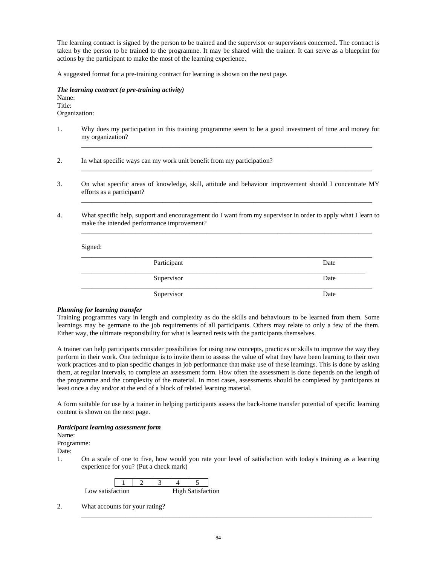The learning contract is signed by the person to be trained and the supervisor or supervisors concerned. The contract is taken by the person to be trained to the programme. It may be shared with the trainer. It can serve as a blueprint for actions by the participant to make the most of the learning experience.

A suggested format for a pre-training contract for learning is shown on the next page.

*The learning contract (a pre-training activity)*  Name: Title: Organization:

1. Why does my participation in this training programme seem to be a good investment of time and money for my organization?

\_\_\_\_\_\_\_\_\_\_\_\_\_\_\_\_\_\_\_\_\_\_\_\_\_\_\_\_\_\_\_\_\_\_\_\_\_\_\_\_\_\_\_\_\_\_\_\_\_\_\_\_\_\_\_\_\_\_\_\_\_\_\_\_\_\_\_\_\_\_\_\_\_\_\_\_\_\_\_\_\_\_\_\_\_\_

\_\_\_\_\_\_\_\_\_\_\_\_\_\_\_\_\_\_\_\_\_\_\_\_\_\_\_\_\_\_\_\_\_\_\_\_\_\_\_\_\_\_\_\_\_\_\_\_\_\_\_\_\_\_\_\_\_\_\_\_\_\_\_\_\_\_\_\_\_\_\_\_\_\_\_\_\_\_\_\_\_\_\_\_\_\_

\_\_\_\_\_\_\_\_\_\_\_\_\_\_\_\_\_\_\_\_\_\_\_\_\_\_\_\_\_\_\_\_\_\_\_\_\_\_\_\_\_\_\_\_\_\_\_\_\_\_\_\_\_\_\_\_\_\_\_\_\_\_\_\_\_\_\_\_\_\_\_\_\_\_\_\_\_\_\_\_\_\_\_\_\_\_

\_\_\_\_\_\_\_\_\_\_\_\_\_\_\_\_\_\_\_\_\_\_\_\_\_\_\_\_\_\_\_\_\_\_\_\_\_\_\_\_\_\_\_\_\_\_\_\_\_\_\_\_\_\_\_\_\_\_\_\_\_\_\_\_\_\_\_\_\_\_\_\_\_\_\_\_\_\_\_\_\_\_\_\_\_\_

- 2. In what specific ways can my work unit benefit from my participation?
- 3. On what specific areas of knowledge, skill, attitude and behaviour improvement should I concentrate MY efforts as a participant?
- 4. What specific help, support and encouragement do I want from my supervisor in order to apply what I learn to make the intended performance improvement?

## Signed:

| Participant | Date |
|-------------|------|
| Supervisor  | Date |
| Supervisor  | Date |

#### *Planning for learning transfer*

Training programmes vary in length and complexity as do the skills and behaviours to be learned from them. Some learnings may be germane to the job requirements of all participants. Others may relate to only a few of the them. Either way, the ultimate responsibility for what is learned rests with the participants themselves.

A trainer can help participants consider possibilities for using new concepts, practices or skills to improve the way they perform in their work. One technique is to invite them to assess the value of what they have been learning to their own work practices and to plan specific changes in job performance that make use of these learnings. This is done by asking them, at regular intervals, to complete an assessment form. How often the assessment is done depends on the length of the programme and the complexity of the material. In most cases, assessments should be completed by participants at least once a day and/or at the end of a block of related learning material.

A form suitable for use by a trainer in helping participants assess the back-home transfer potential of specific learning content is shown on the next page.

#### *Participant learning assessment form*

Name:

Programme: Date:

- 
- 1. On a scale of one to five, how would you rate your level of satisfaction with today's training as a learning experience for you? (Put a check mark)

| Low satisfaction |  |  | High Satisfaction |  |
|------------------|--|--|-------------------|--|

2. What accounts for your rating?

\_\_\_\_\_\_\_\_\_\_\_\_\_\_\_\_\_\_\_\_\_\_\_\_\_\_\_\_\_\_\_\_\_\_\_\_\_\_\_\_\_\_\_\_\_\_\_\_\_\_\_\_\_\_\_\_\_\_\_\_\_\_\_\_\_\_\_\_\_\_\_\_\_\_\_\_\_\_\_\_\_\_\_\_\_\_